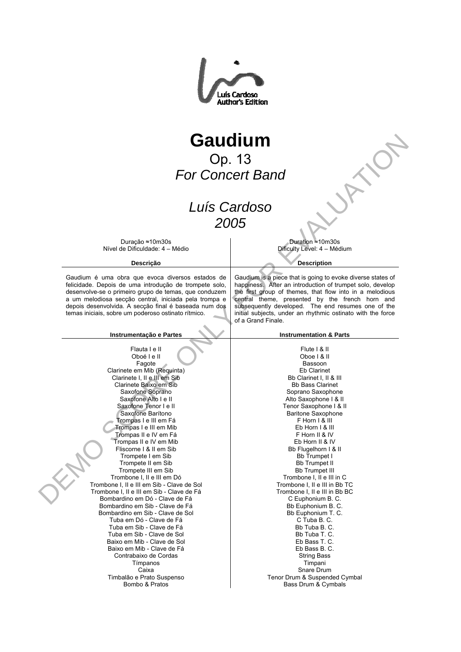

## **Gaudium**  Op. 13 *For Concert Band*

## *Luís Cardoso 2005*

### Descrição **Descrição Description**

|                                                                                                                                                                                                                                                                                                                                                                                                                                                                                                                                                                                                                                                                                                                                                                                                                                                                                                                 | <b>Gaudium</b>                                                                                                                                                                                                                                                                                                                                                                                                                                                                                                                                                                                                                                                                                                                                        |
|-----------------------------------------------------------------------------------------------------------------------------------------------------------------------------------------------------------------------------------------------------------------------------------------------------------------------------------------------------------------------------------------------------------------------------------------------------------------------------------------------------------------------------------------------------------------------------------------------------------------------------------------------------------------------------------------------------------------------------------------------------------------------------------------------------------------------------------------------------------------------------------------------------------------|-------------------------------------------------------------------------------------------------------------------------------------------------------------------------------------------------------------------------------------------------------------------------------------------------------------------------------------------------------------------------------------------------------------------------------------------------------------------------------------------------------------------------------------------------------------------------------------------------------------------------------------------------------------------------------------------------------------------------------------------------------|
|                                                                                                                                                                                                                                                                                                                                                                                                                                                                                                                                                                                                                                                                                                                                                                                                                                                                                                                 | Op. 13                                                                                                                                                                                                                                                                                                                                                                                                                                                                                                                                                                                                                                                                                                                                                |
|                                                                                                                                                                                                                                                                                                                                                                                                                                                                                                                                                                                                                                                                                                                                                                                                                                                                                                                 | <b>For Concert Band</b>                                                                                                                                                                                                                                                                                                                                                                                                                                                                                                                                                                                                                                                                                                                               |
|                                                                                                                                                                                                                                                                                                                                                                                                                                                                                                                                                                                                                                                                                                                                                                                                                                                                                                                 |                                                                                                                                                                                                                                                                                                                                                                                                                                                                                                                                                                                                                                                                                                                                                       |
|                                                                                                                                                                                                                                                                                                                                                                                                                                                                                                                                                                                                                                                                                                                                                                                                                                                                                                                 | Luís Cardoso                                                                                                                                                                                                                                                                                                                                                                                                                                                                                                                                                                                                                                                                                                                                          |
|                                                                                                                                                                                                                                                                                                                                                                                                                                                                                                                                                                                                                                                                                                                                                                                                                                                                                                                 | 2005                                                                                                                                                                                                                                                                                                                                                                                                                                                                                                                                                                                                                                                                                                                                                  |
|                                                                                                                                                                                                                                                                                                                                                                                                                                                                                                                                                                                                                                                                                                                                                                                                                                                                                                                 |                                                                                                                                                                                                                                                                                                                                                                                                                                                                                                                                                                                                                                                                                                                                                       |
| Duração ≈10m30s<br>Nível de Dificuldade: 4 - Médio                                                                                                                                                                                                                                                                                                                                                                                                                                                                                                                                                                                                                                                                                                                                                                                                                                                              | Duration ≈10m30s<br>Dificulty Level: 4 - Médium                                                                                                                                                                                                                                                                                                                                                                                                                                                                                                                                                                                                                                                                                                       |
| Descrição                                                                                                                                                                                                                                                                                                                                                                                                                                                                                                                                                                                                                                                                                                                                                                                                                                                                                                       | <b>Description</b>                                                                                                                                                                                                                                                                                                                                                                                                                                                                                                                                                                                                                                                                                                                                    |
| Gaudium é uma obra que evoca diversos estados de<br>felicidade. Depois de uma introdução de trompete solo,<br>desenvolve-se o primeiro grupo de temas, que conduzem<br>a um melodiosa secção central, iniciada pela trompa e<br>depois desenvolvida. A secção final é baseada num dos<br>temas iniciais, sobre um poderoso ostinato rítmico.                                                                                                                                                                                                                                                                                                                                                                                                                                                                                                                                                                    | Gaudium is a piece that is going to evoke diverse states of<br>happiness. After an introduction of trumpet solo, develop<br>the first group of themes, that flow into in a melodious<br>central theme, presented by the french horn and<br>subsequently developed. The end resumes one of the<br>initial subjects, under an rhythmic ostinato with the force<br>of a Grand Finale.                                                                                                                                                                                                                                                                                                                                                                    |
| Instrumentação e Partes                                                                                                                                                                                                                                                                                                                                                                                                                                                                                                                                                                                                                                                                                                                                                                                                                                                                                         | <b>Instrumentation &amp; Parts</b>                                                                                                                                                                                                                                                                                                                                                                                                                                                                                                                                                                                                                                                                                                                    |
| Flauta I e II<br>Oboé I e II<br>Fagote<br>Clarinete em Mib (Requinta)<br>Clarinete I, II e III em Sib<br>Clarinete Baixo em Sib<br>Saxofone Soprano<br>Saxofone Alto I e II<br>Saxofone Tenor I e II<br>Saxofone Barítono<br>Trompas I e III em Fá<br>Trompas I e III em Mib<br>Trompas II e IV em Fá<br>Trompas II e IV em Mib<br>Fliscorne   & II em Sib<br>Trompete I em Sib<br>Trompete II em Sib<br>Trompete III em Sib<br>Trombone I, II e III em Dó<br>Trombone I, II e III em Sib - Clave de Sol<br>Trombone I, II e III em Sib - Clave de Fá<br>Bombardino em Dó - Clave de Fá<br>Bombardino em Sib - Clave de Fá<br>Bombardino em Sib - Clave de Sol<br>Tuba em Dó - Clave de Fá<br>Tuba em Sib - Clave de Fá<br>Tuba em Sib - Clave de Sol<br>Baixo em Mib - Clave de Sol<br>Baixo em Mib - Clave de Fá<br>Contrabaixo de Cordas<br>Tímpanos<br>Caixa<br>Timbalão e Prato Suspenso<br>Bombo & Pratos | Flute   & II<br>Oboe I & II<br>Bassoon<br>Eb Clarinet<br>Bb Clarinet I, II & III<br><b>Bb Bass Clarinet</b><br>Soprano Saxophone<br>Alto Saxophone I & II<br>Tenor Saxophone I & II<br><b>Baritone Saxophone</b><br>F Horn I & III<br>Eb Horn I & III<br>F Horn II & IV<br>Eb Horn II & IV<br>Bb Flugelhorn I & II<br><b>Bb Trumpet I</b><br><b>Bb Trumpet II</b><br><b>Bb Trumpet III</b><br>Trombone I, II e III in C<br>Trombone I, II e III in Bb TC<br>Trombone I. II e III in Bb BC<br>C Euphonium B. C.<br>Bb Euphonium B. C.<br>Bb Euphonium T. C.<br>C Tuba B. C.<br>Bb Tuba B. C.<br>Bb Tuba T. C.<br>Eb Bass T. C.<br>Eb Bass B. C.<br><b>String Bass</b><br>Timpani<br>Snare Drum<br>Tenor Drum & Suspended Cymbal<br>Bass Drum & Cymbals |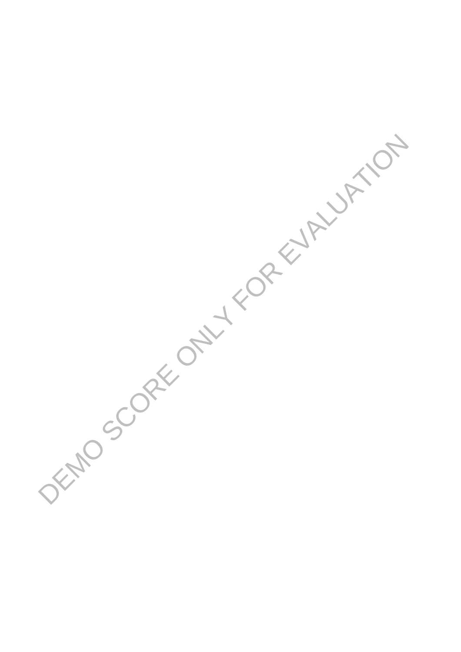OFFERING ONLY FOR EVALUATION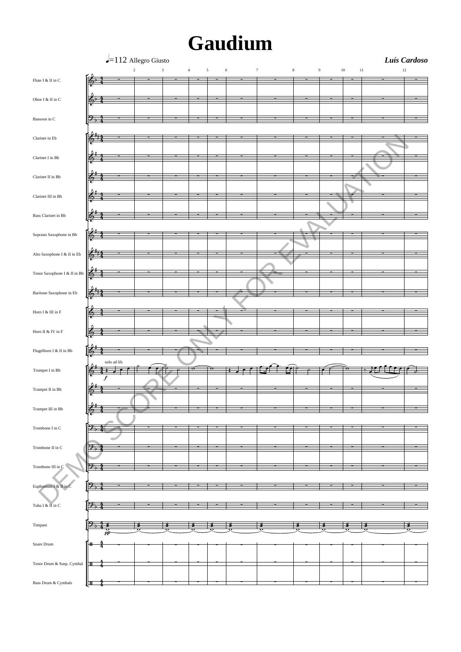# **Gaudium** 1

|                                                                  |                                   |             | $\equiv$ 112 Allegro Giusto |                      |            |             |                |         |                |        |        | Luís Cardoso |
|------------------------------------------------------------------|-----------------------------------|-------------|-----------------------------|----------------------|------------|-------------|----------------|---------|----------------|--------|--------|--------------|
|                                                                  |                                   |             | $\,2\,$<br>$\sqrt{3}$       | $\sqrt{4}$           | $\sqrt{5}$ | $\,$ 6 $\,$ | $\overline{7}$ | $\bf 8$ | $\overline{9}$ | $10\,$ | $11\,$ | $12\,$       |
| Flute I & II in $\cal C$                                         | $\blacklozenge$                   |             |                             |                      |            |             |                |         |                |        |        |              |
|                                                                  |                                   |             |                             |                      |            |             |                |         |                |        |        |              |
|                                                                  |                                   |             |                             |                      |            |             |                |         |                |        |        |              |
| Oboe I & II in $\cal C$                                          | 6                                 |             |                             |                      |            |             |                |         |                |        |        |              |
|                                                                  |                                   |             |                             |                      |            |             |                |         |                |        |        |              |
| Bassoon in C                                                     | 2                                 |             |                             |                      |            |             |                |         |                |        |        |              |
|                                                                  |                                   |             |                             |                      |            |             |                |         |                |        |        |              |
|                                                                  |                                   |             |                             |                      |            |             |                |         |                |        |        |              |
| Clarinet in Eb                                                   |                                   |             |                             |                      |            |             |                |         |                |        |        |              |
|                                                                  |                                   |             |                             |                      |            |             |                |         |                |        |        |              |
| Clarinet I in Bb                                                 | ω,                                |             |                             |                      |            |             |                |         |                |        |        |              |
|                                                                  |                                   |             |                             |                      |            |             |                |         |                |        |        |              |
| Clarinet II in Bb                                                |                                   |             |                             |                      |            |             |                |         |                |        |        |              |
|                                                                  |                                   |             |                             |                      |            |             |                |         |                |        |        |              |
|                                                                  |                                   |             |                             |                      |            |             |                |         |                |        |        |              |
| Clarinet III in Bb                                               |                                   |             |                             |                      |            |             |                |         |                |        |        |              |
|                                                                  |                                   |             |                             |                      |            |             |                |         |                |        |        |              |
| Bass Clarinet in Bb                                              |                                   |             |                             |                      |            |             |                |         |                |        |        |              |
|                                                                  |                                   |             |                             |                      |            |             |                |         |                |        |        |              |
|                                                                  |                                   |             |                             |                      |            |             |                |         |                |        |        |              |
| Soprano Saxophone in Bb                                          |                                   |             |                             |                      |            |             |                |         |                |        |        |              |
|                                                                  |                                   |             |                             |                      |            |             |                |         |                |        |        |              |
| Alto Saxophone I & II in ${\rm Eb}$                              | 6                                 |             |                             |                      |            |             |                |         |                |        |        |              |
|                                                                  |                                   |             |                             |                      |            |             |                |         |                |        |        |              |
|                                                                  |                                   |             |                             |                      |            |             |                |         |                |        |        |              |
| Tenor Saxophone I & II in Bb                                     | ⊙                                 |             |                             |                      |            |             |                |         |                |        |        |              |
|                                                                  |                                   |             |                             |                      |            |             |                |         |                |        |        |              |
| Baritone Saxophone in Eb                                         |                                   |             |                             |                      |            |             |                |         |                |        |        |              |
|                                                                  |                                   |             |                             |                      |            |             |                |         |                |        |        |              |
|                                                                  |                                   |             |                             |                      |            |             |                |         |                |        |        |              |
| Horn I & III in F                                                | ⊕                                 |             |                             |                      |            |             |                |         |                |        |        |              |
|                                                                  |                                   |             |                             |                      |            |             |                |         |                |        |        |              |
| Horn II & IV in ${\rm F}$                                        |                                   |             |                             |                      |            |             |                |         |                |        |        |              |
|                                                                  |                                   |             |                             |                      |            |             |                |         |                |        |        |              |
|                                                                  |                                   |             |                             |                      |            |             |                |         |                |        |        |              |
| Flugelhorn I & II in Bb                                          |                                   |             |                             |                      |            |             |                |         |                |        |        |              |
|                                                                  |                                   | solo ad lib |                             |                      |            |             |                |         |                |        |        |              |
| $\operatorname{Trumpet} \operatorname{I}$ in $\operatorname{Bb}$ | €                                 |             |                             | $\overline{\bullet}$ | ÷          |             |                |         |                |        |        |              |
|                                                                  |                                   |             |                             |                      |            |             |                |         |                |        |        |              |
|                                                                  |                                   |             |                             |                      |            |             |                |         |                |        |        |              |
| Trumpet II in Bb                                                 | ⊕                                 |             |                             |                      |            |             |                |         |                |        |        |              |
|                                                                  |                                   |             |                             |                      |            |             |                |         |                |        |        |              |
| $\operatorname{Trumpet}$ III in Bb                               | 6                                 |             |                             |                      |            |             |                |         |                |        |        |              |
|                                                                  |                                   |             |                             |                      |            |             |                |         |                |        |        |              |
|                                                                  |                                   |             |                             |                      |            |             |                |         |                |        |        |              |
| Trombone I in C                                                  |                                   |             |                             |                      |            |             |                |         |                |        |        |              |
|                                                                  |                                   |             |                             |                      |            |             |                |         |                |        |        |              |
| Trombone II in $\cal C$                                          | <del>) ,</del>                    |             |                             |                      |            |             |                |         |                |        |        |              |
|                                                                  |                                   |             |                             |                      |            |             |                |         |                |        |        |              |
|                                                                  |                                   |             |                             |                      |            |             |                |         |                |        |        |              |
| Trombone III in C                                                | $\mathcal{P}_\mathcal{P}$         |             |                             |                      |            |             |                |         |                |        |        |              |
|                                                                  |                                   |             |                             |                      |            |             |                |         |                |        |        |              |
| Euphonium I & II in $\hat{C}$                                    | $\mathbf{\mathcal{P}}_{\text{b}}$ |             |                             |                      |            |             |                |         |                |        |        |              |
|                                                                  |                                   |             |                             |                      |            |             |                |         |                |        |        |              |
|                                                                  |                                   |             |                             |                      |            |             |                |         |                |        |        |              |
| Tuba I & II in C                                                 | $2^-$                             |             |                             |                      |            |             |                |         |                |        |        |              |
|                                                                  |                                   |             |                             |                      |            |             |                |         |                |        |        |              |
| Timpani                                                          | ⇒                                 |             |                             |                      |            |             |                |         |                |        |        |              |
|                                                                  |                                   | $p\bar{p}$  |                             |                      |            |             |                |         |                |        |        |              |
|                                                                  |                                   |             |                             |                      |            |             |                |         |                |        |        |              |
| Snare Drum                                                       | $-\frac{4}{4}$<br>$+$             |             |                             |                      |            |             |                |         |                |        |        |              |
|                                                                  |                                   |             |                             |                      |            |             |                |         |                |        |        |              |
| Tenor Drum & Susp. Cymbal                                        | ш                                 |             |                             |                      |            |             |                |         |                |        |        |              |
|                                                                  |                                   |             |                             |                      |            |             |                |         |                |        |        |              |
|                                                                  |                                   |             |                             |                      |            |             |                |         |                |        |        |              |
| Bass Drum & Cymbals                                              | Ш                                 |             |                             |                      |            |             |                |         |                |        |        |              |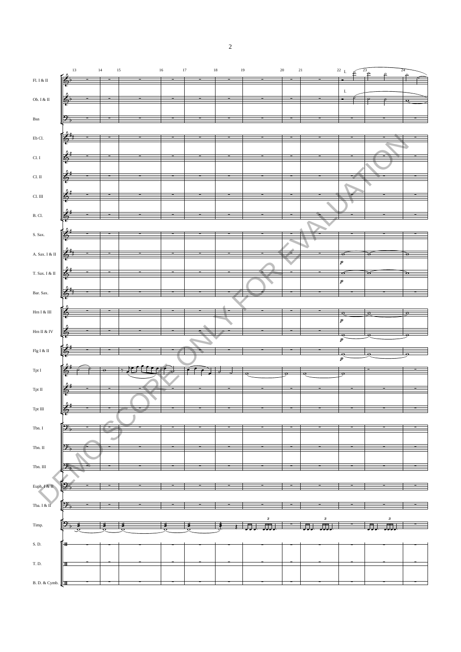|                                 | $13\,$                       | $14\,$<br>15             |                                          | $16\,$       | 17                                                | $18\,$         | 19 | $20\,$<br>$21\,$ |   | $^{22}$ L               | $\overline{\mathbb{P}}$ | $\overline{24}$         |
|---------------------------------|------------------------------|--------------------------|------------------------------------------|--------------|---------------------------------------------------|----------------|----|------------------|---|-------------------------|-------------------------|-------------------------|
| Fl. I & II                      |                              |                          |                                          |              |                                                   |                |    |                  |   | ₽                       |                         |                         |
|                                 | $\ddot{\circ}$               |                          |                                          |              |                                                   |                |    |                  |   |                         |                         |                         |
|                                 |                              |                          |                                          |              |                                                   |                |    |                  |   | Ι.                      |                         |                         |
| Ob. I & II                      | $\overline{\mathbb{P}}$      |                          |                                          |              |                                                   |                |    |                  |   |                         |                         | $\overline{\mathbf{Q}}$ |
|                                 |                              |                          |                                          |              |                                                   |                |    |                  |   |                         |                         |                         |
|                                 |                              |                          |                                          |              |                                                   |                |    |                  |   |                         |                         |                         |
| Bsn                             | $\mathbf{D}_\mathrm{b}$      |                          |                                          |              |                                                   |                |    |                  |   |                         |                         |                         |
|                                 |                              |                          |                                          |              |                                                   |                |    |                  |   |                         |                         |                         |
|                                 |                              |                          |                                          |              |                                                   |                |    |                  |   |                         |                         |                         |
| $\operatorname{Eb}$ Cl.         | 6"                           |                          |                                          |              |                                                   |                |    |                  |   |                         |                         |                         |
|                                 |                              |                          |                                          |              |                                                   |                |    |                  |   |                         |                         |                         |
|                                 |                              |                          |                                          |              |                                                   |                |    |                  |   |                         |                         |                         |
| $\mathop{\rm Cl}\nolimits.$ I   | $\phi^*$                     |                          |                                          |              |                                                   |                |    |                  |   |                         |                         |                         |
|                                 |                              |                          |                                          |              |                                                   |                |    |                  |   |                         |                         |                         |
|                                 |                              | $\overline{\phantom{a}}$ |                                          | $\sim$       |                                                   |                |    |                  |   |                         |                         |                         |
| $\mathop{\rm Cl}\nolimits.$ II  | ⊯                            |                          |                                          |              |                                                   |                |    |                  |   |                         |                         |                         |
|                                 |                              |                          |                                          |              |                                                   |                |    |                  |   |                         |                         |                         |
| $\mathop{\rm Cl}\nolimits.$ III | $\frac{1}{9}$<br>$\sim$      | $\overline{\phantom{a}}$ | $\overline{\phantom{a}}$                 | $\mathbf{r}$ | $\blacksquare$                                    | $\blacksquare$ | Ξ  |                  |   |                         |                         |                         |
|                                 |                              |                          |                                          |              |                                                   |                |    |                  |   |                         |                         |                         |
|                                 |                              |                          |                                          |              |                                                   |                |    |                  |   |                         |                         |                         |
| $\, {\bf B} . \, {\bf Cl} . \,$ | 6.                           |                          |                                          |              |                                                   |                |    |                  |   |                         |                         |                         |
|                                 |                              |                          |                                          |              |                                                   |                |    |                  |   |                         |                         |                         |
|                                 |                              |                          |                                          |              |                                                   |                |    |                  |   |                         |                         |                         |
| S. Sax.                         | $\clubsuit$                  |                          |                                          |              |                                                   |                |    |                  |   |                         |                         |                         |
|                                 |                              |                          |                                          |              |                                                   |                |    |                  |   |                         |                         |                         |
|                                 |                              |                          |                                          |              |                                                   |                |    |                  |   |                         |                         |                         |
| A. Sax. I & II                  | 俸                            | $\overline{\phantom{0}}$ |                                          |              |                                                   |                |    |                  |   | $\frac{1}{\sigma}$      | $\mathbf{R}$            | ক                       |
|                                 |                              |                          |                                          |              |                                                   |                |    |                  |   | $\boldsymbol{p}$        |                         |                         |
|                                 | 俸                            |                          |                                          |              | $\sim$                                            | ÷              |    |                  |   |                         |                         |                         |
| T. Sax. I & II                  |                              | €                        | $\sim$ $\sim$                            | $\sim$       |                                                   |                |    |                  |   | $\epsilon$              |                         |                         |
|                                 |                              |                          |                                          |              |                                                   |                |    |                  |   | $\boldsymbol{p}$        |                         |                         |
| Bar. Sax.                       | 6                            |                          |                                          | ÷            |                                                   |                |    |                  |   |                         |                         |                         |
|                                 |                              |                          |                                          |              |                                                   |                |    |                  |   |                         |                         |                         |
|                                 |                              |                          |                                          |              |                                                   |                |    |                  |   |                         |                         |                         |
| Hrn I & III                     | i.                           |                          |                                          |              |                                                   |                |    |                  |   | $\overline{\mathbf{R}}$ | †ऋ                      | $\overline{\mathbf{p}}$ |
|                                 |                              |                          |                                          |              |                                                   |                |    |                  |   |                         |                         |                         |
|                                 |                              |                          |                                          |              |                                                   |                |    |                  |   |                         |                         |                         |
| Hrn II & IV                     | I6                           |                          |                                          |              |                                                   |                |    |                  |   | $\overline{\mathbf{e}}$ |                         |                         |
|                                 |                              |                          |                                          |              |                                                   |                |    |                  |   |                         |                         |                         |
|                                 |                              |                          |                                          |              |                                                   |                |    |                  |   |                         |                         |                         |
|                                 |                              |                          |                                          |              |                                                   |                |    |                  |   |                         |                         |                         |
| Flg I & II                      |                              |                          |                                          |              |                                                   |                |    |                  |   |                         |                         |                         |
|                                 | <u> (4'</u>                  |                          |                                          |              |                                                   |                |    |                  |   |                         |                         |                         |
|                                 |                              |                          |                                          |              |                                                   |                |    |                  |   |                         |                         |                         |
| $\operatorname{Tpt} \mathrm{I}$ | iģ.                          |                          | $\widehat{f}$ is putted if $\widehat{f}$ |              |                                                   |                |    |                  |   |                         |                         |                         |
|                                 |                              |                          |                                          |              |                                                   |                |    |                  |   |                         |                         |                         |
|                                 |                              |                          |                                          |              |                                                   |                |    |                  |   |                         |                         |                         |
| $\operatorname{Tpt}\Pi$         | ౕ                            | <u> Exp</u>              |                                          |              | $\frac{1}{2}$ and $\frac{1}{2}$ and $\frac{1}{2}$ | ÷              |    |                  |   |                         |                         |                         |
|                                 |                              |                          |                                          |              |                                                   |                |    |                  |   |                         |                         |                         |
|                                 |                              |                          |                                          |              |                                                   |                |    |                  |   |                         |                         |                         |
| $\operatorname{Tpt}$ III        | $\mathscr{C}^*$<br>$\bullet$ |                          |                                          |              |                                                   |                |    |                  |   |                         |                         |                         |
|                                 |                              |                          |                                          |              |                                                   |                |    |                  |   |                         |                         |                         |
| Tbn. I                          |                              |                          |                                          |              |                                                   |                |    |                  |   |                         |                         |                         |
|                                 |                              |                          |                                          |              |                                                   |                |    |                  |   |                         |                         |                         |
|                                 |                              |                          |                                          |              |                                                   |                |    |                  |   |                         |                         |                         |
| Tbn. $\rm II$                   | $\mathfrak{R}$               |                          |                                          |              |                                                   |                |    |                  |   |                         |                         |                         |
|                                 |                              |                          |                                          |              |                                                   |                |    |                  |   |                         |                         |                         |
|                                 |                              |                          |                                          |              |                                                   |                |    |                  |   |                         |                         |                         |
| Tbn. $\rm III$                  | 2.                           |                          |                                          |              |                                                   |                |    |                  |   |                         |                         |                         |
|                                 |                              |                          |                                          |              |                                                   |                |    |                  |   |                         |                         |                         |
|                                 |                              |                          |                                          |              |                                                   |                |    |                  |   |                         |                         |                         |
| Euph. I & $\Pi$                 |                              |                          |                                          |              |                                                   |                |    |                  |   |                         |                         |                         |
|                                 |                              |                          |                                          |              |                                                   |                |    |                  |   |                         |                         |                         |
| Tba. I & II                     | $\mathcal{P}_\pm$            |                          |                                          |              |                                                   |                |    |                  |   |                         |                         |                         |
|                                 |                              |                          |                                          |              |                                                   |                |    |                  |   |                         |                         |                         |
|                                 |                              |                          |                                          |              |                                                   |                | 3  |                  | 3 |                         | 3                       |                         |
| Timp.                           |                              |                          |                                          |              |                                                   |                |    |                  |   |                         |                         |                         |
|                                 |                              |                          |                                          |              |                                                   |                |    |                  |   |                         |                         |                         |
|                                 |                              |                          |                                          |              |                                                   |                |    |                  |   |                         |                         |                         |
| S.D.                            | ₩.                           |                          |                                          |              |                                                   |                |    |                  |   |                         |                         |                         |
|                                 |                              |                          |                                          |              |                                                   |                |    |                  |   |                         |                         |                         |
|                                 |                              |                          |                                          |              |                                                   |                |    |                  |   |                         |                         |                         |
| T.D.                            | ╨                            |                          |                                          |              |                                                   |                |    |                  |   |                         |                         |                         |
|                                 |                              |                          |                                          |              |                                                   |                |    |                  |   |                         |                         |                         |
| <b>B. D. &amp; Cymb.</b> THE    |                              |                          |                                          |              |                                                   |                |    |                  |   |                         |                         |                         |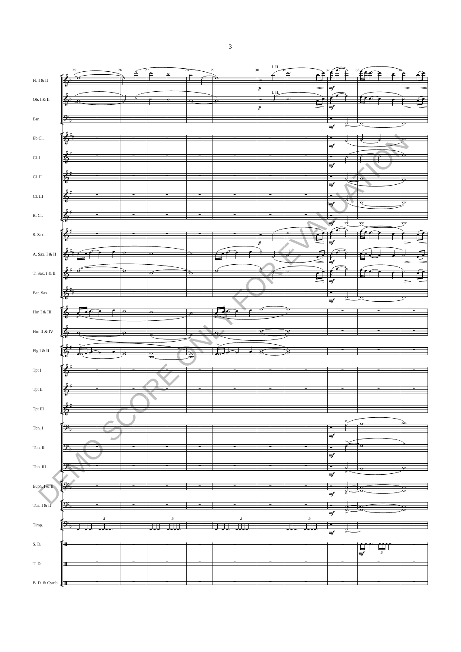|                                  |                                                 | 26               |              | $\overline{27}$      | 28                   | 29                       | Ι. Π.<br>$30\,$  | 31                       |                          |                                            |               |                              |
|----------------------------------|-------------------------------------------------|------------------|--------------|----------------------|----------------------|--------------------------|------------------|--------------------------|--------------------------|--------------------------------------------|---------------|------------------------------|
|                                  | 25                                              |                  |              | ₽                    |                      |                          |                  | İ.                       |                          | Ë£€                                        |               |                              |
|                                  |                                                 |                  |              |                      |                      |                          |                  |                          |                          |                                            |               |                              |
| Fl. I & II                       | $\hat{\mathbb{P}}$                              |                  |              |                      |                      |                          |                  |                          |                          |                                            |               |                              |
|                                  |                                                 |                  |              |                      |                      |                          | $\boldsymbol{p}$ |                          | $\eta f$                 |                                            |               | $\Rightarrow$                |
|                                  |                                                 |                  |              |                      |                      |                          |                  |                          |                          |                                            |               |                              |
|                                  |                                                 |                  |              |                      |                      |                          | $\frac{1}{2}$    |                          |                          |                                            |               |                              |
| Ob. I & II                       |                                                 |                  |              |                      |                      |                          |                  | $\overline{\mathbf{r}}$  |                          |                                            |               | $\widehat{\boldsymbol{C}}$ , |
|                                  | $\Phi$                                          |                  |              |                      |                      | $\overline{\phantom{a}}$ |                  |                          |                          |                                            |               |                              |
|                                  |                                                 |                  |              |                      |                      |                          | $\boldsymbol{p}$ |                          | m f                      |                                            |               |                              |
|                                  |                                                 |                  |              |                      |                      |                          |                  |                          |                          |                                            |               |                              |
|                                  |                                                 |                  |              |                      |                      |                          |                  |                          |                          |                                            |               |                              |
| $_{\rm Bsn}$                     | E                                               |                  |              |                      |                      |                          |                  |                          |                          |                                            |               |                              |
|                                  |                                                 |                  |              |                      |                      |                          |                  |                          |                          |                                            |               |                              |
|                                  |                                                 |                  |              |                      |                      |                          |                  |                          | m f                      |                                            |               |                              |
|                                  |                                                 |                  |              |                      |                      |                          |                  |                          |                          |                                            |               |                              |
|                                  |                                                 |                  |              |                      |                      |                          |                  |                          |                          |                                            |               |                              |
| $\operatorname{Eb}$ Cl.          | $\breve{\phantom{a}}$                           |                  |              |                      |                      |                          |                  |                          |                          |                                            |               |                              |
|                                  |                                                 |                  |              |                      |                      |                          |                  |                          |                          |                                            |               |                              |
|                                  |                                                 |                  |              |                      |                      |                          |                  |                          | $\it mf$                 |                                            |               |                              |
|                                  |                                                 |                  |              |                      |                      |                          |                  |                          |                          |                                            |               |                              |
|                                  |                                                 |                  |              |                      |                      |                          |                  |                          |                          |                                            |               | $\overline{\bullet}$         |
| $\mathop{\rm Cl}\nolimits.$ I    | $\overline{\bm{6}}$                             |                  |              |                      |                      |                          |                  |                          |                          |                                            |               |                              |
|                                  |                                                 |                  |              |                      |                      |                          |                  |                          |                          |                                            |               |                              |
|                                  |                                                 |                  |              |                      |                      |                          |                  |                          | $\it mf$                 |                                            |               |                              |
|                                  |                                                 |                  |              |                      |                      |                          |                  |                          |                          |                                            |               |                              |
|                                  |                                                 |                  |              |                      |                      |                          |                  |                          |                          |                                            |               |                              |
| Cl. $\rm II$                     |                                                 |                  |              |                      |                      |                          |                  |                          |                          |                                            |               | $\overline{\mathbf{p}}$      |
|                                  |                                                 |                  |              |                      |                      |                          |                  |                          |                          |                                            |               |                              |
|                                  |                                                 |                  |              |                      |                      |                          |                  |                          | m f                      |                                            |               |                              |
|                                  |                                                 |                  |              |                      |                      |                          |                  |                          |                          |                                            |               |                              |
| $\rm Cl.$ $\rm III$              |                                                 |                  |              |                      |                      |                          |                  |                          |                          |                                            |               |                              |
|                                  |                                                 |                  |              |                      |                      |                          |                  |                          |                          |                                            |               |                              |
|                                  |                                                 |                  |              |                      |                      |                          |                  |                          | mf                       | হ                                          |               | তু                           |
|                                  |                                                 |                  |              |                      |                      |                          |                  |                          |                          |                                            |               |                              |
|                                  |                                                 |                  |              |                      |                      |                          |                  |                          |                          |                                            |               |                              |
| $\,$ B. Cl.                      | 6                                               |                  |              |                      |                      |                          |                  |                          |                          |                                            |               |                              |
|                                  |                                                 |                  |              |                      |                      |                          |                  |                          |                          |                                            |               |                              |
|                                  |                                                 |                  |              |                      |                      |                          |                  |                          | mf                       | ਜ਼                                         |               | ŷ                            |
|                                  |                                                 |                  |              |                      |                      |                          |                  |                          |                          |                                            |               |                              |
|                                  |                                                 |                  |              |                      |                      |                          |                  |                          |                          |                                            |               |                              |
| S. Sax.                          |                                                 |                  |              |                      |                      |                          |                  |                          |                          |                                            |               |                              |
|                                  |                                                 |                  |              |                      |                      |                          |                  |                          |                          |                                            |               |                              |
|                                  |                                                 |                  |              |                      |                      |                          | $\boldsymbol{p}$ | 탿                        | $\eta f$                 |                                            |               | =                            |
|                                  |                                                 |                  |              |                      |                      |                          |                  |                          |                          |                                            |               |                              |
|                                  |                                                 |                  |              |                      |                      |                          |                  |                          |                          |                                            |               |                              |
| A. Sax. I & $\Pi$                | 6                                               |                  |              | $\mathbf{\Omega}$    | $\overline{\bullet}$ |                          |                  |                          |                          |                                            |               | Ę                            |
|                                  |                                                 |                  |              |                      |                      |                          |                  | $\overline{\mathcal{L}}$ |                          |                                            |               |                              |
|                                  |                                                 |                  |              |                      |                      |                          |                  |                          | $\frac{r}{m}$            |                                            |               | $\Rightarrow$                |
|                                  |                                                 |                  |              |                      |                      |                          |                  |                          |                          |                                            |               |                              |
|                                  |                                                 |                  | $\mathbf{p}$ |                      |                      |                          |                  |                          |                          |                                            |               |                              |
| T. Sax. I & II                   | জ                                               |                  |              | ಕ                    | रू                   |                          |                  |                          |                          |                                            |               |                              |
|                                  |                                                 |                  |              |                      |                      |                          |                  |                          |                          |                                            |               | Ĺ                            |
|                                  |                                                 |                  |              |                      |                      |                          |                  | Ľ                        | $\eta f$                 |                                            |               | $\Rightarrow$                |
|                                  |                                                 |                  |              |                      |                      |                          |                  |                          |                          |                                            |               |                              |
|                                  |                                                 |                  |              |                      |                      |                          |                  |                          |                          |                                            |               |                              |
| Bar. Sax.                        | কি                                              |                  |              |                      |                      |                          |                  |                          |                          |                                            |               |                              |
|                                  |                                                 |                  |              |                      |                      |                          |                  |                          |                          |                                            |               |                              |
|                                  |                                                 |                  |              |                      |                      |                          |                  |                          | m f                      |                                            |               |                              |
|                                  |                                                 |                  |              |                      |                      |                          |                  |                          |                          |                                            |               |                              |
| Hrn I & III                      |                                                 |                  |              | $\overline{\bullet}$ |                      | ≠                        |                  |                          |                          |                                            |               |                              |
|                                  |                                                 |                  |              |                      | $\sigma$             |                          |                  |                          |                          |                                            |               |                              |
|                                  |                                                 |                  |              |                      |                      |                          |                  |                          |                          |                                            |               |                              |
|                                  |                                                 |                  |              |                      |                      |                          |                  |                          |                          |                                            |               |                              |
|                                  |                                                 |                  |              |                      |                      |                          |                  |                          |                          |                                            |               |                              |
|                                  |                                                 |                  |              |                      |                      |                          |                  |                          |                          |                                            |               |                              |
|                                  |                                                 |                  |              |                      |                      |                          |                  |                          |                          |                                            |               |                              |
| Hrn II & IV                      | ⊺                                               |                  |              |                      |                      | $\bullet$                | इ                | ă                        |                          |                                            |               |                              |
|                                  |                                                 |                  |              |                      |                      |                          |                  |                          |                          |                                            |               |                              |
|                                  |                                                 |                  |              |                      |                      |                          |                  |                          |                          |                                            |               |                              |
|                                  |                                                 |                  |              |                      |                      |                          |                  |                          |                          |                                            |               |                              |
|                                  |                                                 |                  |              |                      |                      |                          | я                |                          |                          |                                            |               |                              |
| Flg I & II                       |                                                 |                  |              | p                    |                      |                          |                  |                          |                          |                                            |               |                              |
|                                  |                                                 |                  |              |                      | हे                   |                          |                  |                          |                          |                                            |               |                              |
|                                  |                                                 |                  |              |                      |                      |                          |                  |                          |                          |                                            |               |                              |
|                                  |                                                 |                  |              |                      |                      |                          |                  |                          |                          |                                            |               |                              |
|                                  |                                                 |                  |              |                      |                      |                          |                  |                          |                          |                                            |               |                              |
| $\operatorname{Tpt}$ I           |                                                 |                  |              |                      |                      |                          |                  |                          |                          |                                            |               |                              |
|                                  |                                                 |                  |              |                      |                      |                          |                  |                          |                          |                                            |               |                              |
|                                  |                                                 |                  |              |                      |                      |                          |                  |                          |                          |                                            |               |                              |
|                                  |                                                 |                  |              |                      |                      |                          |                  |                          |                          |                                            |               |                              |
| $\operatorname{Tpt}\nolimits\Pi$ |                                                 |                  |              |                      |                      |                          |                  |                          |                          |                                            |               |                              |
|                                  | ∲                                               |                  |              |                      |                      |                          |                  |                          |                          |                                            |               |                              |
|                                  |                                                 |                  |              |                      |                      |                          |                  |                          |                          |                                            |               |                              |
|                                  |                                                 |                  |              |                      |                      |                          |                  |                          |                          |                                            |               |                              |
|                                  |                                                 |                  |              |                      |                      |                          |                  |                          |                          |                                            |               |                              |
| $\operatorname{Tpt}$ III         |                                                 |                  |              |                      |                      |                          |                  |                          |                          |                                            |               |                              |
|                                  | 唪<br>ಀ                                          |                  |              |                      |                      |                          |                  |                          |                          |                                            |               |                              |
|                                  |                                                 |                  |              |                      |                      |                          |                  |                          |                          |                                            |               |                              |
|                                  |                                                 |                  |              |                      |                      |                          |                  |                          |                          |                                            |               |                              |
| Tbn. $\rm I$                     |                                                 |                  |              |                      |                      |                          |                  |                          |                          |                                            |               |                              |
|                                  | $\mathfrak{D}_{\overline{\flat}}$               |                  |              |                      |                      |                          |                  |                          |                          |                                            |               |                              |
|                                  |                                                 |                  |              |                      |                      |                          |                  |                          |                          |                                            |               |                              |
|                                  |                                                 |                  |              |                      |                      |                          |                  |                          | $\boxed{\textit{mf}}$    |                                            |               |                              |
|                                  |                                                 |                  |              |                      |                      |                          |                  |                          |                          |                                            |               |                              |
| Tbn. $\rm II$                    | $\mathbf{\mathfrak{P}}_{\mathbf{\mathfrak{p}}}$ |                  |              |                      |                      |                          |                  |                          |                          |                                            |               |                              |
|                                  |                                                 |                  |              |                      |                      |                          |                  |                          |                          |                                            |               |                              |
|                                  |                                                 |                  |              |                      |                      |                          |                  |                          | $\it mf$                 |                                            |               |                              |
|                                  |                                                 |                  |              |                      |                      |                          |                  |                          |                          |                                            |               |                              |
|                                  |                                                 |                  |              |                      |                      |                          |                  |                          |                          |                                            |               |                              |
| Tbn. III $\,$                    | $\mathfrak{I}_\flat$                            |                  |              |                      |                      |                          |                  |                          | Ξ                        |                                            |               | $\overline{\mathbf{Q}}$      |
|                                  |                                                 |                  |              |                      |                      |                          |                  |                          |                          |                                            |               |                              |
|                                  |                                                 |                  |              |                      |                      |                          |                  |                          | $\it mf$                 |                                            |               |                              |
|                                  |                                                 |                  |              |                      |                      |                          |                  |                          |                          |                                            |               |                              |
|                                  |                                                 |                  |              |                      |                      |                          |                  |                          |                          |                                            |               |                              |
|                                  | Đ,                                              |                  |              |                      |                      |                          |                  |                          |                          | ō                                          |               |                              |
|                                  |                                                 |                  |              |                      |                      |                          |                  |                          |                          |                                            |               | प्रव                         |
| Euph. I & $\Pi$                  |                                                 |                  |              |                      |                      |                          |                  |                          | $\it mf$                 |                                            |               |                              |
|                                  |                                                 |                  |              |                      |                      |                          |                  |                          |                          |                                            |               |                              |
|                                  |                                                 |                  |              |                      |                      |                          |                  |                          |                          |                                            |               |                              |
| Tba. I & II                      | $\mathbf{\mathcal{D}_{\mathrm{b}}}$             |                  |              |                      |                      |                          |                  |                          |                          | Ó                                          |               | þ                            |
|                                  |                                                 |                  |              |                      |                      |                          |                  |                          |                          |                                            |               |                              |
|                                  |                                                 |                  |              |                      |                      |                          |                  |                          | $\overline{mf}$          |                                            |               |                              |
|                                  |                                                 | $\boldsymbol{s}$ |              | $\boldsymbol{s}$     |                      | 3                        |                  | $\boldsymbol{s}$         |                          |                                            |               |                              |
| $\mbox{Timp.}$                   | ୬                                               |                  |              |                      |                      |                          |                  | F.                       | ╼                        |                                            |               |                              |
|                                  |                                                 |                  |              | 用                    |                      |                          |                  | 黒                        |                          |                                            |               |                              |
|                                  |                                                 |                  |              |                      |                      |                          |                  |                          | $\overline{\mathit{mf}}$ |                                            |               |                              |
|                                  |                                                 |                  |              |                      |                      |                          |                  |                          |                          |                                            |               |                              |
|                                  |                                                 |                  |              |                      |                      |                          |                  |                          |                          |                                            |               |                              |
|                                  | ᆊ                                               |                  |              |                      |                      |                          |                  |                          |                          |                                            |               |                              |
| $\mathbf S.$ D.                  |                                                 |                  |              |                      |                      |                          |                  |                          |                          |                                            |               |                              |
|                                  |                                                 |                  |              |                      |                      |                          |                  |                          |                          |                                            | $\frac{1}{3}$ |                              |
|                                  |                                                 |                  |              |                      |                      |                          |                  |                          |                          | $\prod_{\scriptstyle\gamma\in\mathcal{F}}$ |               |                              |
|                                  | ш                                               |                  |              |                      |                      |                          |                  |                          |                          |                                            |               |                              |
| $\mathcal{T}.\ \mathcal{D}.$     |                                                 |                  |              |                      |                      |                          |                  |                          |                          |                                            |               |                              |
|                                  |                                                 |                  |              |                      |                      |                          |                  |                          |                          |                                            |               |                              |
|                                  |                                                 |                  |              |                      |                      |                          |                  |                          |                          |                                            |               |                              |
| B.D. & Cymb.                     |                                                 |                  |              |                      |                      |                          |                  |                          |                          |                                            |               |                              |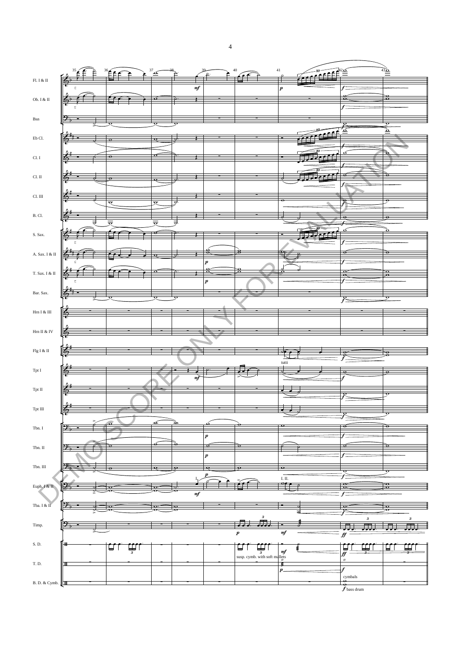

 $\overset{\bullet}{f}$ bass drum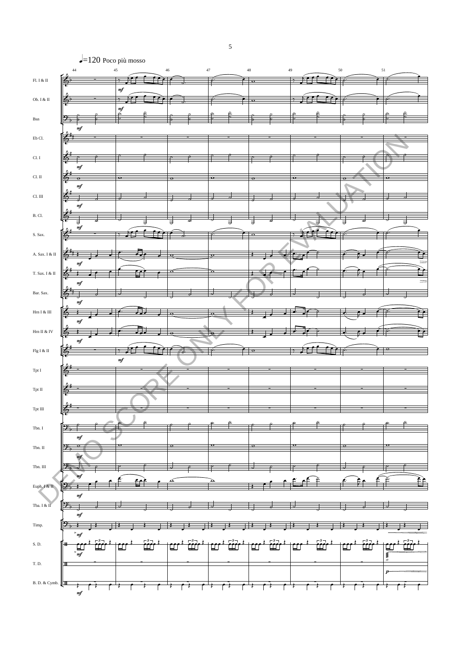$=120$  Poco più mosso 44 45 45 46 47 48 49 50 51 Fl. I & II Ob. I & II Bsn Eb Cl. Cl. I Cl. II Cl. III B. Cl. S. Sax. A. Sax. I & II T. Sax. I & II Bar. Sax. Hrn I & III Hrn II & IV Flg I & II Tpt I Tpt II Tpt III Tbn. I Tbn. II Tbn. III Euph. I &  $\Pi$ Tba. I & II Timp. S. D. T. D. B. D. & Cymb. Ł [2 Ł  $\left( \frac{1}{2} \right)$ Ł Ľ Ł Ľ  $\frac{1}{2}$ Ų ⊯ lĢ. Ł  $\frac{2}{3}$ Ł Ľ  $\mathbb{R}$ Ľ Ł 2 ┢ mf  $\frac{1}{2}$  $\mathbb{C}$   $\mathbb{C}$   $\mathbb{C}$   $\mathbb{C}$   $\mathbb{C}$   $\mathbb{C}$   $\mathbb{C}$   $\mathbb{C}$   $\mathbb{C}$   $\mathbb{C}$   $\mathbb{C}$   $\mathbb{C}$   $\mathbb{C}$   $\mathbb{C}$   $\mathbb{C}$   $\mathbb{C}$   $\mathbb{C}$   $\mathbb{C}$   $\mathbb{C}$   $\mathbb{C}$   $\mathbb{C}$   $\mathbb{C}$   $\mathbb{C}$   $\mathbb{C}$   $\mathbb{$   $\overset{\circ}{\diamond}$  mf jer C  $\mathbb{C}$  or  $\mathbb{C}$  or  $\mathbb{C}$  .  $\sqrt{1-\frac{1}{2}}$  $2_{\frac{1}{2}}$ mf p  $\frac{3}{2}$  $\frac{3}{2}$  $\begin{matrix} \frac{\partial}{\partial} & \frac{\partial}{\partial} \end{matrix}$  $\frac{2}{3}$  $\overset{\circ}{\mathsf{p}}\qquad \overset{\circ}{\mathsf{p}}$  $\frac{3}{2}$  $\overset{\bullet}{\mathsf{p}}$  $\frac{2}{3}$  $\overset{\circ}{\mathsf{P}}$  $\frac{1}{2}$  $\frac{1}{2}$  $rac{2}{5}$  $\frac{1}{2}$  $\frac{1}{2}$  $\frac{3}{5}$ E  $\delta^*$  $\blacksquare$  . The contract of the contract of the contract of the contract of  $\blacksquare$  $\hat{\mathbb{S}}^*$ mf  $\hat{\mathscr{C}}$ mf  $\delta^*$ mf  $\hat{\mathbb{S}}^*$ mf  $\frac{1}{\sigma}$  , and the set of the set of the set of the set of the set of the set of the set of the set of the set of the set of the set of the set of the set of the set of the set of the set of the set of the set of the se  $k^*$  ,  $\cdots$  ,  $\cdots$  $\mathbb{C}$   $\mathbb{C}$   $\mathbb{C}$   $\mathbb{C}$   $\mathbb{C}$   $\mathbb{C}$   $\mathbb{C}$   $\mathbb{C}$   $\mathbb{C}$   $\mathbb{C}$   $\mathbb{C}$   $\mathbb{C}$   $\mathbb{C}$   $\mathbb{C}$   $\mathbb{C}$   $\mathbb{C}$   $\mathbb{C}$   $\mathbb{C}$   $\mathbb{C}$   $\mathbb{C}$   $\mathbb{C}$   $\mathbb{C}$   $\mathbb{C}$   $\mathbb{C}$   $\mathbb{$ ic Liri  $\mathbf{\hat{e}}^*$ ⇉ mf <del>the control of the control of the control of the control of the control of the control of the control of the control of the control of the control of the control of the control of the control of the control of the control</del>  $\frac{1}{2}$  $\hat{\mathscr{C}}$ mf  $\alpha$ ╘ mf <del>j de la jedijad la je je do je do jedno</del> je do je do je do je do je do je do je do je do je do je do je do je d<br>Do je do je do je do je do je do je do je do je do je do je do je do je do je do je do je do je do je do je d mf  $\frac{1}{2}$ mf  $\overline{a}$  , and  $\overline{a}$  , and  $\overline{a}$  , and  $\overline{a}$  , and  $\overline{a}$  , and  $\overline{a}$  $\frac{1}{2}$  ,  $\frac{1}{2}$  ,  $\frac{1}{2}$  ,  $\frac{1}{2}$  ,  $\frac{1}{2}$  $\stackrel{\circ}{\circ}$  mf  $\lambda$ r f  $\mathbb{C}$   $\mathbb{C}$   $\mathbb{C}$   $\mathbb{C}$   $\mathbb{C}$   $\mathbb{C}$   $\mathbb{C}$   $\mathbb{C}$   $\mathbb{C}$   $\mathbb{C}$   $\mathbb{C}$   $\mathbb{C}$   $\mathbb{C}$   $\mathbb{C}$   $\mathbb{C}$   $\mathbb{C}$   $\mathbb{C}$   $\mathbb{C}$   $\mathbb{C}$   $\mathbb{C}$   $\mathbb{C}$   $\mathbb{C}$   $\mathbb{C}$   $\mathbb{C}$   $\mathbb{$  $\overbrace{\hspace{2.5cm}}$  $k^*$  and the contract of the contract of the contract of the contract of the contract of the contract of the contract of the contract of the contract of the contract of the contract of the contract of the contract of the  $k$  and the contract of the contract of the contract of the contract of the contract of the contract of the contract of the contract of the contract of the contract of the contract of the contract of the contract of the c  $k$  , where the contract of the contract of the contract of the contract of the contract of the contract of the contract of the contract of the contract of the contract of the contract of the contract of the contract of t mf 9≒ mf  $\hat{\mathbf{y}}_{\flat}$ mf de pe de ppe de ppe de pp mf  $\frac{1}{\sqrt{2}}$  $\frac{1}{2}$ mf .<br>m  $\frac{1}{m}$ eee<del>t eeee tijder tijdert iere teensteen teensteen teensteen tijder tijder teenste<sup>3</sup> jeret eeer<sup>t</sup>e</del>  $\mathfrak p$ Ш  $\frac{2}{8}$ mf <del>्राप्त संस्थापित स्थापना । स्थापना स्थापना । स्थापना स्थापना स्थापना स्थापना स्थापना स्थापना । स्थापना स्थापना<br>३ स्थापना स्थापना स्थापना स्थापना स्थापना स्थापना स्थापना स्थापना स्थापना स्थापना स्थापना स्थापना स्थापना स्</del> DEMO SCORE ONLY FOR EVALUATION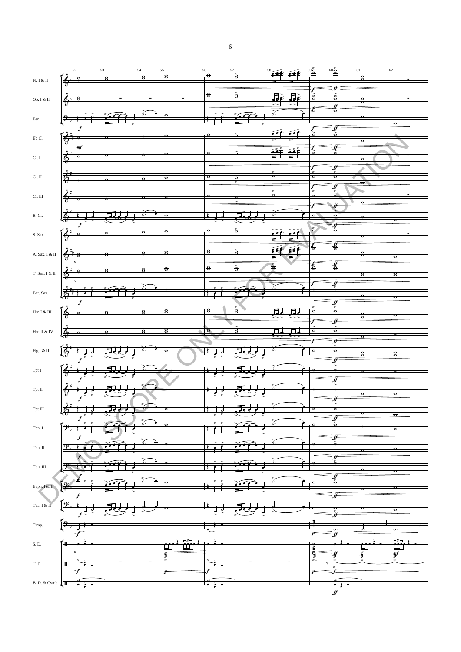|                                  | $52\,$<br>53                  |             | 54<br>55             | 56                        |                      | $rac{57}{12}$              | 58 > 28            | ં≩<br>š            | $\frac{59}{9}$       | $\overline{\mathbf{B}}^{60}$<br>61          | 62                        |                           |
|----------------------------------|-------------------------------|-------------|----------------------|---------------------------|----------------------|----------------------------|--------------------|--------------------|----------------------|---------------------------------------------|---------------------------|---------------------------|
| Fl. I & II                       | $\overline{\mathbb{e}}$<br>-8 | 8           | 8                    | 8                         | 8                    |                            |                    |                    |                      |                                             | $\mathbf{e}$              |                           |
|                                  |                               |             |                      |                           |                      |                            |                    |                    |                      | $\pmb{\mathit{ff}}$                         |                           |                           |
| Ob. I & $\rm II$                 | $\overline{\mathbb{P}}$<br>8  |             |                      |                           | $\frac{8}{5}$        | $\tilde{\hat{B}}$          | $\bar{\mathbf{z}}$ | $\bar{\mathbf{z}}$ | 3                    | $\frac{5}{6}$                               | $\frac{1}{\circ}$         |                           |
|                                  |                               |             |                      |                           |                      |                            |                    |                    |                      | $\frac{f}{\Delta}$                          |                           |                           |
|                                  |                               |             |                      |                           |                      |                            |                    |                    | Ł                    |                                             | $\overline{\bullet}$      |                           |
| $_{\rm Bsn}$                     | ኃ                             |             |                      |                           | ┲                    |                            |                    |                    |                      |                                             |                           | $\,{}^{\circ}$            |
|                                  | $\boldsymbol{f}$              |             |                      |                           |                      | $\tilde{\mathbf{o}}$       | èÈ                 | ě                  |                      | $\frac{f}{\sigma}$                          |                           |                           |
| $\operatorname{Eb}$ Cl.          | $\frac{2}{6}$ $\frac{1}{6}$   | $\mathbf o$ |                      |                           |                      |                            |                    |                    |                      |                                             | $\circ$                   |                           |
|                                  | m f                           |             |                      |                           |                      | š                          |                    | i.<br>⊟⊟           |                      | ff<br>0                                     |                           |                           |
| Cl. I                            | $\sigma$                      | Ð           |                      |                           |                      |                            |                    |                    |                      |                                             | $\bullet$                 |                           |
|                                  |                               |             |                      |                           |                      |                            |                    |                    |                      | $\frac{f}{f}$                               |                           |                           |
| $\rm Cl.$ $\rm II$               | 6                             |             | $\overline{\bullet}$ | $\mathbf{\sigma}$         | $\overline{\bullet}$ | $\overline{\mathbf{c}}$    | $\circ$            |                    | $\overline{\bullet}$ | $\overline{\mathbf{e}}$                     |                           |                           |
|                                  |                               |             |                      |                           |                      |                            |                    |                    |                      |                                             | $\mathbf{\alpha}$         |                           |
|                                  |                               |             |                      |                           |                      |                            | $\circ$            |                    |                      | $\frac{d}{dt}$<br>$\overline{\mathbf{e}}$   |                           |                           |
| $\rm Cl.$ $\rm III$              |                               |             | $\overline{\bullet}$ | $\sigma$                  | $\bullet$            | $\circ$<br>⋝               |                    |                    | $\circ$              |                                             | $\sigma$                  |                           |
|                                  |                               |             |                      |                           |                      |                            |                    |                    |                      | $\frac{f}{f}$                               |                           |                           |
| $\,$ B. Cl.                      |                               |             |                      |                           |                      |                            |                    |                    | $\overline{\bullet}$ | $\overline{\bullet}$                        | $\overline{\mathbf{e}}$   |                           |
|                                  | f                             |             |                      |                           |                      |                            |                    |                    |                      | $\bar{f}$<br>ō                              |                           |                           |
| S. Sax.                          |                               | $\bullet$   |                      |                           |                      | $\bullet$                  |                    |                    |                      |                                             | $\bullet$                 |                           |
|                                  |                               |             |                      |                           |                      |                            |                    |                    | $\frac{1}{\Phi}$     | $\frac{f}{\frac{1}{2}}$                     |                           |                           |
| A. Sax. I & II                   | $\frac{1}{6}$                 | 8           | 8                    | 8                         | 8                    | $\check{\hat{\mathbf{g}}}$ |                    | ji f               |                      |                                             | $\frac{8}{6}$             | ō                         |
|                                  |                               |             |                      |                           |                      |                            |                    |                    |                      | $\frac{f}{8}$                               |                           |                           |
| T. Sax. I & II                   | $\phi^*$<br>-8                | 8           | 8                    | 8                         | $\theta$             | $\frac{1}{8}$              | š                  |                    | $\frac{1}{8}$        |                                             | $\overline{\mathbf{8}}$   | €                         |
|                                  |                               |             |                      |                           |                      |                            |                    |                    |                      |                                             |                           |                           |
|                                  |                               |             |                      |                           |                      |                            |                    |                    |                      | $\oint_{\delta}$                            |                           |                           |
| Bar. Sax.                        | ֍                             |             |                      |                           |                      |                            |                    |                    |                      |                                             | p                         | ०                         |
|                                  | $\mathbf f$                   |             |                      |                           |                      |                            |                    |                    |                      | $\bar{f}$                                   |                           |                           |
| Hrn I & III                      | ∲<br>$\mathbf{\sigma}$        | 8           | 8                    | 8                         | 8                    | $\overline{\mathbf{a}}$    | JJ.                | <u>Д.</u>          | $\mathbf{\Omega}$    | $\circ$                                     | $\frac{\bullet}{\bullet}$ |                           |
|                                  |                               |             |                      |                           |                      |                            |                    |                    |                      | $\bar{f}$                                   |                           |                           |
|                                  |                               |             |                      |                           |                      |                            |                    |                    |                      |                                             |                           |                           |
| Hrn II & IV                      |                               |             | 8                    | 8                         | 8                    | 8                          |                    |                    | $\mathbf{\Omega}$    | $\frac{>}{\alpha}$                          |                           |                           |
|                                  | €                             |             |                      |                           |                      |                            |                    | ₹                  |                      |                                             | $\overline{\bullet}$      |                           |
|                                  |                               |             |                      | e                         | ₽                    |                            |                    |                    |                      | $\frac{f}{f}$<br>$\overline{\bullet}$       |                           |                           |
| Flg I & II                       | 尊                             |             |                      |                           |                      |                            |                    |                    |                      |                                             | $\overline{\mathbf{e}}$   | $\frac{1}{8}$             |
|                                  |                               |             |                      |                           |                      |                            |                    |                    |                      | $f\!\!\bar f$<br>$\geq$                     |                           |                           |
| Tpt I                            | ⊚                             |             |                      | $\circ$                   | £                    |                            |                    |                    | $\overline{\bullet}$ | $\overline{\bullet}$                        | $\overline{\bullet}$      | $\overline{\bullet}$      |
|                                  |                               |             |                      |                           |                      |                            |                    |                    |                      | $\int\limits_{-\infty}^{\infty}$            |                           |                           |
| $\operatorname{Tpt}\nolimits\Pi$ | ∲                             | <u>.</u>    |                      | $\bullet$                 |                      |                            |                    |                    | ө                    | $\circ$                                     | $\overline{\cdot}$        | $\overline{\sigma}$       |
|                                  |                               |             |                      |                           |                      |                            |                    |                    |                      |                                             |                           |                           |
| $\operatorname{Tpt}$ III         | $\mathcal{L}$                 | 凡           |                      | $\bullet$                 | Ŧ<br>┋═              | 只                          |                    |                    | -е                   | $\int_{-\infty}$<br>$\overline{\mathbf{e}}$ | σ                         |                           |
|                                  | $\bullet$                     |             |                      |                           |                      |                            |                    |                    |                      |                                             |                           | $\mathbf{\sigma}$         |
| Tbn. $\rm I$                     |                               |             |                      |                           |                      |                            |                    |                    |                      | ff<br><del>o</del>                          | $\bullet$                 | $\bullet$                 |
|                                  |                               |             |                      |                           |                      |                            |                    |                    |                      |                                             |                           |                           |
|                                  |                               |             |                      |                           |                      |                            |                    |                    |                      | $\frac{f}{\tilde{\mathbf{e}}}$              |                           | $\mathbf{\Omega}$         |
| Tbn. $\rm II$                    |                               |             |                      |                           |                      |                            |                    |                    |                      |                                             | $\mathbf{\Omega}$         |                           |
|                                  |                               |             |                      |                           |                      |                            |                    |                    |                      | $\frac{f}{\delta}$                          |                           |                           |
| Tbn. $\rm III$                   | 9                             |             |                      |                           |                      |                            |                    |                    |                      |                                             |                           | $\mathbf \sigma$          |
|                                  |                               |             |                      |                           |                      |                            |                    |                    |                      | ff<br>$\bullet$                             |                           |                           |
|                                  |                               |             |                      |                           |                      |                            |                    |                    |                      |                                             | $\overline{\mathbf{c}}$   | $\circ$                   |
|                                  | f                             |             |                      |                           |                      |                            |                    |                    |                      | $f\bar{f}$                                  |                           |                           |
| Tba. I & II                      |                               |             |                      |                           |                      |                            |                    |                    |                      | ě                                           |                           |                           |
|                                  |                               |             |                      |                           |                      |                            |                    |                    |                      | ff                                          |                           |                           |
|                                  |                               |             |                      |                           |                      |                            |                    |                    | ៰៓                   |                                             |                           |                           |
|                                  |                               |             |                      |                           |                      |                            |                    |                    | p                    |                                             |                           |                           |
| Timp.                            | #                             |             |                      |                           |                      |                            |                    |                    |                      | $\bar{f}$                                   |                           |                           |
|                                  | Ξ                             |             |                      | $\overline{\mathbf{L}}^3$ |                      |                            |                    |                    |                      |                                             |                           | $\overline{\mathbf{f}}^3$ |
| $\mathbf S.$ D.                  |                               |             |                      | s m                       |                      |                            |                    |                    | $\sum_{\omega}$      | €                                           | $\mathbf{f}_\circ$        | $\mathbf{F}$              |
| Euph. I & $\Pi$<br>T. D.         | ц                             |             |                      |                           |                      |                            |                    |                    |                      |                                             |                           |                           |
|                                  | $\mathcal{F}$                 |             |                      | p                         |                      |                            |                    |                    | p                    |                                             |                           |                           |
| <b>B. D. &amp; Cymb.</b>         |                               |             |                      |                           |                      |                            |                    |                    |                      | $\frac{1}{f}$                               |                           |                           |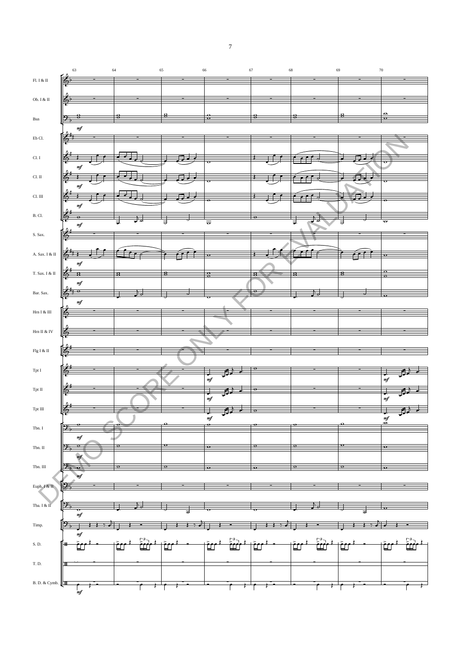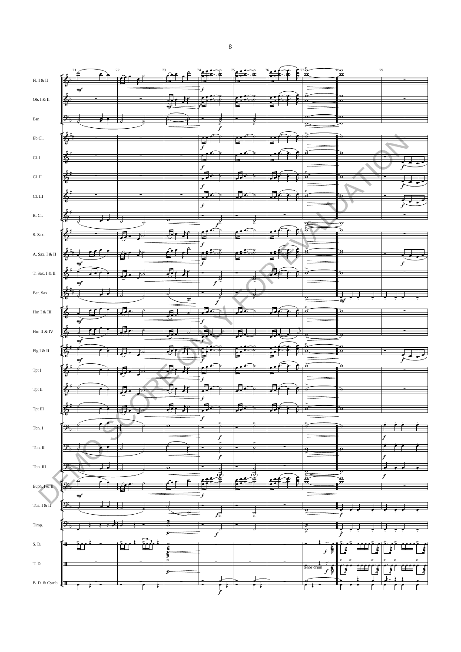|                                | 71                             | 72                              | 73                                                                                                                                                                                                                                                                                                                         |                      |      |                            | $\frac{276}{2}$                                   | $\frac{780}{2}$<br>≅    | 79               |
|--------------------------------|--------------------------------|---------------------------------|----------------------------------------------------------------------------------------------------------------------------------------------------------------------------------------------------------------------------------------------------------------------------------------------------------------------------|----------------------|------|----------------------------|---------------------------------------------------|-------------------------|------------------|
| Fl. I & II                     | 嚎<br>mf                        |                                 |                                                                                                                                                                                                                                                                                                                            |                      |      |                            |                                                   |                         |                  |
| Ob. I & $\rm II$               | ∲                              |                                 | $\begin{tabular}{ c c } \hline \quad \quad & \quad \quad & \quad \quad & \quad \quad \\ \hline \quad \quad & \quad \quad & \quad \quad \\ \hline \quad \quad & \quad \quad & \quad \quad \\ \hline \quad \quad & \quad \quad & \quad \quad \\ \hline \quad \quad & \quad \quad & \quad \quad \\ \hline \end{tabular}$<br>F |                      |      |                            |                                                   | õ                       |                  |
| Bsn                            | $\mathfrak{D}_{\flat}$         |                                 |                                                                                                                                                                                                                                                                                                                            |                      |      |                            |                                                   | ☜                       |                  |
|                                |                                |                                 |                                                                                                                                                                                                                                                                                                                            |                      |      |                            |                                                   | $\dot{\mathbf{o}}$      |                  |
| $\operatorname{Eb}$ Cl.        | $\epsilon$                     |                                 |                                                                                                                                                                                                                                                                                                                            | ∉ि                   | ??   | €                          |                                                   |                         |                  |
| $\mathop{\rm Cl.}\nolimits$ I  | 6                              |                                 |                                                                                                                                                                                                                                                                                                                            |                      |      |                            | ő                                                 | ە                       |                  |
| $\mathop{\rm Cl}\nolimits.$ II | 6                              |                                 |                                                                                                                                                                                                                                                                                                                            |                      | ♬    | ➤<br>f.                    | ᡒ                                                 | $\mathbf{e}$            |                  |
| $\rm Cl.$ $\rm III$            |                                |                                 |                                                                                                                                                                                                                                                                                                                            | ⋥₹                   | ♬€   | فيملغ<br>→<br>f.           | Ó                                                 | $\bullet$               | Ţ,               |
| B.Cl.                          |                                |                                 |                                                                                                                                                                                                                                                                                                                            |                      |      |                            |                                                   |                         |                  |
|                                |                                |                                 | J                                                                                                                                                                                                                                                                                                                          |                      |      |                            |                                                   | $\bullet$               |                  |
| S. Sax.                        |                                | J                               |                                                                                                                                                                                                                                                                                                                            |                      |      |                            |                                                   |                         |                  |
| A. Sax. I & II                 |                                |                                 |                                                                                                                                                                                                                                                                                                                            |                      | f    | ۶F                         |                                                   | B                       | $\boldsymbol{f}$ |
| T. Sax. I & $\Pi$              | mf<br>IĢ.                      |                                 | 尋                                                                                                                                                                                                                                                                                                                          |                      |      |                            |                                                   | $\overline{\bullet}$    |                  |
| Bar. Sax.                      | mf<br>জি                       |                                 |                                                                                                                                                                                                                                                                                                                            | $\overrightarrow{f}$ |      |                            |                                                   |                         |                  |
|                                |                                |                                 |                                                                                                                                                                                                                                                                                                                            | $\sum_{f}$           |      |                            |                                                   | $\frac{1}{m}$           |                  |
| Hrn I & III                    | ∲                              |                                 | J.                                                                                                                                                                                                                                                                                                                         | عمقه                 |      |                            | Ó                                                 | $\hat{\sigma}$          |                  |
| Hrn II & IV                    | 嚎                              |                                 | ŗ,                                                                                                                                                                                                                                                                                                                         |                      |      |                            |                                                   |                         |                  |
| Flg I & II                     | Ģ                              |                                 | रीह<br>ग्रे                                                                                                                                                                                                                                                                                                                |                      |      |                            |                                                   |                         |                  |
| Tpt I                          | mf<br>€                        | <u>, J.</u><br>₩                | $\bar{J}_1$                                                                                                                                                                                                                                                                                                                |                      |      |                            |                                                   |                         |                  |
| $Tpt$ $II$                     | ₹                              | $\overline{J}$<br>$\rightarrow$ | ₩                                                                                                                                                                                                                                                                                                                          | ♬                    | ♬€   | $\bar{J}$<br>$\frac{2}{2}$ | $\dot{\bullet}$                                   | $\dot{\mathbf{e}}$      |                  |
| $\operatorname{Tpt}$ III       | $6^{\circ}$ f                  | rr 15                           | $\downarrow$ , $\downarrow$                                                                                                                                                                                                                                                                                                | $\mathcal{L}$        |      | $\sqrt{2}$                 |                                                   | $\circ$                 |                  |
| Tbn. $I$                       | $\bullet$                      |                                 |                                                                                                                                                                                                                                                                                                                            |                      |      |                            |                                                   |                         |                  |
|                                |                                |                                 |                                                                                                                                                                                                                                                                                                                            | f                    |      |                            |                                                   |                         | f                |
| Tbn. $\rm II$                  |                                |                                 |                                                                                                                                                                                                                                                                                                                            | f                    |      |                            |                                                   | $\sigma$                |                  |
| Tbn. $\rm III$                 | ッ                              |                                 |                                                                                                                                                                                                                                                                                                                            |                      | ্তৃ) |                            |                                                   | $\mathbf{a}$            | $\boldsymbol{f}$ |
| Euph. I & $\Pi$                |                                |                                 |                                                                                                                                                                                                                                                                                                                            |                      |      |                            | $\frac{\tilde{\mathbf{p}}}{\mathbf{p}}$           | $\overline{\mathbf{e}}$ |                  |
| Tba. I & II                    | mf<br>$\mathcal{P}_\mathbb{R}$ |                                 |                                                                                                                                                                                                                                                                                                                            | $\boldsymbol{f}$     |      |                            |                                                   |                         |                  |
| Timp.                          |                                |                                 |                                                                                                                                                                                                                                                                                                                            |                      | ರ    |                            |                                                   |                         |                  |
| $\mathbf S.$ D.                |                                | $\sum_{i=1}^{n}$                |                                                                                                                                                                                                                                                                                                                            | $\boldsymbol{f}$     |      |                            |                                                   |                         |                  |
|                                |                                |                                 | <b>WAIN</b>                                                                                                                                                                                                                                                                                                                |                      |      |                            | 毛                                                 |                         | ŧ                |
| $\mathcal{T}$ . D.             | п                              |                                 |                                                                                                                                                                                                                                                                                                                            |                      |      |                            | $\frac{1}{\sqrt{\frac{1}{2}}\arctan \frac{1}{2}}$ | ŧ                       | Ţ                |
| B. D. & Cymb. $\Box$           |                                |                                 |                                                                                                                                                                                                                                                                                                                            |                      |      |                            |                                                   |                         |                  |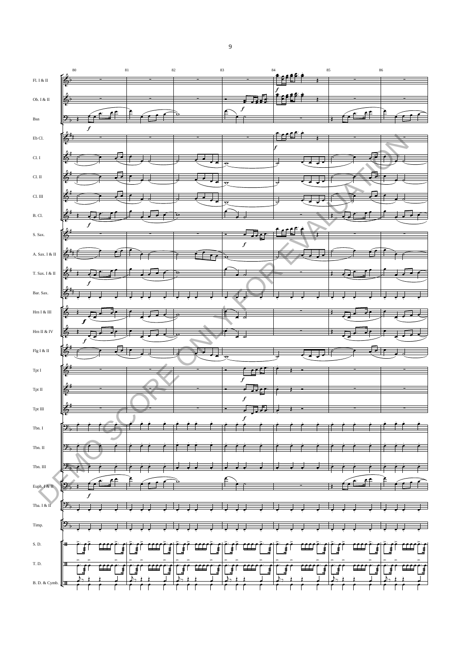|                      |                                            |                          |                                                                                    | <u>Friffit</u> |         |                               |
|----------------------|--------------------------------------------|--------------------------|------------------------------------------------------------------------------------|----------------|---------|-------------------------------|
| Fl. I & II           |                                            |                          |                                                                                    |                |         |                               |
|                      |                                            |                          |                                                                                    |                |         |                               |
| Ob. I & II           | $\Phi$                                     |                          |                                                                                    | Ħf             |         |                               |
|                      |                                            |                          |                                                                                    |                |         |                               |
| Bsn                  |                                            |                          |                                                                                    |                |         |                               |
|                      |                                            |                          |                                                                                    |                |         |                               |
| Eb Cl.               | $\mathcal{E}^*$                            |                          |                                                                                    |                |         |                               |
|                      |                                            |                          |                                                                                    |                |         |                               |
| $\mathop{\rm Cl}$ I  | $\epsilon$ $\epsilon$<br>$\phi^*$          |                          |                                                                                    |                |         |                               |
|                      |                                            | $\overline{\phantom{a}}$ |                                                                                    |                |         |                               |
|                      |                                            |                          |                                                                                    |                |         |                               |
| $\rm Cl.$ $\rm II$   | $\phi$                                     | $\overline{\phantom{a}}$ |                                                                                    |                |         |                               |
|                      |                                            |                          |                                                                                    |                |         |                               |
| $\rm Cl.$ $\rm III$  | $\blacklozenge$                            | ₹.                       |                                                                                    |                | Ţ       |                               |
|                      |                                            |                          |                                                                                    |                |         |                               |
| B. Cl.               | $\mathbf{C}^*$<br><u> Ramani</u>           | $\exists$                |                                                                                    |                |         |                               |
|                      |                                            |                          |                                                                                    |                |         |                               |
| S. Sax.              | $\frac{2}{6}$                              |                          |                                                                                    |                |         |                               |
|                      |                                            |                          | $\frac{1}{\sqrt{2}}$                                                               |                |         |                               |
| A. Sax. I & $\rm II$ |                                            | ≁                        |                                                                                    |                |         |                               |
|                      |                                            |                          |                                                                                    |                |         |                               |
| T. Sax. I & II       | ြံ့ ျေး ၃⊑                                 | $\bigcap_{i=1}^n$        | ▀▀▁▏▎▔▁▔▏                                                                          |                |         |                               |
|                      |                                            |                          |                                                                                    |                |         |                               |
| Bar. Sax.            | 攀                                          |                          |                                                                                    |                |         |                               |
|                      |                                            |                          |                                                                                    |                |         |                               |
|                      |                                            |                          |                                                                                    |                |         |                               |
| Hrn I & III          | $\frac{1}{2}$                              |                          |                                                                                    |                |         |                               |
|                      |                                            |                          |                                                                                    |                |         |                               |
| Hrn II & IV          | $\mathbb{R}$ , $\mathbb{S}$ , $\mathbb{S}$ |                          |                                                                                    |                |         |                               |
|                      |                                            |                          |                                                                                    |                |         |                               |
| Flg I & II           | !∲'                                        | <del>स्थित</del> ्       |                                                                                    |                |         |                               |
|                      |                                            |                          |                                                                                    |                |         |                               |
|                      |                                            |                          |                                                                                    |                |         |                               |
| Tpt I                |                                            |                          | E                                                                                  |                |         |                               |
|                      |                                            |                          | ءَ تڪ                                                                              |                |         |                               |
| Tpt II               |                                            |                          |                                                                                    |                |         |                               |
|                      | 尊                                          |                          | $\overline{\mathcal{D}_{\mathcal{G}}+}$                                            |                |         |                               |
| Tpt III              | $\mathcal{L}$                              |                          |                                                                                    |                |         |                               |
|                      | $\mathbf{C}$                               |                          |                                                                                    | $\Box$         |         |                               |
|                      |                                            |                          |                                                                                    |                |         |                               |
| Tbn. I               |                                            |                          |                                                                                    |                |         |                               |
|                      |                                            |                          |                                                                                    |                |         |                               |
| Tbn. II              |                                            |                          |                                                                                    |                |         |                               |
|                      |                                            |                          |                                                                                    |                |         |                               |
| Tbn. III             |                                            |                          |                                                                                    |                |         |                               |
|                      |                                            |                          |                                                                                    |                |         |                               |
| Euph. I & $\Pi$      |                                            |                          |                                                                                    |                |         |                               |
|                      | $\boldsymbol{f}$                           |                          |                                                                                    |                |         |                               |
| Tba. I & II          | $\mathbf{P}$                               |                          |                                                                                    |                |         |                               |
|                      |                                            |                          |                                                                                    |                |         |                               |
| Timp.                | ウ                                          |                          |                                                                                    |                |         |                               |
|                      |                                            |                          |                                                                                    |                |         |                               |
| S. D.                |                                            |                          |                                                                                    |                |         |                               |
|                      | t⊬<br>T <u>ing</u><br>▔┋▏<br>Γ≨Γ           |                          | <u>. Li mai l'Ili li ma l'Ili l'avai l'I</u>                                       | أتنتت كالإ     | ा।<br>Ţ | <u>ה המשחקה הר</u><br>TILIT ( |
| T. D.                | Щ                                          |                          |                                                                                    |                |         |                               |
|                      | م تو م                                     |                          | <u>ette kirklingu ette kirklingu ette kirklingu ette kirklingu ette kirklingu.</u> |                |         | <u>tra Lillia ma</u>          |
| B.D. & Cymb.         | $\mathbf{u}$                               |                          |                                                                                    |                |         |                               |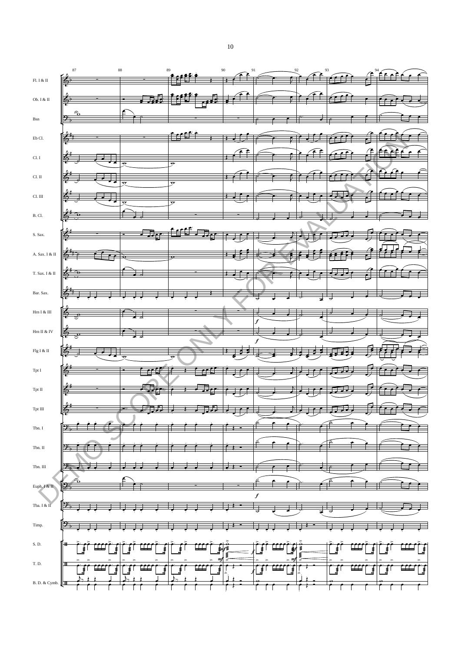| Fl. I & II                      | $\mathcal{L}$                |                               | <u>Friff f</u>                                                                                                                                                                                                                                                                                                                                      | $\frac{1}{\sqrt{2}}$ | $\implies$     |                               |                                                     | fi <u>mer finice</u>                 |
|---------------------------------|------------------------------|-------------------------------|-----------------------------------------------------------------------------------------------------------------------------------------------------------------------------------------------------------------------------------------------------------------------------------------------------------------------------------------------------|----------------------|----------------|-------------------------------|-----------------------------------------------------|--------------------------------------|
| Ob. I & II                      | $\Phi$                       | $\sqrt{2}$                    | $\begin{picture}(180,10) \put(0,0){\line(1,0){10}} \put(10,0){\line(1,0){10}} \put(10,0){\line(1,0){10}} \put(10,0){\line(1,0){10}} \put(10,0){\line(1,0){10}} \put(10,0){\line(1,0){10}} \put(10,0){\line(1,0){10}} \put(10,0){\line(1,0){10}} \put(10,0){\line(1,0){10}} \put(10,0){\line(1,0){10}} \put(10,0){\line(1,0){10}} \put(10,0){\line($ |                      |                | $\widehat{\mathcal{C}}$       | ∰<br>∰                                              | $\sqrt{2}$<br>≢                      |
| Bsn                             | ∍                            |                               |                                                                                                                                                                                                                                                                                                                                                     |                      |                |                               |                                                     |                                      |
| Eb Cl.                          |                              |                               |                                                                                                                                                                                                                                                                                                                                                     |                      |                |                               |                                                     |                                      |
|                                 |                              |                               |                                                                                                                                                                                                                                                                                                                                                     | €                    |                | Æf                            | <del>¥ा</del> मी                                    | <u>Attrict</u>                       |
| Cl. I                           | $\phi$                       |                               | $\overline{\mathbf{v}}$                                                                                                                                                                                                                                                                                                                             |                      |                |                               |                                                     |                                      |
| $\rm Cl.$ $\rm II$              | 6<br>一                       |                               | $\overline{\mathbf{v}}$                                                                                                                                                                                                                                                                                                                             | ⇉                    |                | $5$ $\uparrow$                | <u>Alar Ali</u> n                                   |                                      |
| $\mathop{\rm Cl}\nolimits.$ III |                              |                               | $\overline{\mathbf{v}}$                                                                                                                                                                                                                                                                                                                             |                      |                |                               | $\overline{\phantom{a}}$ , $\overline{\phantom{a}}$ | $\mathbf{r}$<br>$\overrightarrow{C}$ |
| B.Cl.                           |                              |                               |                                                                                                                                                                                                                                                                                                                                                     |                      |                |                               |                                                     |                                      |
| S. Sax.                         | $\mathcal{C}^*$              | <u>निम</u>                    | <del>in</del>                                                                                                                                                                                                                                                                                                                                       |                      |                |                               |                                                     |                                      |
| A. Sax. I & $\Pi$               | $\overline{\phantom{a}}$     |                               |                                                                                                                                                                                                                                                                                                                                                     |                      |                | $\overline{t}$ $\overline{t}$ | $\overline{\mathbf{a}}$                             |                                      |
| T. Sax. I & II                  | $\mathbb{C}^*$ $\rightarrow$ | н                             |                                                                                                                                                                                                                                                                                                                                                     |                      |                |                               | राए                                                 | tric e                               |
| Bar. Sax.                       | 攀                            |                               |                                                                                                                                                                                                                                                                                                                                                     |                      |                |                               |                                                     |                                      |
|                                 |                              |                               |                                                                                                                                                                                                                                                                                                                                                     |                      |                |                               |                                                     |                                      |
| Hrn I & III                     | ∳                            |                               |                                                                                                                                                                                                                                                                                                                                                     |                      |                |                               |                                                     |                                      |
| Hrn II & IV                     | ∲                            |                               |                                                                                                                                                                                                                                                                                                                                                     |                      |                |                               |                                                     |                                      |
| Flg I & II                      | €                            |                               |                                                                                                                                                                                                                                                                                                                                                     |                      |                |                               |                                                     |                                      |
| Tpt I                           |                              |                               | f eff                                                                                                                                                                                                                                                                                                                                               |                      |                |                               |                                                     | इ€<br>Tre er                         |
| Tpt II                          | $\frac{1}{2}$                | <u> Sec</u>                   | عوتر<br>⋤                                                                                                                                                                                                                                                                                                                                           |                      |                |                               | <del>J</del> • .                                    | $\equiv$                             |
| Tpt III                         | $\frac{2}{3}$                | 37 J J<br>E                   | ≠                                                                                                                                                                                                                                                                                                                                                   |                      |                | $\Box$                        | لوفتتها الرابي                                      | $\frac{1}{2}$                        |
| Tbn. I                          |                              |                               |                                                                                                                                                                                                                                                                                                                                                     |                      |                |                               |                                                     |                                      |
| Tbn. II                         |                              |                               |                                                                                                                                                                                                                                                                                                                                                     |                      |                |                               |                                                     |                                      |
| Tbn. III                        | 9                            |                               |                                                                                                                                                                                                                                                                                                                                                     |                      |                |                               |                                                     |                                      |
|                                 |                              |                               |                                                                                                                                                                                                                                                                                                                                                     |                      |                |                               |                                                     |                                      |
| Euph. I & $\Pi$                 |                              |                               |                                                                                                                                                                                                                                                                                                                                                     |                      |                |                               |                                                     |                                      |
|                                 |                              |                               |                                                                                                                                                                                                                                                                                                                                                     |                      | $\overline{f}$ |                               |                                                     |                                      |
| Tba. I & II                     | ₽                            |                               |                                                                                                                                                                                                                                                                                                                                                     |                      |                |                               |                                                     |                                      |
| Timp.                           |                              |                               |                                                                                                                                                                                                                                                                                                                                                     |                      |                |                               |                                                     |                                      |
| S.D.                            |                              |                               | $\frac{1}{2}$                                                                                                                                                                                                                                                                                                                                       |                      |                | ĭ                             |                                                     | ਿੱ                                   |
| T.D.                            | $\mathbf{H}$<br>∄<br>- F     | $\mathbf{F}$<br>$\frac{1}{2}$ | $\mathbf{m}$<br>Ţ<br>Ţ                                                                                                                                                                                                                                                                                                                              |                      | $\frac{1}{2}$  |                               | Ţ                                                   | T<br>$\sharp$                        |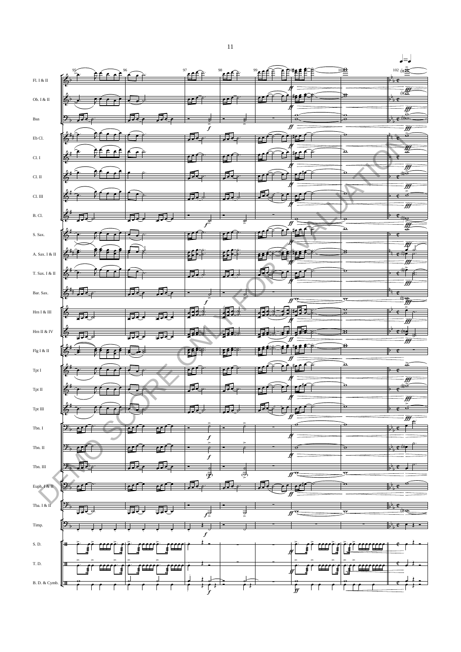|                                         |             |    |                    |               |                  |                           |            |                     | ▓ <del></del>                   | 100 <del>8</del>   | $102 \left(b\right)$                                       |
|-----------------------------------------|-------------|----|--------------------|---------------|------------------|---------------------------|------------|---------------------|---------------------------------|--------------------|------------------------------------------------------------|
| Fl. I & II                              | 6           |    |                    |               |                  |                           |            |                     |                                 |                    | ÞЪ С<br>$\frac{1}{\left( \phi\right) }$                    |
| Ob. I & $\rm II$                        | 6           |    |                    |               |                  | $\mathbf{c}^{\mathbf{r}}$ |            |                     |                                 | £,                 | $\rightarrow$ , c                                          |
|                                         |             |    |                    |               |                  |                           |            |                     |                                 |                    | ₫ff<br>o                                                   |
| Bsn                                     | 9           |    |                    |               |                  |                           |            |                     |                                 |                    | $e \circ \infty$<br>$f\!f\!f$                              |
| Eb Cl.                                  |             |    |                    |               |                  | 只                         |            | ℯ                   |                                 |                    | $\tilde{\sigma}$                                           |
|                                         |             |    |                    |               |                  |                           |            |                     | ے ہ                             | <u>ه</u>           | 毋                                                          |
| Cl. I                                   | 6           |    |                    |               |                  |                           |            |                     |                                 |                    | fff                                                        |
| $\mathop{\rm Cl}\nolimits.$ II          |             |    |                    |               |                  | €₹                        | ◢          | ₫                   |                                 |                    | $\bigoplus$                                                |
|                                         |             |    |                    |               |                  |                           |            |                     |                                 |                    | $\overline{f\hspace{-0.1cm}f\hspace{-0.1cm}f}$             |
| $\rm Cl.$ $\rm III$                     |             |    |                    |               |                  | Г.                        |            | б.                  | ℯ                               | o                  | ⊸<br>$\overline{f\!f\!f}$                                  |
| B.Cl.                                   | ⊕           |    |                    |               |                  |                           |            |                     |                                 |                    | $\frac{\epsilon_{\text{max}}}{\epsilon}$                   |
|                                         |             |    |                    |               |                  |                           |            |                     |                                 | ò                  | 毋                                                          |
| S. Sax.                                 |             |    |                    |               |                  | r 1                       | ਦ          |                     |                                 |                    |                                                            |
| A. Sax. I & $\Pi$                       | 6           |    |                    |               |                  | E                         | $\epsilon$ |                     | <u>1945 Fe</u>                  |                    | 丣<br>$e \overline{e}$                                      |
|                                         |             |    |                    |               |                  |                           |            | ≝                   |                                 |                    | ∰                                                          |
| T. Sax. I & II                          | 6           |    |                    |               |                  | 見。                        |            |                     |                                 |                    | $\epsilon^{\oplus}$                                        |
| Bar. Sax.                               |             |    |                    | <del>€₫</del> |                  |                           |            |                     |                                 |                    | $\overline{\textit{eff}}$                                  |
|                                         |             |    |                    |               |                  |                           |            |                     | ff S                            | ᠊ᠦ                 | $\overset{\oplus \frac{\infty}{H}}$                        |
| Hrn I & III                             | Ģ           |    |                    | 炅             | 見                | ₽                         | ,          | न्दि                |                                 | $\frac{1}{\infty}$ | $\epsilon$ $\rightarrow$                                   |
|                                         |             |    |                    |               |                  |                           |            |                     | ⋥⋫⋸                             |                    | $\overline{\mathit{ff}}$                                   |
| Hrn II & IV                             | €           |    |                    |               | 事                | .                         |            |                     |                                 | $\mathbf{g}$       | $\mathfrak{e}\,\mathfrak{\phi}$<br>研                       |
| Flg I & II                              |             |    |                    |               |                  | $\left  \cdot \right $    | æ          |                     | e \$ \$Cβ                       | 8                  |                                                            |
|                                         |             |    |                    |               |                  |                           |            |                     | r C                             | ò                  | $\tilde{\sigma}$                                           |
| Tpt I                                   | 6           |    |                    |               |                  | غور                       |            |                     |                                 |                    | ¢                                                          |
| Tpt II                                  | ∲           |    | ٠                  | ╺             |                  | 反                         | 臣          | ਵ<br>$\blacksquare$ | 鲽                               |                    | $\overline{\frac{f\overline{f}}{\frac{f\overline{f}}{2}}}$ |
|                                         |             |    |                    |               |                  |                           |            |                     |                                 |                    | fff                                                        |
| $\operatorname{Tpt} \operatorname{III}$ | 6           |    |                    |               |                  |                           |            |                     |                                 |                    | ά<br>fff                                                   |
| Tbn. I                                  |             |    |                    | ₫Ĺ            |                  |                           |            |                     |                                 |                    | ₽.                                                         |
|                                         |             |    |                    |               |                  |                           |            |                     |                                 |                    |                                                            |
| Tbn. II                                 | ナ           |    |                    | ≃             |                  |                           |            |                     |                                 | ð                  | $\mathfrak{e}^{\,\scriptscriptstyle{(b)}}$                 |
| Tbn. III                                | 2           |    |                    |               |                  |                           |            |                     |                                 |                    | D.                                                         |
|                                         |             |    |                    |               |                  | ヺ                         | ੍ਰੋ        |                     | ff™                             | $\sigma$           |                                                            |
| Euph. I & $\Pi$                         | 2           |    |                    |               |                  |                           | "Г.        | fJ                  |                                 | -o                 | R                                                          |
| Tba. I & II                             | $ 2\rangle$ |    |                    |               |                  |                           |            |                     |                                 |                    | $\mathbb{P}, \mathfrak{c}$                                 |
|                                         |             | 表す |                    | 長身            | इन्              |                           | रू         |                     | ff™                             | p                  | <u>¢) र</u>                                                |
| Timp.                                   |             |    |                    |               |                  |                           |            |                     |                                 |                    |                                                            |
| $\mathbf S.$ D.                         |             |    |                    |               |                  |                           |            |                     |                                 |                    |                                                            |
|                                         |             | ŧΙ | ш<br>ŧ             | ŢШ            | $\mathbf{F}$     |                           |            |                     | $\left  \left  \right  \right $ | <u>ייר וויירות</u> |                                                            |
| T. D.                                   | щ           | ŧΓ | É<br>$\frac{1}{2}$ | <u>tm.</u>    | <sub>≸</sub> œr¦ |                           |            |                     | щ<br>ا≵                         | <u>रे स्तरस्य</u>  |                                                            |
|                                         |             |    |                    |               |                  |                           |            |                     | Ţ                               |                    |                                                            |
| B. D. & Cymb.                           |             |    |                    |               |                  |                           | ţ          |                     | $\int_{\mathcal{F}}$            |                    |                                                            |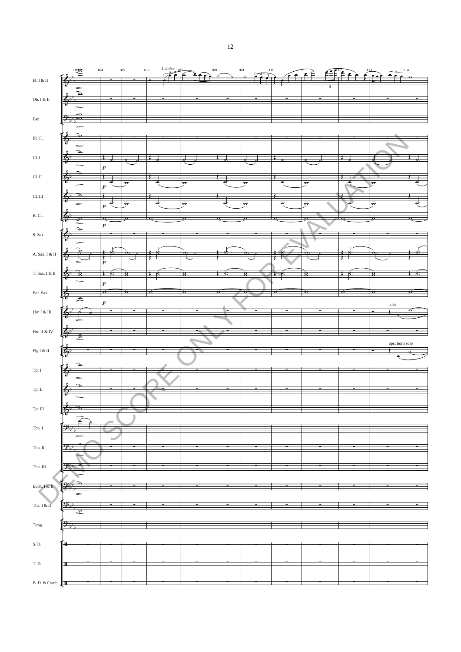|                                  | 1038                                                                   | $104\,$<br>$105\,$                       | $106\,$ | $\overrightarrow{A}$      | 108<br>$109\,$ | $110$                     |   | ₿                         |    | $-3-$                        | $^{-114}$ |
|----------------------------------|------------------------------------------------------------------------|------------------------------------------|---------|---------------------------|----------------|---------------------------|---|---------------------------|----|------------------------------|-----------|
| Fl. I & II                       | $\frac{2}{9}$                                                          |                                          |         |                           |                |                           |   | $\overline{\mathbf{3}}$   |    |                              |           |
| Ob. I & II                       | $\frac{a}{\sqrt{a}}$<br>$\langle 1 \rangle$                            |                                          |         |                           |                |                           |   |                           |    |                              |           |
|                                  |                                                                        |                                          |         |                           |                |                           |   |                           |    |                              |           |
| $_{\rm Bsn}$                     | 2, 3                                                                   |                                          |         |                           |                |                           |   |                           |    |                              |           |
|                                  | $\mathbf{p}$                                                           |                                          |         |                           |                |                           |   |                           |    |                              |           |
| $\operatorname{Eb}$ Cl.          | ó                                                                      |                                          |         |                           |                |                           |   |                           |    |                              |           |
| $\mathop{\rm Cl}\nolimits.$ I    | $\rightarrow$                                                          | ₹                                        |         |                           |                |                           |   |                           |    |                              |           |
|                                  |                                                                        | $\boldsymbol{p}$                         |         |                           |                |                           |   |                           |    |                              |           |
| Cl. II                           |                                                                        | ₹<br>p<br>$\boldsymbol{p}$               |         | ত                         |                | ত                         |   | p                         |    | ÿ                            |           |
| $\mathop{\rm Cl}\nolimits.$ III  |                                                                        |                                          |         |                           |                |                           |   |                           | ¥  |                              |           |
|                                  |                                                                        | 匡<br>p<br>₹<br>$\overline{\overline{5}}$ |         | $\overline{\overline{5}}$ |                | $\overline{\overline{z}}$ | ₹ | $\overline{\overline{p}}$ | ⊅∙ | $\overline{\overline{5}}$    |           |
| $\,$ B. Cl.                      | ∲<br>$\overline{\mathbf{e}}$                                           | Q                                        |         |                           |                |                           |   |                           |    |                              |           |
| S. Sax.                          | $\triangleq$<br>∲                                                      | $\pmb{p}$                                |         |                           |                |                           |   |                           |    |                              |           |
|                                  |                                                                        |                                          |         |                           |                |                           |   |                           |    |                              |           |
| A. Sax. I & II                   | 喬                                                                      | ŝ,                                       |         |                           |                |                           |   |                           |    |                              |           |
| T. Sax. I & II                   | 8                                                                      | ₹                                        |         | ₿                         |                | 8                         |   | 8                         |    | 8                            |           |
|                                  | ∲'                                                                     | $\pmb{p}$                                |         |                           |                |                           |   |                           |    |                              |           |
| Bar. Sax.                        | է<br>$\overline{\mathbf{z}}$                                           | $\overline{\phantom{a}}$<br>ò            | ó       | ò                         | ó              | ò                         | o | ò                         | ó  | ò                            | ó         |
| $\operatorname{Hrn}$ I & III     |                                                                        | $\pmb{p}$                                |         |                           |                |                           |   |                           |    | solo                         |           |
|                                  | ∲                                                                      |                                          |         |                           |                |                           |   |                           |    |                              |           |
| Hrn II & IV                      | է≑<br>$\overline{\bullet}$                                             |                                          |         |                           |                |                           |   |                           |    |                              |           |
| Flg I & II                       | Ģ                                                                      |                                          |         |                           |                |                           |   |                           |    | $\rm{opc.}$ horn $\rm{solo}$ | <u>o</u>  |
|                                  |                                                                        |                                          |         |                           |                |                           |   |                           |    |                              |           |
| $\operatorname{Tpt} \mathrm{I}$  | <u> ə</u><br>∲                                                         |                                          |         |                           |                |                           |   |                           |    |                              |           |
| $\operatorname{Tpt}\nolimits\Pi$ |                                                                        |                                          |         |                           |                |                           |   |                           |    |                              |           |
|                                  | ଙ                                                                      |                                          |         |                           |                |                           |   |                           |    |                              |           |
| $\operatorname{Tpt}$ III         | $\overline{\mathbb{e}}$<br>$\hat{\mathcal{C}}$<br>$\overline{\bullet}$ |                                          |         |                           |                |                           |   |                           |    |                              |           |
|                                  |                                                                        |                                          |         |                           |                |                           |   |                           |    |                              |           |
| Tbn. $\rm I$                     |                                                                        |                                          |         |                           |                |                           |   |                           |    |                              |           |
| Tbn. $\rm II$                    | ゚゚゚゚゚゚                                                                 |                                          |         |                           |                |                           |   |                           |    |                              |           |
|                                  | 2                                                                      |                                          |         |                           |                |                           |   |                           |    |                              |           |
| Tbn. $\rm III$                   |                                                                        |                                          |         |                           |                |                           |   |                           |    |                              |           |
| Euph. I & $\Pi$                  | 22                                                                     |                                          |         |                           |                |                           |   |                           |    |                              |           |
|                                  |                                                                        |                                          |         |                           |                |                           |   |                           |    |                              |           |
| Tba. I & II                      | $2_{\mathbb{Z}}$<br>호                                                  |                                          |         |                           |                |                           |   |                           |    |                              |           |
|                                  |                                                                        |                                          |         |                           |                |                           |   |                           |    |                              |           |
| $\mbox{Timp.}$                   | $\mathfrak{D} \sharp$                                                  |                                          |         |                           |                |                           |   |                           |    |                              |           |
|                                  |                                                                        |                                          |         |                           |                |                           |   |                           |    |                              |           |
| $\mathbf S.$ D.                  | #                                                                      |                                          |         |                           |                |                           |   |                           |    |                              |           |
| $\mathbf T.$ D.                  | п                                                                      |                                          |         |                           |                |                           |   |                           |    |                              |           |
|                                  |                                                                        |                                          |         |                           |                |                           |   |                           |    |                              |           |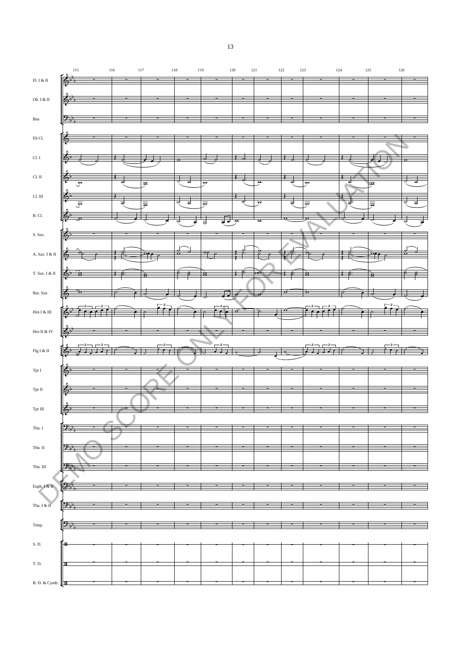|                                 | 115                                  | $116\,$<br>117 |                                      | $118\,$<br>119 |                                      | $120\,$<br>121           |                         | 122<br>123              | 124                       |   | 125                       | 126           |
|---------------------------------|--------------------------------------|----------------|--------------------------------------|----------------|--------------------------------------|--------------------------|-------------------------|-------------------------|---------------------------|---|---------------------------|---------------|
| Fl. I & II                      | 6                                    |                |                                      |                |                                      |                          |                         |                         |                           |   |                           |               |
| Ob. I & II                      | $\mathbb{C}^{\mathbb{P}}$            |                |                                      |                |                                      |                          |                         |                         |                           |   |                           |               |
| Bsn                             | $\overline{\mathcal{P}^+}$           |                |                                      |                |                                      |                          |                         |                         |                           |   |                           |               |
| $\operatorname{Eb}$ Cl.         | 6                                    |                |                                      |                |                                      |                          |                         |                         |                           |   |                           |               |
|                                 |                                      |                |                                      |                |                                      |                          |                         |                         |                           |   |                           |               |
| $\mathop{\rm Cl}\nolimits.$ I   |                                      |                |                                      |                |                                      |                          |                         |                         |                           |   |                           |               |
| $\mathop{\rm Cl}\nolimits.$ II  | 夣<br><u>ত</u>                        |                | $\overline{\overline{\overline{P}}}$ | र्न            | $\overline{\mathbf{v}}$              |                          | $\overline{\bullet}$    |                         |                           |   | $\overline{\bullet}$      | ₹             |
| $\mathop{\rm Cl}\nolimits.$ III | Ģ<br>ত                               |                | $\overline{\overline{\overline{}}}$  | न्न            | $\overline{\overline{\overline{p}}}$ | ⇉                        | $\overline{\mathbf{p}}$ | ੜੋ-                     | $\overline{\overline{2}}$ | ₹ | $\overline{\overline{2}}$ | ₹             |
| $\,$ B. Cl.                     |                                      |                |                                      |                |                                      |                          |                         |                         |                           |   |                           |               |
| S. Sax.                         |                                      |                |                                      |                |                                      |                          |                         |                         |                           |   |                           |               |
| A. Sax. I & II                  | 嗪                                    |                | مهفز                                 | ŏ              |                                      |                          |                         |                         |                           |   | $\frac{1}{2}$             | ŏ             |
| T. Sax. I & II                  | 16                                   |                |                                      |                | $\overline{\mathbf{8}}$              | 毛<br>≢                   | $\dot{\mathbf{p}}$      | Ŧ                       |                           |   |                           |               |
| Bar. Sax.                       |                                      |                |                                      |                | ⊓•                                   |                          |                         | ó                       |                           |   |                           |               |
| $\rm Hm$ I & III                | 6                                    |                |                                      |                | $\overline{\phantom{a}}^3$           | $\overline{\mathcal{R}}$ |                         |                         |                           |   |                           |               |
| Hrn II & IV                     | $\overline{6}$                       |                |                                      |                |                                      |                          |                         |                         |                           |   |                           |               |
| Flg I & II                      | $\overline{\mathbb{H}}$<br>7         | 开              | $\frac{r^{3}}{1-r}$                  |                | $\frac{1}{1}$                        |                          |                         | $\overline{\mathbf{R}}$ |                           |   | $\frac{-s-}{\epsilon}$    | $\rightarrow$ |
| $\operatorname{Tpt} \mathrm{I}$ | 6                                    |                |                                      |                |                                      |                          |                         |                         |                           |   |                           |               |
| $\operatorname{Tpt}\mathbf{II}$ |                                      |                |                                      |                |                                      |                          |                         |                         |                           |   |                           |               |
| $\operatorname{Tpt}$ III        |                                      |                |                                      |                |                                      |                          |                         |                         |                           |   |                           |               |
|                                 |                                      |                |                                      |                |                                      |                          |                         |                         |                           |   |                           |               |
|                                 | $\overline{\mathbb{C}}$<br>$\bullet$ |                |                                      |                |                                      |                          |                         |                         |                           |   |                           |               |
| Tbn. $I$                        | $\mathfrak{P}_\mathbb{E}$            |                |                                      |                |                                      |                          |                         |                         |                           |   |                           |               |
| Tbn. $\rm II$                   | $\mathfrak{P}$ ,                     |                |                                      |                |                                      |                          |                         |                         |                           |   |                           |               |
| Tbn. $\rm III$                  | ファ                                   |                |                                      |                |                                      |                          |                         |                         |                           |   |                           |               |
| Euph. I & $\Pi$                 | 2.                                   |                |                                      |                |                                      |                          |                         |                         |                           |   |                           |               |
| Tba. I & II                     | $\mathbf{P}$                         |                |                                      |                |                                      |                          |                         |                         |                           |   |                           |               |
| Timp.                           | $2_{\rm F}$                          |                |                                      |                |                                      |                          |                         |                         |                           |   |                           |               |
| $\mathbf S.$ D.                 | #                                    |                |                                      |                |                                      |                          |                         |                         |                           |   |                           |               |
| $\mathcal{T}.\ \mathcal{D}.$    | ╨                                    |                |                                      |                |                                      |                          |                         |                         |                           |   |                           |               |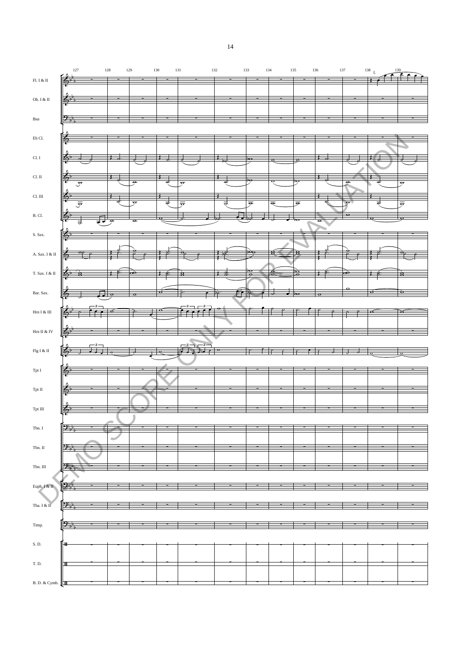|                                  | $127\,$                                            | $128\,$                           | 129                       | 130                     | 131                 | 132                         | 133                                  | 134                                | 135                                | 136 | 137                                          | $^{138}$ $_{\rm L}$ | 139                            |
|----------------------------------|----------------------------------------------------|-----------------------------------|---------------------------|-------------------------|---------------------|-----------------------------|--------------------------------------|------------------------------------|------------------------------------|-----|----------------------------------------------|---------------------|--------------------------------|
| Fl. I & II                       | $\mathbb{Z}^2$                                     |                                   |                           |                         |                     |                             |                                      |                                    |                                    |     |                                              |                     |                                |
| Ob. I & $\Pi$                    | $\overline{\mathbb{C}}$                            |                                   |                           |                         |                     |                             |                                      |                                    |                                    |     |                                              |                     |                                |
|                                  |                                                    |                                   |                           |                         |                     |                             |                                      |                                    |                                    |     |                                              |                     |                                |
| $_{\rm Bsn}$                     | ッ                                                  |                                   |                           |                         |                     |                             |                                      |                                    |                                    |     |                                              |                     |                                |
| $\operatorname{Eb}$ Cl.          | 6                                                  |                                   |                           |                         |                     |                             |                                      |                                    |                                    |     |                                              |                     |                                |
| $\mathop{\rm Cl}\nolimits.$ I    | ∲                                                  | Ł                                 |                           |                         |                     |                             | æ                                    |                                    | $\sigma$                           |     |                                              |                     |                                |
|                                  |                                                    |                                   |                           |                         |                     |                             |                                      |                                    |                                    |     |                                              |                     |                                |
| Cl. II                           | $\overline{\mathbb{P}}$<br>$\overline{\mathbf{e}}$ |                                   | $\overline{\phantom{0}}$  |                         | $\overline{\sigma}$ |                             | ফ                                    |                                    | þọ                                 |     | $\overline{\mathbf{e}}$                      |                     | $\overline{\sigma}$            |
| $\mathop{\rm Cl}\nolimits.$ III  | 夣                                                  |                                   | $\overline{\overline{z}}$ | ₣<br>₹                  |                     | $\rightarrow$               |                                      |                                    |                                    | ↧   |                                              | ⊀                   |                                |
| $\,$ B. Cl.                      | $\overline{\overline{z}}$                          |                                   |                           |                         | $\overline{\sigma}$ |                             | $\overline{\overline{\overline{P}}}$ | $\overline{\overline{\mathbf{e}}}$ | $\overline{\overline{\mathbf{P}}}$ |     | $\overline{\mathbf{p}}$<br>$\mathbf{\sigma}$ |                     | $\overline{\overline{\sigma}}$ |
|                                  | ⊜                                                  |                                   |                           |                         |                     |                             |                                      |                                    |                                    |     |                                              |                     |                                |
| S. Sax.                          |                                                    |                                   |                           |                         |                     |                             |                                      |                                    |                                    |     |                                              |                     |                                |
| A. Sax. I & II                   | 唪                                                  |                                   |                           |                         |                     |                             | <u>poo</u>                           | प्त                                | B                                  |     |                                              |                     |                                |
|                                  |                                                    |                                   |                           |                         |                     |                             |                                      |                                    |                                    |     |                                              |                     |                                |
| T. Sax. I & II                   | I G                                                | <del>≀</del>                      | $\dot{\mathbf{o}}$        | ŧ<br>β÷                 | $\overline{8}$      | $\overline{\cdot}$          | $\frac{b}{\phi}$                     | $\frac{8}{6}$                      | $\overline{28}$                    |     | $\overline{\mathbf{e}}$                      |                     | $\overline{\mathbf{8}}$        |
| Bar. Sax.                        | る                                                  | $\Box$ $\circ$                    |                           | ó                       |                     | $\epsilon$<br>$\frac{1}{2}$ |                                      |                                    | $\overline{\bullet}$ to            |     |                                              | ó                   | ò                              |
| Hrn I & III                      | $\frac{2}{9}$                                      | $\overline{\mathbf{f}}$<br>$\sim$ |                           |                         | $\frac{3}{2}$       |                             |                                      |                                    |                                    |     |                                              |                     | ৯                              |
|                                  |                                                    |                                   |                           |                         |                     |                             |                                      |                                    |                                    |     |                                              |                     |                                |
|                                  |                                                    |                                   |                           |                         |                     |                             |                                      |                                    |                                    |     |                                              |                     |                                |
| Hrn II & IV                      | $\blacklozenge$                                    |                                   |                           |                         |                     |                             |                                      |                                    |                                    |     |                                              |                     |                                |
| Flg I & II                       | 6                                                  |                                   |                           | $\overline{\mathbf{r}}$ |                     |                             |                                      |                                    |                                    |     |                                              |                     |                                |
|                                  |                                                    |                                   |                           |                         |                     |                             |                                      |                                    |                                    |     |                                              |                     |                                |
| $\operatorname{Tpt} \mathrm{I}$  |                                                    |                                   |                           |                         |                     |                             |                                      |                                    |                                    |     |                                              |                     |                                |
| $\operatorname{Tpt}\nolimits\Pi$ | ଚ                                                  |                                   |                           |                         |                     |                             |                                      |                                    |                                    |     |                                              |                     |                                |
| $\operatorname{Tpt}$ III         |                                                    |                                   |                           |                         |                     |                             |                                      |                                    |                                    |     |                                              |                     |                                |
|                                  | 俸                                                  |                                   |                           |                         |                     |                             |                                      |                                    |                                    |     |                                              |                     |                                |
| Tbn. $\rm I$                     | クマ                                                 |                                   |                           |                         |                     |                             |                                      |                                    |                                    |     |                                              |                     |                                |
| Tbn. $\rm II$                    | $2+$                                               |                                   |                           |                         |                     |                             |                                      |                                    |                                    |     |                                              |                     |                                |
|                                  |                                                    |                                   |                           |                         |                     |                             |                                      |                                    |                                    |     |                                              |                     |                                |
| Tbn. $\rm III$                   | $\mathcal{P}_\mathbb{P}$                           |                                   |                           |                         |                     |                             |                                      |                                    |                                    |     |                                              |                     |                                |
| Euph. I & II                     | <b>DP</b>                                          |                                   |                           |                         |                     |                             |                                      |                                    |                                    |     |                                              |                     |                                |
| Tba. I & II                      | $\mathfrak{P}$                                     |                                   |                           |                         |                     |                             |                                      |                                    |                                    |     |                                              |                     |                                |
|                                  |                                                    |                                   |                           |                         |                     |                             |                                      |                                    |                                    |     |                                              |                     |                                |
| Timp.                            | $2\,$                                              |                                   |                           |                         |                     |                             |                                      |                                    |                                    |     |                                              |                     |                                |
| $\mathbf S.$ D.                  | μ⊩                                                 |                                   |                           |                         |                     |                             |                                      |                                    |                                    |     |                                              |                     |                                |
| $\mathbf T.$ D.                  | ╨                                                  |                                   |                           |                         |                     |                             |                                      |                                    |                                    |     |                                              |                     |                                |
| B.D. & Cymb.                     |                                                    |                                   |                           |                         |                     |                             |                                      |                                    |                                    |     |                                              |                     |                                |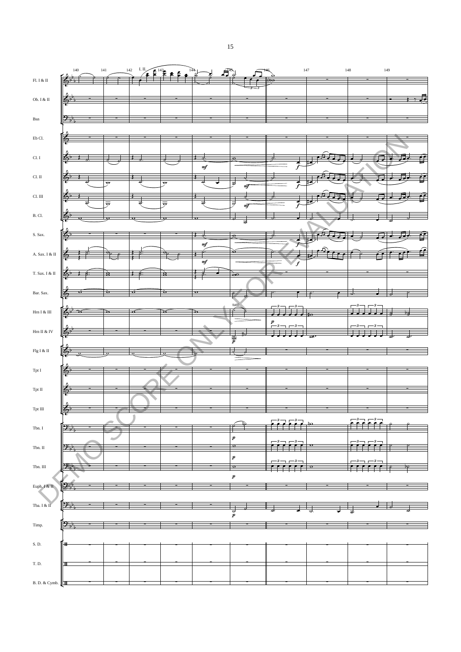|                                 | 140                           | 141 | I. I<br>142<br>$\epsilon$ <sup>143</sup> |                     |                   |                                   |                                                                                                                   | 147                  | 148                                                                                                                                                                                                                                                                                                                                                                                                                                                                                                                             | 149                |
|---------------------------------|-------------------------------|-----|------------------------------------------|---------------------|-------------------|-----------------------------------|-------------------------------------------------------------------------------------------------------------------|----------------------|---------------------------------------------------------------------------------------------------------------------------------------------------------------------------------------------------------------------------------------------------------------------------------------------------------------------------------------------------------------------------------------------------------------------------------------------------------------------------------------------------------------------------------|--------------------|
| Fl. I & II                      | 奄                             |     |                                          |                     |                   |                                   | ⊕⊖                                                                                                                |                      |                                                                                                                                                                                                                                                                                                                                                                                                                                                                                                                                 |                    |
|                                 |                               |     |                                          |                     |                   |                                   |                                                                                                                   |                      |                                                                                                                                                                                                                                                                                                                                                                                                                                                                                                                                 |                    |
| Ob. I & II                      | $\Phi$                        |     |                                          |                     |                   |                                   |                                                                                                                   |                      |                                                                                                                                                                                                                                                                                                                                                                                                                                                                                                                                 | J                  |
|                                 |                               |     |                                          |                     |                   |                                   |                                                                                                                   |                      |                                                                                                                                                                                                                                                                                                                                                                                                                                                                                                                                 |                    |
| Bsn                             | ヺ                             |     |                                          |                     |                   |                                   |                                                                                                                   |                      |                                                                                                                                                                                                                                                                                                                                                                                                                                                                                                                                 |                    |
|                                 |                               |     |                                          |                     |                   |                                   |                                                                                                                   |                      |                                                                                                                                                                                                                                                                                                                                                                                                                                                                                                                                 |                    |
| Eb Cl.                          | A                             |     |                                          |                     |                   |                                   |                                                                                                                   |                      |                                                                                                                                                                                                                                                                                                                                                                                                                                                                                                                                 |                    |
| Cl. I                           |                               |     |                                          |                     |                   |                                   |                                                                                                                   |                      |                                                                                                                                                                                                                                                                                                                                                                                                                                                                                                                                 | œ                  |
|                                 | 6                             |     |                                          |                     | mf                |                                   |                                                                                                                   |                      |                                                                                                                                                                                                                                                                                                                                                                                                                                                                                                                                 |                    |
| $\mathop{\rm Cl}\nolimits.$ II  |                               |     |                                          |                     |                   |                                   |                                                                                                                   |                      |                                                                                                                                                                                                                                                                                                                                                                                                                                                                                                                                 |                    |
|                                 |                               |     |                                          | $\overline{\sigma}$ |                   | 귱<br>тJ                           |                                                                                                                   |                      |                                                                                                                                                                                                                                                                                                                                                                                                                                                                                                                                 |                    |
| $\rm Cl.$ $\rm III$             |                               |     |                                          |                     |                   |                                   |                                                                                                                   |                      |                                                                                                                                                                                                                                                                                                                                                                                                                                                                                                                                 |                    |
|                                 |                               | ᠳ   |                                          | $\overline{\sigma}$ |                   | ヺ<br>$m\bar{t}$                   |                                                                                                                   |                      |                                                                                                                                                                                                                                                                                                                                                                                                                                                                                                                                 |                    |
| B.Cl.                           |                               |     |                                          |                     |                   |                                   |                                                                                                                   |                      |                                                                                                                                                                                                                                                                                                                                                                                                                                                                                                                                 |                    |
|                                 |                               |     |                                          |                     |                   | ತ                                 |                                                                                                                   |                      |                                                                                                                                                                                                                                                                                                                                                                                                                                                                                                                                 |                    |
| S. Sax.                         |                               |     |                                          |                     |                   |                                   |                                                                                                                   |                      |                                                                                                                                                                                                                                                                                                                                                                                                                                                                                                                                 |                    |
|                                 |                               |     |                                          |                     | m f               |                                   |                                                                                                                   |                      |                                                                                                                                                                                                                                                                                                                                                                                                                                                                                                                                 |                    |
| A. Sax. I & $\Pi$               |                               |     |                                          |                     | m f               |                                   |                                                                                                                   |                      |                                                                                                                                                                                                                                                                                                                                                                                                                                                                                                                                 |                    |
| T. Sax. I & II                  | ◎                             |     |                                          | 8                   |                   | $\mathbf{e}$                      |                                                                                                                   |                      |                                                                                                                                                                                                                                                                                                                                                                                                                                                                                                                                 |                    |
|                                 |                               |     |                                          |                     |                   |                                   |                                                                                                                   |                      |                                                                                                                                                                                                                                                                                                                                                                                                                                                                                                                                 |                    |
| Bar. Sax.                       |                               | ò   | Ó                                        | ò                   | $\mathbf{\Omega}$ |                                   |                                                                                                                   |                      |                                                                                                                                                                                                                                                                                                                                                                                                                                                                                                                                 |                    |
|                                 |                               |     |                                          |                     |                   | tutti                             |                                                                                                                   |                      |                                                                                                                                                                                                                                                                                                                                                                                                                                                                                                                                 |                    |
| $\rm Hm$ I & III                | Á                             |     |                                          | ठ                   | ਨ                 |                                   |                                                                                                                   |                      |                                                                                                                                                                                                                                                                                                                                                                                                                                                                                                                                 |                    |
|                                 |                               |     |                                          |                     |                   |                                   | $\frac{p}{\Box}$<br>-3.                                                                                           |                      |                                                                                                                                                                                                                                                                                                                                                                                                                                                                                                                                 |                    |
| Hrn II & IV                     | G                             |     |                                          |                     |                   |                                   |                                                                                                                   |                      |                                                                                                                                                                                                                                                                                                                                                                                                                                                                                                                                 |                    |
|                                 |                               |     |                                          |                     |                   |                                   |                                                                                                                   |                      |                                                                                                                                                                                                                                                                                                                                                                                                                                                                                                                                 |                    |
| Flg I & II                      | ⊕                             |     |                                          |                     |                   |                                   |                                                                                                                   |                      |                                                                                                                                                                                                                                                                                                                                                                                                                                                                                                                                 |                    |
| $\operatorname{Tpt} \mathrm{I}$ |                               |     |                                          |                     |                   |                                   |                                                                                                                   |                      |                                                                                                                                                                                                                                                                                                                                                                                                                                                                                                                                 |                    |
|                                 |                               |     |                                          |                     |                   |                                   |                                                                                                                   |                      |                                                                                                                                                                                                                                                                                                                                                                                                                                                                                                                                 |                    |
| Tpt II                          | 6                             |     |                                          |                     |                   |                                   |                                                                                                                   |                      |                                                                                                                                                                                                                                                                                                                                                                                                                                                                                                                                 |                    |
|                                 |                               |     |                                          |                     |                   |                                   |                                                                                                                   |                      |                                                                                                                                                                                                                                                                                                                                                                                                                                                                                                                                 |                    |
| $\operatorname{Tpt}$ III        | ራ<br>ಳ್                       |     |                                          |                     |                   |                                   |                                                                                                                   |                      |                                                                                                                                                                                                                                                                                                                                                                                                                                                                                                                                 |                    |
|                                 |                               |     |                                          |                     |                   |                                   | $-3$ $-3$ $-3$                                                                                                    | ņо                   | $\begin{array}{c} \n \overbrace{\qquad \qquad }^{3} \qquad \qquad \\ \n \overbrace{\qquad \qquad }^{3} \qquad \qquad \\ \n \overbrace{\qquad \qquad }^{3} \qquad \qquad \\ \n \overbrace{\qquad \qquad }^{3} \qquad \qquad \\ \n \overbrace{\qquad \qquad }^{3} \qquad \qquad \\ \n \overbrace{\qquad \qquad }^{3} \qquad \qquad \\ \n \overbrace{\qquad \qquad }^{3} \qquad \qquad \\ \n \overbrace{\qquad \qquad }^{3} \qquad \qquad \\ \n \overbrace{\qquad \qquad }^{3} \qquad \qquad \\ \n \overbrace{\qquad \qquad }^{3}$ |                    |
| Tbn. I                          | 9 <sub>2</sub>                |     |                                          |                     |                   |                                   | $\leftarrow$                                                                                                      |                      |                                                                                                                                                                                                                                                                                                                                                                                                                                                                                                                                 |                    |
|                                 | $\mathcal{Y}_{\mathcal{V}_1}$ |     |                                          |                     |                   | $\pmb{p}$<br>$\overline{\bullet}$ | $\begin{array}{c} \n \overline{ \phantom{a}}^{3} \rightarrow \overline{ \phantom{a}}^{3} \rightarrow \end{array}$ | o                    | $\begin{array}{c} -3 \rightarrow -3 \rightarrow \\ -2 \rightarrow -2 \rightarrow \end{array}$                                                                                                                                                                                                                                                                                                                                                                                                                                   |                    |
| Tbn. $\Pi$                      |                               |     |                                          |                     |                   | $\boldsymbol{p}$                  |                                                                                                                   |                      |                                                                                                                                                                                                                                                                                                                                                                                                                                                                                                                                 |                    |
| Tbn. III                        | $\mathcal{T}_{\mathcal{V}_1}$ |     |                                          |                     |                   | $\bullet$                         | $      -$<br>$\begin{array}{cc} \uparrow & \uparrow & \uparrow & \uparrow & \uparrow & \uparrow \end{array}$      | $\overline{\bullet}$ | $-3$ $-3$ $-3$<br>$\epsilon$ , and $\epsilon$                                                                                                                                                                                                                                                                                                                                                                                                                                                                                   | $\frac{1}{2}$<br>₽ |
|                                 |                               |     |                                          |                     |                   | $\pmb{p}$                         |                                                                                                                   |                      |                                                                                                                                                                                                                                                                                                                                                                                                                                                                                                                                 |                    |
| Euph. I & $\Pi$                 | ⑫                             |     |                                          |                     | ÷                 |                                   | Ξ                                                                                                                 |                      |                                                                                                                                                                                                                                                                                                                                                                                                                                                                                                                                 |                    |
|                                 |                               |     |                                          |                     |                   |                                   |                                                                                                                   |                      |                                                                                                                                                                                                                                                                                                                                                                                                                                                                                                                                 |                    |
| Tba. I & II                     | $\mathcal{D}_{\mathbb{P}_p}$  |     |                                          |                     |                   |                                   |                                                                                                                   |                      | उ                                                                                                                                                                                                                                                                                                                                                                                                                                                                                                                               |                    |
|                                 |                               |     |                                          |                     |                   | $\overline{r}$                    |                                                                                                                   |                      |                                                                                                                                                                                                                                                                                                                                                                                                                                                                                                                                 |                    |
| Timp.                           | $9_{\nu}$                     |     |                                          |                     |                   |                                   |                                                                                                                   |                      | Ξ                                                                                                                                                                                                                                                                                                                                                                                                                                                                                                                               |                    |
|                                 |                               |     |                                          |                     |                   |                                   |                                                                                                                   |                      |                                                                                                                                                                                                                                                                                                                                                                                                                                                                                                                                 |                    |
| $\mathbf S.$ D.                 | μ⊢                            |     |                                          |                     |                   |                                   |                                                                                                                   |                      |                                                                                                                                                                                                                                                                                                                                                                                                                                                                                                                                 |                    |
| T. D.                           | ≖                             |     |                                          |                     |                   |                                   |                                                                                                                   |                      |                                                                                                                                                                                                                                                                                                                                                                                                                                                                                                                                 |                    |
|                                 |                               |     |                                          |                     |                   |                                   |                                                                                                                   |                      |                                                                                                                                                                                                                                                                                                                                                                                                                                                                                                                                 |                    |
| B.D. & Cymb.                    |                               |     |                                          |                     |                   |                                   |                                                                                                                   |                      |                                                                                                                                                                                                                                                                                                                                                                                                                                                                                                                                 |                    |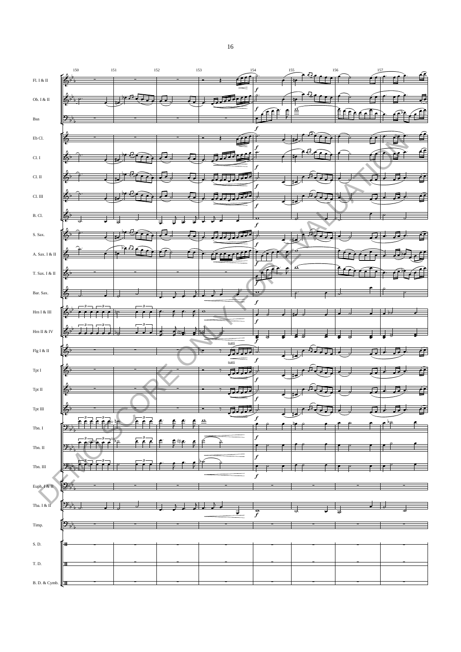|                                 | 150                                                                                                                                  | 151                           | 152                      | 153               |                                  |                                                               |          |                              |
|---------------------------------|--------------------------------------------------------------------------------------------------------------------------------------|-------------------------------|--------------------------|-------------------|----------------------------------|---------------------------------------------------------------|----------|------------------------------|
| Fl. I & II                      | €                                                                                                                                    |                               |                          |                   |                                  |                                                               |          | ₤                            |
| Ob. I & $\Pi$                   |                                                                                                                                      |                               |                          |                   |                                  |                                                               |          |                              |
|                                 |                                                                                                                                      |                               |                          |                   | $\sharp \equiv$                  |                                                               |          |                              |
| Bsn                             | $\mathcal{P}$                                                                                                                        |                               |                          |                   | Æff                              |                                                               |          | ≝                            |
|                                 |                                                                                                                                      |                               |                          |                   |                                  |                                                               |          | ê                            |
| $\operatorname{Eb}$ Cl.         |                                                                                                                                      |                               |                          | أمهمكم            |                                  |                                                               |          |                              |
| $\mathop{\rm Cl}$ I             |                                                                                                                                      |                               | $\overline{\phantom{a}}$ |                   |                                  |                                                               |          | Ĺ                            |
|                                 |                                                                                                                                      |                               |                          |                   |                                  |                                                               |          |                              |
| $\mathop{\rm Cl}\nolimits.$ II  |                                                                                                                                      |                               | $\overline{\phantom{a}}$ | 方方面               |                                  |                                                               |          | $\widehat{\mathbf{f}}$       |
| $\rm Cl.$ $\rm III$             | 6                                                                                                                                    | $\mathbb{R}^n$                | <u>JJ</u><br>रग          | <u>Ддруга "</u>   |                                  |                                                               |          | $\hat{\mathbf{r}}$           |
|                                 |                                                                                                                                      |                               |                          |                   |                                  |                                                               |          |                              |
| $\, {\bf B} . \, {\bf Cl} . \,$ |                                                                                                                                      |                               |                          |                   |                                  |                                                               |          |                              |
| S. Sax.                         |                                                                                                                                      |                               |                          |                   |                                  |                                                               |          | $\hat{\mathbf{f}}$           |
|                                 |                                                                                                                                      |                               |                          |                   |                                  |                                                               |          |                              |
| A. Sax. I & II                  |                                                                                                                                      | $\frac{D+1}{2}$               |                          | érrett            | Æ                                |                                                               |          | $\cdot$ (                    |
| T. Sax. I & $\Pi$               |                                                                                                                                      |                               |                          |                   |                                  |                                                               |          | $\mathcal{L}$                |
|                                 |                                                                                                                                      |                               |                          |                   |                                  |                                                               |          |                              |
| Bar. Sax.                       |                                                                                                                                      |                               | ₩                        |                   | $\alpha$                         |                                                               |          |                              |
|                                 | $\begin{array}{c c} -3 \longrightarrow & -3 \longrightarrow \\ \hline \end{array}$                                                   |                               |                          | $\mathbf{\Omega}$ |                                  |                                                               |          |                              |
| $\rm Hm$ I & III                | 6                                                                                                                                    |                               |                          |                   | f                                |                                                               |          | $\overline{\phantom{a}}$     |
| Hrn II & IV                     | $\epsilon$                                                                                                                           |                               | $-$ (ii) $\epsilon$      |                   |                                  |                                                               |          | $\overline{\cdot}$           |
|                                 |                                                                                                                                      |                               |                          | tutti             |                                  |                                                               |          |                              |
| Flg I & II                      | 6                                                                                                                                    |                               |                          | 九万<br>tutti       |                                  |                                                               |          | $\mathbf{f}$<br>夏            |
| Tpt I                           | 6                                                                                                                                    |                               |                          | F. J. J           |                                  |                                                               | ロー       | $\widehat{\mathbf{G}}$       |
|                                 |                                                                                                                                      |                               |                          |                   |                                  |                                                               |          |                              |
| Tpt II                          |                                                                                                                                      |                               |                          | 6. T.             |                                  | $\overline{r}$ , $\overline{r}$ , $\overline{r}$              |          | Ê                            |
| $\operatorname{Tpt}$ III        | $\overline{\mathbb{C}}$                                                                                                              |                               |                          | <b>BJJJJ</b>      |                                  | $\frac{1}{2}$ , $\frac{1}{2}$ , $\frac{1}{2}$ , $\frac{1}{2}$ | $\Box$ . | Б,<br>$\widehat{\mathbf{f}}$ |
|                                 | $\bullet$<br>−3 ─┐┌─3 ─┐<br>∷≢ ≢ ≢ ≢ ∉                                                                                               | - 12                          |                          | $\mathbf{p}$      | $\mathbb{F}$<br>$\boldsymbol{f}$ |                                                               |          |                              |
| Tbn. I                          |                                                                                                                                      |                               |                          |                   | $\boldsymbol{f}$                 |                                                               |          |                              |
| Tbn. II                         | 3                                                                                                                                    | $\tilde{\epsilon}$<br>Þβ<br>₽ | $E^{(n)}$                | ₽                 |                                  |                                                               |          |                              |
|                                 | $\begin{array}{c} \n \stackrel{3}{\longrightarrow} \n \stackrel{3}{\longrightarrow} \n \stackrel{3}{\longrightarrow} \n \end{array}$ |                               |                          |                   | $\boldsymbol{f}$                 |                                                               |          |                              |
| Tbn. $\rm III$                  | $2^{\circ}$                                                                                                                          | • •                           |                          |                   | ₹                                |                                                               |          |                              |
| Euph. I & $\Pi$                 | $\mathcal{D}$                                                                                                                        |                               |                          |                   | $\boldsymbol{f}$                 |                                                               |          |                              |
|                                 |                                                                                                                                      |                               |                          |                   |                                  |                                                               |          |                              |
| Tba. I & II                     | $2_{\bigoplus}$                                                                                                                      |                               |                          |                   | $\overline{\overline{f}}$        |                                                               |          |                              |
| Timp.                           | $\mathfrak{D}_{\mathbb{H}}$                                                                                                          |                               |                          |                   |                                  |                                                               |          |                              |
|                                 |                                                                                                                                      |                               |                          |                   |                                  |                                                               |          |                              |
| S.D.                            | #                                                                                                                                    |                               |                          |                   |                                  |                                                               |          |                              |
| T. D.                           |                                                                                                                                      |                               |                          |                   |                                  |                                                               |          |                              |
|                                 | ш                                                                                                                                    |                               |                          |                   |                                  |                                                               |          |                              |
| <b>B. D. &amp; Cymb.</b> THE    |                                                                                                                                      |                               |                          |                   |                                  |                                                               |          |                              |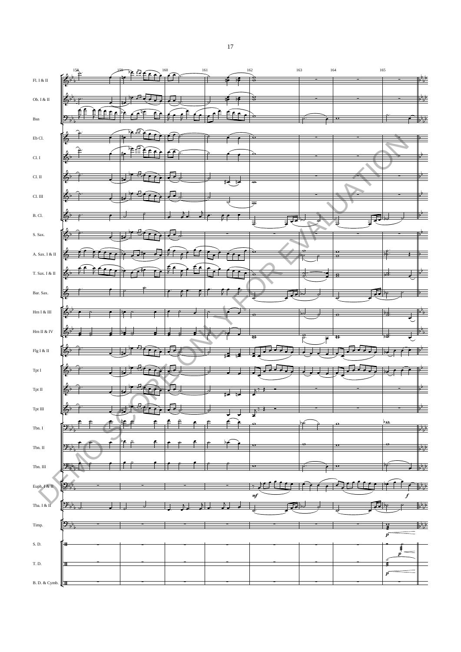|                                |                         |                                                                                                                                                                                                                                      |                          | 161                                                                                                                                                                                                                                                                                                                 | 162                                                                                         | 163<br>164    |     | 165                                              |
|--------------------------------|-------------------------|--------------------------------------------------------------------------------------------------------------------------------------------------------------------------------------------------------------------------------------|--------------------------|---------------------------------------------------------------------------------------------------------------------------------------------------------------------------------------------------------------------------------------------------------------------------------------------------------------------|---------------------------------------------------------------------------------------------|---------------|-----|--------------------------------------------------|
| Fl. I & II                     |                         |                                                                                                                                                                                                                                      |                          |                                                                                                                                                                                                                                                                                                                     |                                                                                             |               |     |                                                  |
| Ob. I & II                     | $\mathbb{C}$            | <u>, 21, 77, 77</u>                                                                                                                                                                                                                  |                          |                                                                                                                                                                                                                                                                                                                     |                                                                                             |               |     | $\frac{1}{2}$                                    |
| Bsn                            | <u>fffer</u><br>尹       |                                                                                                                                                                                                                                      |                          | $\epsilon$ of track                                                                                                                                                                                                                                                                                                 |                                                                                             |               |     | $\frac{1}{\sqrt{2}}$                             |
| Eb Cl.                         | $\epsilon$              | <b>MACHE</b>                                                                                                                                                                                                                         |                          |                                                                                                                                                                                                                                                                                                                     |                                                                                             |               |     |                                                  |
|                                |                         | <b>Esternal</b>                                                                                                                                                                                                                      |                          |                                                                                                                                                                                                                                                                                                                     |                                                                                             |               |     |                                                  |
| Cl. I                          |                         |                                                                                                                                                                                                                                      |                          |                                                                                                                                                                                                                                                                                                                     |                                                                                             |               |     |                                                  |
| $\mathop{\rm Cl}\nolimits.$ II |                         | $\frac{1}{2}$ , $\frac{1}{2}$ , $\frac{1}{2}$ , $\frac{1}{2}$ , $\frac{1}{2}$                                                                                                                                                        |                          | $\frac{1}{\sqrt{2}}$ and $\frac{1}{\sqrt{2}}$                                                                                                                                                                                                                                                                       |                                                                                             |               |     |                                                  |
| $\rm Cl.$ $\rm III$            |                         | $\frac{1}{2}$                                                                                                                                                                                                                        |                          |                                                                                                                                                                                                                                                                                                                     | $\overline{\bullet}$                                                                        |               |     |                                                  |
| B.Cl.                          |                         |                                                                                                                                                                                                                                      | $\rightarrow$ .          | 5f                                                                                                                                                                                                                                                                                                                  |                                                                                             |               |     |                                                  |
| S. Sax.                        |                         | $\mathbb{R}^n$ is the contract of $\mathbb{R}^n$                                                                                                                                                                                     |                          |                                                                                                                                                                                                                                                                                                                     |                                                                                             |               |     |                                                  |
| A. Sax. I & II                 | 唪                       | <u>Á A (Creme Jere) (Crement La Crement) de la P</u>                                                                                                                                                                                 |                          | نوم                                                                                                                                                                                                                                                                                                                 |                                                                                             |               |     |                                                  |
| T. Sax. I & II                 | $\overline{\mathbb{C}}$ |                                                                                                                                                                                                                                      |                          |                                                                                                                                                                                                                                                                                                                     |                                                                                             |               |     |                                                  |
| Bar. Sax.                      |                         | $\int$                                                                                                                                                                                                                               | F                        |                                                                                                                                                                                                                                                                                                                     | $\mathcal{L}$                                                                               |               |     | $\Box$                                           |
|                                |                         |                                                                                                                                                                                                                                      |                          |                                                                                                                                                                                                                                                                                                                     |                                                                                             |               |     |                                                  |
| Hrn I & III                    | $\phi^{\sharp}$         | $\cdot$ $\cdot$ $\cdot$                                                                                                                                                                                                              |                          | $\leftrightarrow$<br>$\overline{\phantom{a}}$                                                                                                                                                                                                                                                                       | $\frac{1}{12}$                                                                              |               |     | 墼<br>$\frac{1}{2}$                               |
|                                |                         |                                                                                                                                                                                                                                      |                          |                                                                                                                                                                                                                                                                                                                     |                                                                                             |               |     |                                                  |
| Hrn II & IV                    | $\overline{\phi}$       | $\frac{1}{2}$ $\frac{1}{2}$ $\frac{1}{2}$                                                                                                                                                                                            |                          | $\frac{1}{2}$ $\frac{1}{2}$ $\frac{1}{2}$ $\frac{1}{2}$ $\frac{1}{2}$ $\frac{1}{2}$                                                                                                                                                                                                                                 |                                                                                             | $\frac{1}{2}$ |     | $\frac{1}{2}$                                    |
| Flg I & II                     | 6                       | THACHE I                                                                                                                                                                                                                             |                          |                                                                                                                                                                                                                                                                                                                     | $\sqrt{1+1}$                                                                                |               |     |                                                  |
| Tpt I                          |                         | そば でひぼく                                                                                                                                                                                                                              | $\frac{1}{2}$            |                                                                                                                                                                                                                                                                                                                     | $\begin{array}{c} \begin{array}{c} \begin{array}{c} \end{array} \\ \end{array} \end{array}$ |               | しいけ | $\widehat{\epsilon}$<br>$\overline{\phantom{a}}$ |
| Tpt II                         |                         | $\frac{1}{2}$                                                                                                                                                                                                                        |                          | $\frac{1}{2}$ $\frac{1}{2}$ $\frac{1}{2}$ $\frac{1}{2}$ $\frac{1}{2}$ $\frac{1}{2}$ $\frac{1}{2}$                                                                                                                                                                                                                   |                                                                                             |               |     |                                                  |
| Tpt III                        | $\phi$ $\rightarrow$    | <u>and the second of the second of the second of the second of the second of the second of the second of the second of the second of the second of the second of the second of the second of the second of the second of the sec</u> | $\overline{\phantom{a}}$ | $\frac{1}{2}$ $\frac{1}{2}$ $\frac{1}{2}$ $\frac{1}{2}$ $\frac{1}{2}$ $\frac{1}{2}$ $\frac{1}{2}$ $\frac{1}{2}$ $\frac{1}{2}$ $\frac{1}{2}$ $\frac{1}{2}$ $\frac{1}{2}$ $\frac{1}{2}$ $\frac{1}{2}$ $\frac{1}{2}$ $\frac{1}{2}$ $\frac{1}{2}$ $\frac{1}{2}$ $\frac{1}{2}$ $\frac{1}{2}$ $\frac{1}{2}$ $\frac{1}{2}$ |                                                                                             |               |     |                                                  |
| Tbn. I                         |                         |                                                                                                                                                                                                                                      |                          |                                                                                                                                                                                                                                                                                                                     |                                                                                             |               |     | þω<br>$\frac{1}{2}$                              |
| Tbn. $\rm II$                  |                         |                                                                                                                                                                                                                                      |                          |                                                                                                                                                                                                                                                                                                                     |                                                                                             |               |     |                                                  |
| Tbn. $\rm III$                 |                         |                                                                                                                                                                                                                                      |                          |                                                                                                                                                                                                                                                                                                                     |                                                                                             |               |     | $\frac{1}{2}$                                    |
|                                |                         |                                                                                                                                                                                                                                      |                          |                                                                                                                                                                                                                                                                                                                     |                                                                                             |               |     | $\mathbb{P}^{\mathbf{b}}$                        |
| Euph. I & II                   |                         |                                                                                                                                                                                                                                      |                          |                                                                                                                                                                                                                                                                                                                     | mf                                                                                          |               |     | $\mathbb{P}^{\flat}$                             |
| Tba. I & II                    | $\mathfrak{P}$          |                                                                                                                                                                                                                                      |                          |                                                                                                                                                                                                                                                                                                                     |                                                                                             |               |     | $\mathbb{R}^+$                                   |
| Timp.                          |                         |                                                                                                                                                                                                                                      |                          |                                                                                                                                                                                                                                                                                                                     |                                                                                             |               |     | $\mathbb{B}^{\flat}$<br>$\bar{p}$                |
| S.D.                           | #                       |                                                                                                                                                                                                                                      |                          |                                                                                                                                                                                                                                                                                                                     |                                                                                             |               |     | ≢                                                |
| T. D.                          | ╨                       |                                                                                                                                                                                                                                      |                          |                                                                                                                                                                                                                                                                                                                     |                                                                                             |               |     | p                                                |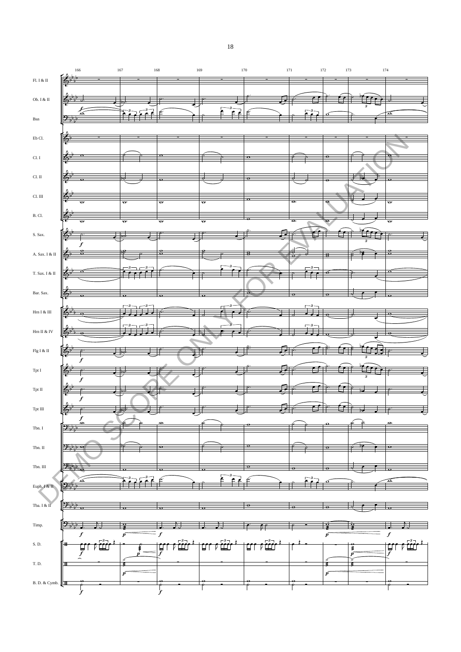|                                 | 166                                              | 167                                  | 168                                                   | 169                       | $170\,$                  | 171                  | 173<br>172                                  |               | 174              |
|---------------------------------|--------------------------------------------------|--------------------------------------|-------------------------------------------------------|---------------------------|--------------------------|----------------------|---------------------------------------------|---------------|------------------|
| Fl. I & II                      | 俺                                                |                                      |                                                       |                           |                          |                      |                                             |               |                  |
| Ob. I & $\Pi$                   |                                                  |                                      |                                                       |                           | €                        |                      |                                             |               | ╞                |
| Bsn                             | $\mathfrak{P}$                                   | ہ۔<br>●                              | ₽.                                                    | $F \neq$                  | ₽                        |                      |                                             |               | ٠Ó               |
|                                 |                                                  |                                      |                                                       |                           |                          |                      |                                             |               |                  |
| $\operatorname{Eb}$ Cl.         | কি                                               |                                      |                                                       |                           |                          |                      |                                             |               |                  |
| $\mathop{\rm Cl}\nolimits.$ I   |                                                  |                                      | ۰                                                     |                           |                          |                      | $\mathbf{\sigma}$                           |               |                  |
| $\mathop{\rm Cl}\nolimits.$ II  |                                                  |                                      |                                                       |                           |                          |                      |                                             |               |                  |
| $\rm Cl.$ $\rm III$             |                                                  | ᠳ                                    | $\overline{\sigma}$                                   | $\overline{\sigma}$       |                          | $\overline{\bullet}$ | $\bullet$                                   |               | $\sigma$         |
| $\,$ B. Cl.                     |                                                  | $\sigma$                             | $\bullet$                                             | $\sigma$                  |                          |                      |                                             |               | $\sigma$         |
|                                 |                                                  |                                      |                                                       |                           |                          |                      |                                             |               |                  |
| S. Sax.                         | f                                                |                                      |                                                       |                           |                          |                      |                                             |               |                  |
| A. Sax. I & $\Pi$               | ⊕                                                |                                      |                                                       |                           |                          |                      |                                             |               |                  |
| T. Sax. I & II                  |                                                  |                                      |                                                       |                           |                          |                      |                                             |               |                  |
| Bar. Sax.                       | জ                                                |                                      |                                                       |                           | $\bullet$                |                      |                                             |               |                  |
| $\rm Hm$ I & III                | ⊜                                                |                                      |                                                       |                           |                          |                      |                                             |               |                  |
|                                 |                                                  |                                      |                                                       |                           |                          | -3                   |                                             |               |                  |
| Hrn II & IV                     |                                                  |                                      |                                                       |                           |                          |                      |                                             |               |                  |
| Flg I & II                      | Ю                                                |                                      |                                                       | Ħ                         |                          |                      |                                             |               | €                |
| $\operatorname{Tpt} \mathrm{I}$ | $\Phi^{\flat}$                                   |                                      |                                                       |                           |                          |                      |                                             |               |                  |
| $\operatorname{Tpt}\Pi$         | ∲                                                |                                      |                                                       |                           | €                        | ┍                    | ₹                                           |               |                  |
| $\operatorname{Tpt}$ III        | ঌ<br>$\bullet$<br>⊤                              | 一场                                   | ↸                                                     |                           | ₽                        |                      | ≃                                           |               | E                |
| Tbn. $I$                        | $\frac{f}{\cdot \mathbf{e}}$<br>$2\nmid \, \mid$ |                                      |                                                       |                           |                          |                      |                                             |               |                  |
| Tbn. $\rm II$                   | $2\frac{1}{2}$                                   | ₽β                                   | $\circ$                                               |                           |                          |                      | $\overline{\bullet}$                        |               | $\circ$          |
| Tbn. $\rm III$                  | $2_{\rm B}$                                      |                                      |                                                       |                           | ⊖                        |                      |                                             |               |                  |
|                                 | ఈ                                                | $\overline{\mathbf{f}}$<br>$\cdot$ 3 | ₽                                                     | $\sigma$<br>Ł             |                          |                      |                                             |               |                  |
| Euph. I & $\Pi$                 |                                                  |                                      |                                                       |                           |                          |                      |                                             |               |                  |
| Tba. I & II                     | $2_{\mathbb{F}}$                                 |                                      |                                                       | $\overline{\phantom{a}}$  | $\overline{\phantom{a}}$ |                      | $\overline{\bullet}$                        |               |                  |
| Timp.                           | $2\frac{1}{2}$<br>$\boldsymbol{f}$               | ę                                    | $\boldsymbol{f}$                                      |                           |                          |                      | $\frac{1}{2}$<br>$\Rightarrow$<br>$\bar{p}$ |               | $\boldsymbol{f}$ |
| $\mathbf S.$ D.                 | $\Box^3$<br> ++<br>≝                             | $\bar{p}$                            | $\int \frac{e^{3}}{2}$<br>$=\left \frac{1}{f}\right $ | $\mathbf{r}^3$<br>H<br>Ÿ. | $\frac{5}{10}$<br>LЦ     |                      |                                             | $\frac{1}{p}$ | $\vec{v}$<br>⊔   |
| $\mathcal{T}.\ \mathcal{D}.$    | $\frac{f}{f}$<br>ш                               | $\boldsymbol{v}$<br>Ξ                |                                                       |                           |                          |                      | €                                           | ě             | f                |
| B. D. & Cymb.                   |                                                  | $\bar{p}$                            |                                                       |                           |                          |                      | $\bar{p}$                                   |               |                  |
|                                 | $\overline{f}$                                   |                                      | $\cdot f$                                             |                           |                          |                      |                                             |               |                  |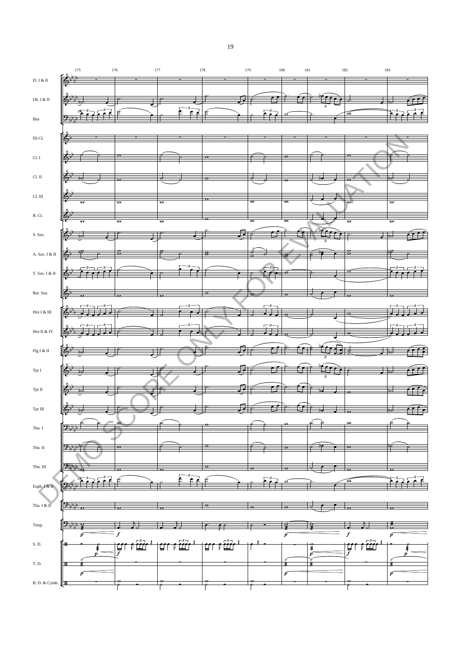|                                 | 175<br>176                               | 177                      |                               | 178                            | 179                                | $180\,$<br>181       |                          | 182                      | 183                            |
|---------------------------------|------------------------------------------|--------------------------|-------------------------------|--------------------------------|------------------------------------|----------------------|--------------------------|--------------------------|--------------------------------|
| Fl. I & II                      | Ĝ                                        |                          |                               |                                |                                    |                      |                          |                          |                                |
|                                 |                                          |                          |                               |                                |                                    |                      |                          |                          |                                |
| Ob. I & $\rm II$                | 6                                        |                          |                               | $\mathcal{L}$                  |                                    |                      |                          |                          | م<br>موسیقی                    |
|                                 |                                          |                          |                               |                                |                                    |                      |                          | $\bullet$                |                                |
| Bsn                             | 9                                        |                          |                               |                                |                                    |                      |                          |                          |                                |
| $\operatorname{Eb}$ Cl.         |                                          |                          |                               |                                |                                    |                      |                          |                          |                                |
|                                 |                                          |                          |                               |                                |                                    |                      |                          |                          |                                |
| $\mathop{\rm Cl}\nolimits.$ I   |                                          | $\bullet$                |                               | $\overline{\bullet}$           | ø.                                 | $\overline{\circ}$   |                          |                          |                                |
|                                 |                                          |                          |                               |                                |                                    |                      |                          |                          |                                |
| Cl. II                          |                                          |                          |                               | $\overline{\bullet}$           |                                    |                      |                          |                          |                                |
|                                 |                                          |                          |                               |                                |                                    |                      |                          |                          |                                |
| $\rm Cl.$ $\rm III$             | $\Phi$                                   |                          |                               |                                |                                    |                      |                          |                          |                                |
|                                 |                                          | ত                        | ত                             |                                |                                    |                      |                          |                          | $\sigma$                       |
| $\,$ B. Cl.                     |                                          |                          |                               |                                |                                    |                      |                          |                          |                                |
|                                 |                                          |                          |                               |                                |                                    |                      |                          |                          |                                |
| S. Sax.                         |                                          |                          |                               |                                |                                    |                      |                          |                          |                                |
|                                 |                                          | $\frac{8}{5}$            |                               | $\mathbf{s}$                   |                                    |                      |                          |                          |                                |
| A. Sax. I & $\rm II$            | 6                                        |                          |                               |                                |                                    |                      |                          |                          |                                |
| T. Sax. I & II                  | $\Phi$                                   |                          |                               |                                | $\frac{1}{\sqrt{2}}$               | ó                    |                          | $\bullet$                |                                |
|                                 |                                          |                          |                               |                                |                                    |                      |                          |                          |                                |
| Bar. Sax.                       | $\Phi$                                   |                          |                               | $\circ$                        | $\ddot{=}$                         |                      |                          |                          | $\overline{\mathbf{Q}}$        |
|                                 |                                          |                          |                               |                                |                                    |                      |                          |                          |                                |
| Hrn I & III                     |                                          |                          |                               |                                |                                    |                      |                          | $\overline{\bullet}$     |                                |
|                                 |                                          |                          |                               |                                |                                    |                      |                          |                          |                                |
|                                 |                                          |                          |                               |                                |                                    |                      |                          |                          |                                |
| Hrn II & IV                     | $\epsilon$                               |                          |                               | $\bullet$ $\circ$              | $\frac{-s-1}{1}$                   |                      |                          |                          | $\overline{\phantom{a}}$       |
|                                 |                                          |                          |                               |                                |                                    |                      |                          |                          |                                |
| Flg I & II                      |                                          |                          | ₩Ê                            |                                |                                    |                      | يون                      |                          | ŕr                             |
|                                 |                                          |                          |                               |                                |                                    |                      |                          |                          |                                |
| $\operatorname{Tpt} \mathrm{I}$ | 6                                        | Ħ                        |                               | ₽                              |                                    | $\epsilon$           |                          |                          | ŕſſ                            |
| Tpt II                          |                                          |                          |                               |                                | ≝                                  | ∼                    |                          |                          | 宛                              |
|                                 |                                          | J                        |                               | 聿                              |                                    |                      |                          |                          | $\widehat{a}$                  |
| $\operatorname{Tpt} \Pi$        | $\left\langle \phi^{\beta}\right\rangle$ |                          | 爭                             |                                | $\mathcal{L} \subset \mathbb{R}^n$ | <u>digital di</u>    | $\overline{\phantom{a}}$ |                          | Æ<br>$\overline{\mathbb{b}^d}$ |
|                                 |                                          |                          |                               |                                |                                    |                      |                          |                          |                                |
| Tbn. $I$                        |                                          |                          |                               |                                |                                    |                      |                          |                          |                                |
|                                 |                                          |                          |                               |                                |                                    |                      |                          |                          |                                |
| Tbn. $\Pi$                      | うっし                                      | $\mathbf{\Omega}$        |                               |                                |                                    |                      |                          |                          |                                |
|                                 |                                          |                          |                               |                                |                                    |                      |                          |                          |                                |
| Tbn. $III$                      | 2.25                                     |                          | $\overline{\mathbf{o}}$       | $\overline{\mathbf{e}}$        |                                    |                      |                          |                          |                                |
|                                 | $\overset{3}{\blacktriangle}$            | ₽                        |                               | €                              |                                    |                      |                          | $\bullet$                | $\sum_{i=1}^{3}$               |
| Euph. I & $\Pi$                 |                                          |                          |                               |                                |                                    |                      |                          |                          |                                |
| Tba. I & II                     | $2\frac{1}{2}$                           |                          |                               | $\bullet$                      | ᠋ᅙ                                 | $\overline{\bullet}$ | ᢦ                        |                          |                                |
|                                 |                                          |                          |                               |                                |                                    |                      |                          |                          |                                |
| Timp.                           | $2\frac{1}{3}$ $\frac{1}{3}$             |                          |                               |                                |                                    | $\frac{1}{2}$        | ₽                        |                          | ្តី                            |
|                                 | $\bar{p}$                                | $\boldsymbol{f}$         |                               |                                |                                    | $\bar{p}$            |                          | $\boldsymbol{f}$         | $\bar{p}$                      |
| $\mathbf S.$ D.                 | #                                        | $\mathbf{r}^3$<br>H<br>P | $\Gamma^{3}$ .<br>H<br>ш<br>P | $\tilde{\mathbf{L}}$<br>H<br>P |                                    |                      |                          | $\mathbf{E}^3$<br>D<br>Щ | ≸                              |
|                                 | p                                        | $\boldsymbol{f}$         |                               |                                |                                    |                      | $\frac{1}{p}$            | $\boldsymbol{f}$         |                                |
| T. D.                           | ш                                        |                          |                               |                                |                                    | ័                    | ≧                        |                          | Ξ                              |
| B.D. & Cymb.                    | $\bar{p}$                                |                          |                               |                                |                                    | $\bar{p}$            |                          |                          | $\bar{p}$                      |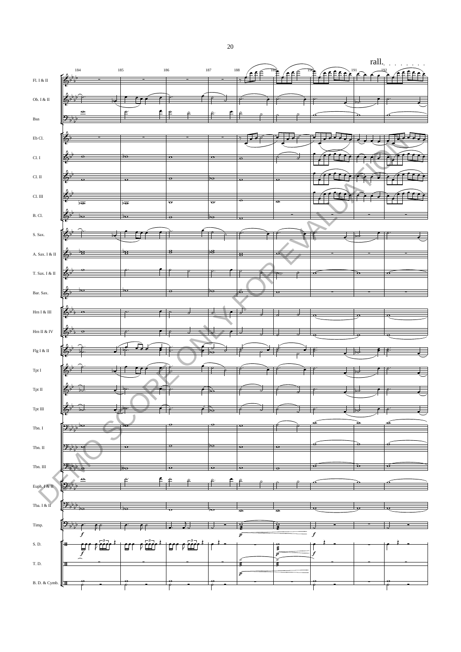|                                  |                                                 |                                                         |                      |                         |                         |                      |                  | rall.                   |                         |
|----------------------------------|-------------------------------------------------|---------------------------------------------------------|----------------------|-------------------------|-------------------------|----------------------|------------------|-------------------------|-------------------------|
|                                  | 184                                             | 185                                                     | 186                  | 187                     | 188                     |                      | <del>íffri</del> | $\bigoplus_{i=1}^{191}$ |                         |
| Fl. I & II                       | <del>♦</del>                                    |                                                         |                      |                         |                         |                      |                  |                         |                         |
|                                  |                                                 |                                                         |                      |                         |                         |                      |                  |                         |                         |
| Ob. I & $\Pi$                    |                                                 |                                                         |                      |                         |                         |                      |                  |                         |                         |
|                                  |                                                 |                                                         |                      |                         |                         |                      |                  |                         |                         |
| Bsn                              | ') ⊅                                            |                                                         |                      |                         |                         |                      |                  |                         |                         |
|                                  |                                                 |                                                         |                      |                         |                         |                      |                  |                         |                         |
| Eb Cl.                           | $\overline{\bullet}$                            |                                                         |                      |                         |                         |                      |                  |                         |                         |
|                                  |                                                 |                                                         |                      |                         |                         |                      |                  |                         |                         |
| $\mathop{\rm Cl}\nolimits.$ I    | Ъ                                               | $\overline{\mathbf{p}}$                                 | $\overline{\bullet}$ | $\overline{\mathbf{e}}$ |                         |                      |                  | ∙ -                     | $\mathbf{r}$            |
|                                  |                                                 |                                                         |                      |                         |                         |                      |                  |                         |                         |
| $\rm Cl.$ $\rm II$               | 6                                               |                                                         | $\overline{\bullet}$ | ᠈ө                      |                         |                      |                  |                         | $\overline{\mathbf{r}}$ |
|                                  |                                                 |                                                         |                      |                         |                         |                      |                  |                         |                         |
| $\rm Cl.$ $\rm III$              | €                                               |                                                         |                      |                         |                         |                      |                  |                         |                         |
|                                  |                                                 | $\overline{b\overline{a}}$                              | ᠳ                    | ᠊ᠤ                      |                         | $\overline{\bullet}$ |                  |                         |                         |
| B.Cl.                            | $\overline{50}$                                 | $\overline{50}$                                         |                      |                         |                         |                      |                  |                         |                         |
|                                  |                                                 |                                                         |                      |                         |                         |                      |                  |                         |                         |
| S. Sax.                          |                                                 |                                                         |                      |                         |                         |                      |                  |                         |                         |
|                                  |                                                 |                                                         |                      |                         |                         |                      |                  |                         |                         |
| A. Sax. I & $\Pi$                |                                                 | 28                                                      |                      | <u>,8</u>               | $\overline{\mathbf{B}}$ |                      |                  |                         |                         |
|                                  | $\Phi$                                          |                                                         |                      |                         |                         |                      |                  |                         |                         |
|                                  |                                                 |                                                         |                      |                         |                         |                      |                  |                         |                         |
| T. Sax. I & II                   | 6                                               |                                                         |                      |                         |                         |                      |                  | è                       |                         |
|                                  |                                                 |                                                         |                      | ٠ө                      |                         |                      |                  |                         |                         |
| Bar. Sax.                        | 6                                               |                                                         |                      |                         | $\overline{\mathbf{c}}$ | o                    |                  |                         |                         |
|                                  |                                                 |                                                         |                      |                         |                         |                      |                  |                         |                         |
| Hrn I & III                      | 6                                               |                                                         |                      |                         |                         |                      |                  |                         |                         |
|                                  |                                                 |                                                         |                      |                         |                         |                      |                  |                         |                         |
| Hrn II & IV                      | €                                               |                                                         |                      |                         |                         |                      |                  |                         |                         |
|                                  |                                                 |                                                         |                      |                         |                         |                      |                  |                         |                         |
| Flg I & II                       |                                                 |                                                         |                      |                         |                         |                      |                  |                         |                         |
|                                  |                                                 |                                                         |                      |                         |                         |                      |                  |                         |                         |
| $\operatorname{Tpt} \mathrm{I}$  | $\overline{\phantom{a}}$                        |                                                         |                      |                         |                         |                      |                  |                         |                         |
|                                  |                                                 |                                                         |                      |                         |                         |                      |                  |                         |                         |
| $\operatorname{Tpt}\nolimits\Pi$ | 6                                               | $\rightarrow$ $\frac{1}{2}$<br>$\overline{\phantom{a}}$ | िल                   |                         |                         |                      |                  | ۴                       |                         |
|                                  |                                                 |                                                         |                      |                         |                         |                      |                  |                         |                         |
| $\operatorname{Tpt}$ III         | \$                                              |                                                         |                      |                         |                         |                      |                  |                         |                         |
|                                  |                                                 |                                                         |                      |                         |                         |                      |                  |                         |                         |
| Tbn. I                           | $2\,$ by $^{\rm bo}$                            | $\overline{p}$                                          |                      |                         |                         |                      |                  |                         |                         |
|                                  |                                                 |                                                         |                      |                         |                         |                      |                  |                         |                         |
| Tbn. II                          | $\mathfrak{I} \not \rightarrow \mathfrak{o}$    | $\mathbf{\Omega}$                                       | $\bullet$            | $_{\rm{p}}$             | $\mathbf{\Omega}$       | $\circ$              |                  |                         |                         |
|                                  |                                                 |                                                         |                      |                         |                         |                      |                  |                         |                         |
| Tbn. III                         | $\mathcal{P}_{\nu_1}$                           | æө                                                      | $\mathbf \sigma$     | $\circ$                 | $\overline{\mathbf{o}}$ |                      | ó                | ঌ                       | ó                       |
|                                  |                                                 |                                                         |                      |                         |                         |                      |                  |                         |                         |
| Euph. I & $\Pi$                  | $\triangleq$<br>$2\frac{1}{2}$                  | ₽.                                                      |                      |                         |                         |                      |                  |                         |                         |
|                                  |                                                 |                                                         |                      |                         |                         |                      |                  |                         |                         |
| Tba. I & II                      | $ 2 \rangle$                                    |                                                         |                      |                         |                         |                      |                  |                         |                         |
|                                  |                                                 |                                                         |                      |                         |                         |                      |                  |                         |                         |
| Timp.                            | $\mathfrak{I}_{\mathbb{F}^{\prime}}$            |                                                         |                      |                         |                         |                      |                  |                         |                         |
|                                  |                                                 |                                                         |                      |                         | ę<br>$\bar{p}$          | ड़े                  | $\boldsymbol{f}$ |                         |                         |
|                                  |                                                 |                                                         |                      |                         |                         |                      |                  |                         |                         |
| S.D.                             | $\bar{v}^{\frac{3}{2}}$<br>++<br>$\blacksquare$ | $\overline{V}$<br>$\blacksquare$                        | $\mathbf{r}$         |                         |                         | $\frac{1}{p}$        |                  |                         |                         |
|                                  |                                                 |                                                         |                      |                         |                         | š                    | $\boldsymbol{f}$ |                         |                         |
| T.D.                             | ш                                               |                                                         |                      |                         | Ξ                       | ₹                    |                  |                         |                         |
|                                  |                                                 |                                                         |                      |                         | $\bar{p}$               |                      |                  |                         |                         |
| <b>B. D. &amp; Cymb.</b>         |                                                 |                                                         |                      |                         |                         |                      |                  |                         |                         |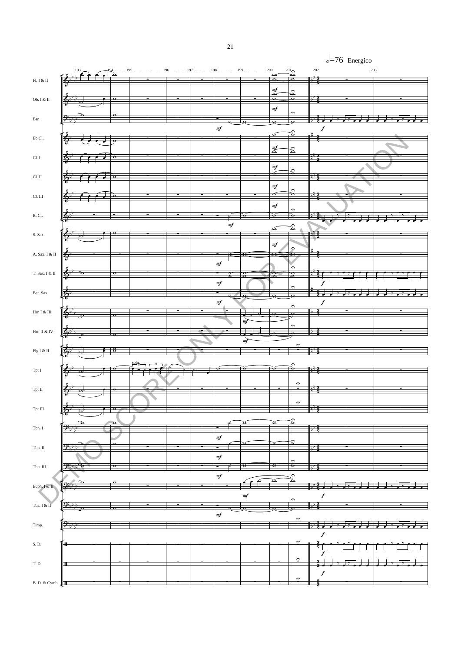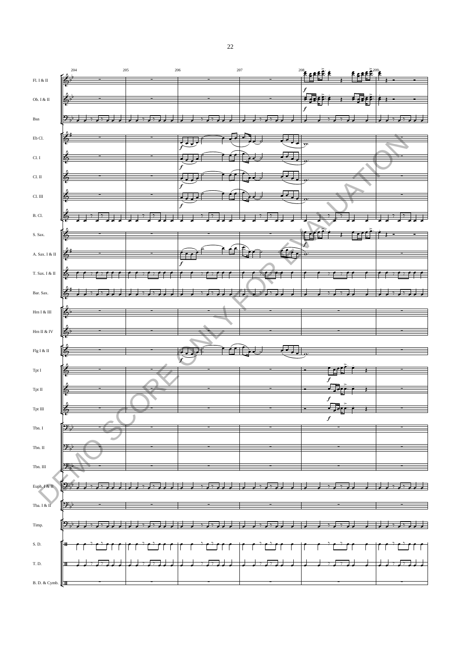| Fl. I & II                       | 204<br>$\frac{2}{\frac{1}{2}}$ | 205 | 206                                                        |                   | 207           | $^{208}$ $\epsilon$ $\epsilon$ $\epsilon$ $\epsilon$ | ffil        |                                                  |
|----------------------------------|--------------------------------|-----|------------------------------------------------------------|-------------------|---------------|------------------------------------------------------|-------------|--------------------------------------------------|
|                                  |                                |     |                                                            |                   |               |                                                      |             |                                                  |
| Ob. I & $\Pi$                    | $\overline{\langle}$           |     |                                                            |                   |               |                                                      |             |                                                  |
| Bsn                              | <del>י⊄</del>                  |     |                                                            |                   |               |                                                      |             |                                                  |
| $\operatorname{Eb}$ Cl.          | $\blacklozenge$                |     |                                                            | रम्म              |               | स्राू                                                |             |                                                  |
| Cl. I                            |                                |     |                                                            |                   |               | $\leftrightarrow$                                    |             |                                                  |
| $\rm Cl.$ $\rm II$               |                                |     |                                                            |                   |               | $\overline{\mathcal{C}}$ ,                           |             |                                                  |
| $\rm Cl.$ $\rm III$              | Ģ                              |     |                                                            | الجراجي           | $\rightarrow$ | $\left\{ \cdot \right\}$                             |             |                                                  |
| $\, {\bf B} . \, {\bf Cl} . \,$  | €                              |     |                                                            |                   |               |                                                      |             |                                                  |
|                                  |                                |     |                                                            |                   |               |                                                      |             | Ţ                                                |
| S. Sax.                          |                                |     |                                                            |                   | स्ट्रि        | ir erdir                                             |             |                                                  |
| A. Sax. I & $\rm II$             |                                |     |                                                            | fri               |               | <b>fri</b>                                           |             |                                                  |
| T. Sax. I & II                   | ⊙                              |     | $7$ $^{\circ}$ $^{\circ}$ $^{\circ}$ $^{\circ}$ $^{\circ}$ |                   | $\mathbf{f}$  |                                                      |             | $\gamma$ in the set of $\gamma$                  |
| Bar. Sax.                        | б                              |     |                                                            |                   |               |                                                      |             |                                                  |
| Hrn I & III                      | ∲                              |     |                                                            |                   |               |                                                      |             |                                                  |
| Hrn II & IV                      | $\Phi$                         |     |                                                            |                   |               |                                                      |             |                                                  |
| Flg I & II                       | 6                              |     |                                                            | $\leftrightarrow$ |               |                                                      |             |                                                  |
| Tpt I                            |                                |     |                                                            |                   |               |                                                      | Œ           |                                                  |
| $\operatorname{Tpt}\nolimits\Pi$ | 6                              |     |                                                            |                   |               |                                                      |             |                                                  |
| $\operatorname{Tpt}$ III         | 6                              |     |                                                            |                   |               |                                                      | <u>Fire</u> |                                                  |
| Tbn. I                           | 2                              |     |                                                            |                   |               | $\boldsymbol{f}$                                     |             |                                                  |
|                                  |                                |     |                                                            |                   |               |                                                      |             |                                                  |
| Tbn. II                          | $\rightarrow$                  |     |                                                            |                   |               |                                                      |             |                                                  |
| Tbn. III                         | $\mathcal{P}_\mathcal{F}$      |     |                                                            |                   |               |                                                      |             |                                                  |
| Euph. I & $\Pi$                  | 27                             |     |                                                            |                   |               |                                                      |             | $\frac{1}{2}$                                    |
| Tba. I & II                      | $\mathfrak{P}$                 |     |                                                            |                   |               |                                                      |             |                                                  |
| Timp.                            | $2\cdot$ .                     |     | $\frac{1}{2}$                                              | $\rightarrow$     | 7.7.1.        |                                                      |             | $\overline{y}$ , $\overline{y}$ , $\overline{y}$ |
| S.D.                             | ╫<br>$\overline{\phantom{a}}$  |     | م ہنے ہ                                                    | $+$               | ┮∸┮<br>Т      |                                                      |             | <del>101000</del>                                |
| T. D.                            | ш<br>$\overline{\mathcal{T}}$  |     | FT I I I I I I I Y JTT I I I                               | 57 J              |               |                                                      |             | $7\sqrt{7}$                                      |
| <b>B. D. &amp; Cymb.</b> THE     |                                |     |                                                            |                   |               |                                                      |             |                                                  |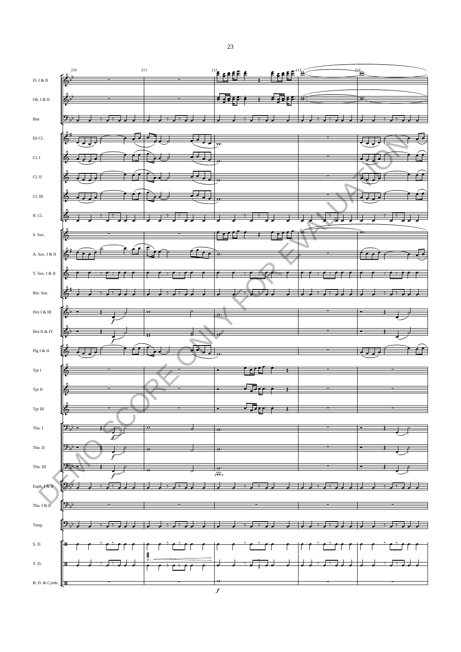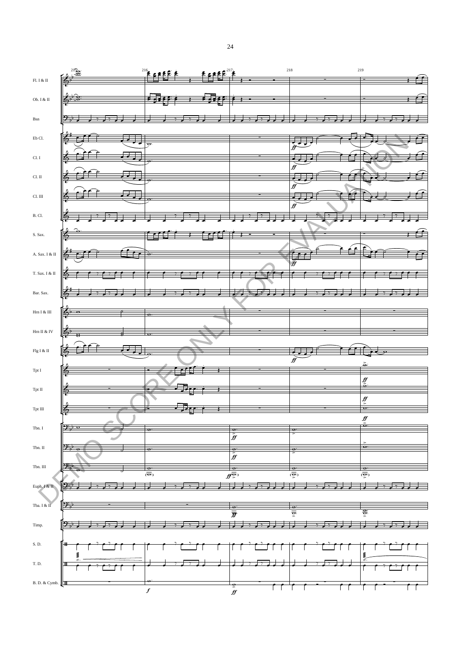|                          | $\left( e^{1} \right)$                                                      |                                                                                                                                              |                                                                     |                                                   | 219                                                                                                                                             |
|--------------------------|-----------------------------------------------------------------------------|----------------------------------------------------------------------------------------------------------------------------------------------|---------------------------------------------------------------------|---------------------------------------------------|-------------------------------------------------------------------------------------------------------------------------------------------------|
| Fl. I & II               |                                                                             |                                                                                                                                              |                                                                     |                                                   |                                                                                                                                                 |
| Ob. I & II               |                                                                             | $\sqrt{2}$                                                                                                                                   |                                                                     |                                                   | ÉÈ                                                                                                                                              |
|                          |                                                                             |                                                                                                                                              |                                                                     |                                                   |                                                                                                                                                 |
| Bsn                      |                                                                             |                                                                                                                                              |                                                                     |                                                   |                                                                                                                                                 |
| Eb Cl.                   |                                                                             |                                                                                                                                              |                                                                     |                                                   | $\widehat{\mathcal{F}}$                                                                                                                         |
|                          | $\overline{\mathcal{F} \cdot \mathcal{F}}$                                  |                                                                                                                                              |                                                                     | ्रस                                               |                                                                                                                                                 |
| CLI                      | $\frac{1}{\sqrt{2}}$                                                        |                                                                                                                                              |                                                                     |                                                   | ÉÊ                                                                                                                                              |
|                          |                                                                             |                                                                                                                                              |                                                                     |                                                   |                                                                                                                                                 |
| Cl. II                   | $\left  \begin{array}{cc} 1 & 0 \\ 0 & 0 \end{array} \right _{\mathcal{P}}$ |                                                                                                                                              |                                                                     |                                                   |                                                                                                                                                 |
| Cl. III                  | $\frac{1}{2}$                                                               |                                                                                                                                              |                                                                     | <b>The County</b>                                 |                                                                                                                                                 |
|                          |                                                                             |                                                                                                                                              |                                                                     |                                                   |                                                                                                                                                 |
| B.Cl.                    | $\overline{6}$                                                              | <del>u profil de la partida de la pa</del> tria de la contra de la contra de la contra de la contra de la contra de la con                   |                                                                     |                                                   | $\frac{1}{2}$ , $\frac{1}{2}$ , $\frac{1}{2}$ , $\frac{1}{2}$                                                                                   |
| S. Sax.                  |                                                                             |                                                                                                                                              |                                                                     |                                                   | $\overline{H}$                                                                                                                                  |
|                          |                                                                             |                                                                                                                                              |                                                                     |                                                   |                                                                                                                                                 |
| A. Sax. I & II           |                                                                             | $\frac{1}{2}$ , and the set of $\frac{1}{2}$ , $\frac{1}{2}$ , $\frac{1}{2}$ , $\frac{1}{2}$ , $\frac{1}{2}$ , $\frac{1}{2}$ , $\frac{1}{2}$ |                                                                     |                                                   |                                                                                                                                                 |
|                          |                                                                             |                                                                                                                                              |                                                                     |                                                   |                                                                                                                                                 |
| T. Sax. I & II           | $\spadesuit$                                                                | <del>r rouer e le rouer e</del> le visite le                                                                                                 |                                                                     |                                                   | $\upharpoonright$ $\upharpoonright$ $\upharpoonright$ $\upharpoonright$ $\upharpoonright$ $\upharpoonright$ $\upharpoonright$ $\upharpoonright$ |
| Bar. Sax.                | $\frac{1}{2}$                                                               | $\frac{1}{2}$ , $\frac{1}{2}$                                                                                                                |                                                                     |                                                   |                                                                                                                                                 |
|                          |                                                                             |                                                                                                                                              |                                                                     |                                                   |                                                                                                                                                 |
| Hrn I & III              |                                                                             |                                                                                                                                              |                                                                     |                                                   |                                                                                                                                                 |
| Hrn II & IV              | $\overline{\mathbb{C}}$                                                     |                                                                                                                                              |                                                                     |                                                   |                                                                                                                                                 |
|                          |                                                                             |                                                                                                                                              |                                                                     |                                                   |                                                                                                                                                 |
| Fig I & II               | $\left. \frac{1}{\sqrt{2}}\right  _{\circ}$                                 |                                                                                                                                              |                                                                     | <b>Q.J</b> f                                      |                                                                                                                                                 |
|                          |                                                                             |                                                                                                                                              |                                                                     |                                                   |                                                                                                                                                 |
| Tpt I                    |                                                                             | $\sqrt{2}$                                                                                                                                   |                                                                     |                                                   | $\frac{f}{\delta}$                                                                                                                              |
| $Tpt$ II                 |                                                                             | $\frac{1}{\sqrt{2}}$                                                                                                                         |                                                                     |                                                   |                                                                                                                                                 |
|                          |                                                                             |                                                                                                                                              |                                                                     |                                                   | $f\hspace{-0.1cm}f$                                                                                                                             |
| $\operatorname{Tpt}$ III | 6                                                                           | $\overline{\phantom{a}}$                                                                                                                     |                                                                     |                                                   |                                                                                                                                                 |
| Tbn. I                   | ס ⊄ול                                                                       |                                                                                                                                              |                                                                     |                                                   | $f\hspace{-0.1cm}f$<br>$\tilde{\sigma}$                                                                                                         |
|                          |                                                                             |                                                                                                                                              | $\overset{\text{>}}{\overline{f}}$                                  |                                                   |                                                                                                                                                 |
| Tbn. II                  | י ∉                                                                         | $\overline{\bullet}$                                                                                                                         | $\overline{\bullet}$                                                | $\overline{\bullet}$                              | þ                                                                                                                                               |
| Tbn. III                 | $2^+$                                                                       |                                                                                                                                              | $\stackrel{\text{>}}{f}$                                            |                                                   |                                                                                                                                                 |
|                          |                                                                             | $\bullet$<br>কে                                                                                                                              | $\overline{\cdot}$<br>$f\overline{\overline{\mathfrak{S}}^{\cdot}}$ | $\bullet$<br>$\overline{(\overline{\mathbf{y}})}$ | $\overline{\phantom{a}}$<br>$\overline{(\overline{\mathbf{y}})}$                                                                                |
| Euph. I & II             | $2_{\rm F}$                                                                 |                                                                                                                                              |                                                                     |                                                   |                                                                                                                                                 |
|                          |                                                                             |                                                                                                                                              |                                                                     |                                                   |                                                                                                                                                 |
| Tba. I & II              | $\mathfrak{P}_\mathbb{F}$                                                   |                                                                                                                                              | $\overline{\bullet}$<br>$\overline{\overline{\mathbf{y}}}$          | $\overline{\bullet}$<br>$\overline{\mathbf{v}}$   | ਝੋਂ                                                                                                                                             |
| Timp.                    | ツマ                                                                          |                                                                                                                                              |                                                                     |                                                   |                                                                                                                                                 |
|                          |                                                                             |                                                                                                                                              |                                                                     |                                                   |                                                                                                                                                 |
| S.D.                     |                                                                             |                                                                                                                                              |                                                                     |                                                   |                                                                                                                                                 |
|                          | ā                                                                           |                                                                                                                                              |                                                                     |                                                   | S, MI                                                                                                                                           |
|                          |                                                                             |                                                                                                                                              |                                                                     |                                                   |                                                                                                                                                 |
| T. D.                    | щ                                                                           |                                                                                                                                              |                                                                     |                                                   |                                                                                                                                                 |
| B.D. & Cymb.             |                                                                             |                                                                                                                                              | Ĥ                                                                   |                                                   |                                                                                                                                                 |

ff

<sup>24</sup>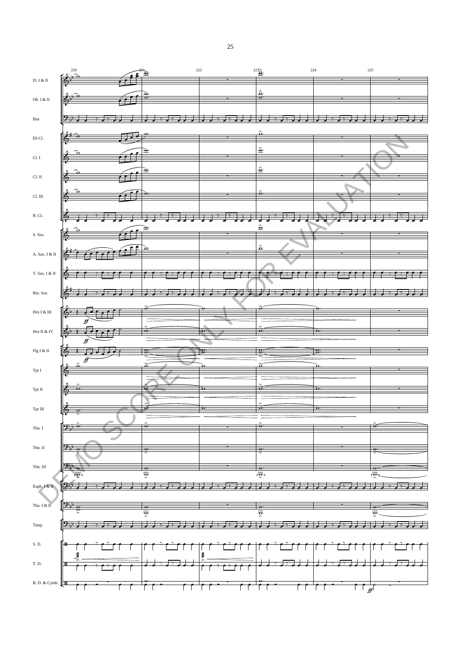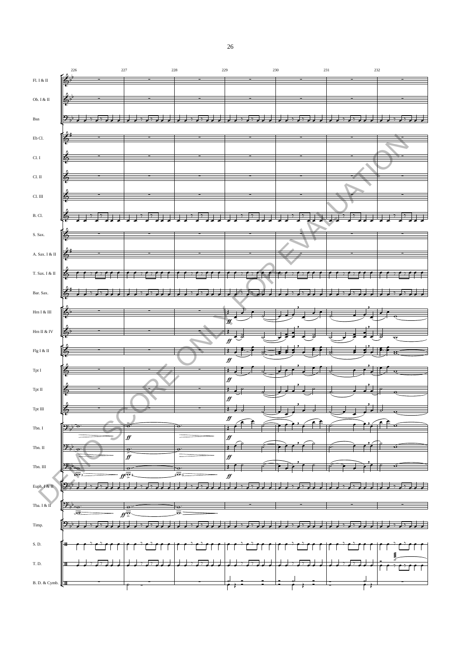|                                | 226                     | 227<br>228                     | 229                                                                                                                  | 230                           |                             | 231                                                                                                                                           | 232                                                                                 |
|--------------------------------|-------------------------|--------------------------------|----------------------------------------------------------------------------------------------------------------------|-------------------------------|-----------------------------|-----------------------------------------------------------------------------------------------------------------------------------------------|-------------------------------------------------------------------------------------|
| Fl. I & II                     | $\frac{2}{6}$           |                                |                                                                                                                      |                               |                             |                                                                                                                                               |                                                                                     |
|                                |                         |                                |                                                                                                                      |                               |                             |                                                                                                                                               |                                                                                     |
|                                |                         |                                |                                                                                                                      |                               |                             |                                                                                                                                               |                                                                                     |
| Ob. I & $\rm II$               | $\overline{\mathbb{S}}$ |                                |                                                                                                                      |                               |                             |                                                                                                                                               |                                                                                     |
|                                |                         |                                |                                                                                                                      |                               |                             |                                                                                                                                               |                                                                                     |
|                                |                         |                                |                                                                                                                      |                               |                             |                                                                                                                                               |                                                                                     |
| Bsn                            | $\rightarrow$           |                                |                                                                                                                      |                               |                             |                                                                                                                                               | $\overline{\phantom{a}}$                                                            |
|                                |                         |                                |                                                                                                                      |                               |                             |                                                                                                                                               |                                                                                     |
|                                | k.                      |                                |                                                                                                                      |                               |                             |                                                                                                                                               |                                                                                     |
| Eb Cl.                         |                         |                                |                                                                                                                      |                               |                             |                                                                                                                                               |                                                                                     |
|                                |                         |                                |                                                                                                                      |                               |                             |                                                                                                                                               |                                                                                     |
| Cl. I                          |                         |                                |                                                                                                                      |                               |                             |                                                                                                                                               |                                                                                     |
|                                | $\breve{\mathbb{P}}$    |                                |                                                                                                                      |                               |                             |                                                                                                                                               |                                                                                     |
|                                |                         |                                |                                                                                                                      |                               |                             |                                                                                                                                               |                                                                                     |
| $\mathop{\rm Cl}\nolimits.$ II | 6                       |                                |                                                                                                                      |                               |                             |                                                                                                                                               |                                                                                     |
|                                |                         |                                |                                                                                                                      |                               |                             |                                                                                                                                               |                                                                                     |
|                                |                         |                                |                                                                                                                      |                               |                             |                                                                                                                                               |                                                                                     |
| $\rm Cl.$ $\rm III$            | $\blacklozenge$         |                                |                                                                                                                      |                               |                             |                                                                                                                                               |                                                                                     |
|                                |                         |                                |                                                                                                                      |                               |                             |                                                                                                                                               |                                                                                     |
|                                |                         |                                |                                                                                                                      |                               |                             |                                                                                                                                               |                                                                                     |
| B.Cl.                          | ļ6.                     | ית התקינת התחינות והיות התחינת |                                                                                                                      |                               | $\mathbb{R}^n$              | 六元                                                                                                                                            | 萛                                                                                   |
|                                |                         |                                |                                                                                                                      |                               |                             |                                                                                                                                               |                                                                                     |
|                                |                         |                                |                                                                                                                      |                               |                             |                                                                                                                                               |                                                                                     |
| S. Sax.                        | 俸                       |                                |                                                                                                                      |                               |                             |                                                                                                                                               |                                                                                     |
|                                |                         |                                |                                                                                                                      |                               |                             |                                                                                                                                               |                                                                                     |
| A. Sax. I & $\Pi$              | $\phi^*$                |                                |                                                                                                                      |                               |                             |                                                                                                                                               |                                                                                     |
|                                |                         |                                |                                                                                                                      |                               |                             |                                                                                                                                               |                                                                                     |
|                                |                         |                                |                                                                                                                      |                               |                             |                                                                                                                                               |                                                                                     |
| T. Sax. I & $\Pi$              | IĢ.                     |                                | <u>1711 - 1920 - 1930 - 1930 - 1930 - 1930 - 1930 - 1930 - 1930 - 1930 - 1930 - 1930 - 1930 - 1930 - 1930 - 1930</u> |                               |                             |                                                                                                                                               | $\overline{\phantom{1}}$                                                            |
|                                |                         |                                |                                                                                                                      |                               |                             |                                                                                                                                               |                                                                                     |
|                                |                         |                                |                                                                                                                      |                               |                             |                                                                                                                                               |                                                                                     |
| Bar. Sax.                      | $\clubsuit$             |                                |                                                                                                                      | Ť7                            |                             |                                                                                                                                               | $\overline{\phantom{a}}$                                                            |
|                                |                         |                                |                                                                                                                      |                               |                             |                                                                                                                                               |                                                                                     |
|                                |                         |                                |                                                                                                                      |                               |                             |                                                                                                                                               |                                                                                     |
| Hrn I & III                    | ౕ                       |                                |                                                                                                                      |                               | $\rightarrow$ $\rightarrow$ |                                                                                                                                               | $\overline{U}$ , $\overline{U}$ , $\overline{U}$                                    |
|                                |                         |                                |                                                                                                                      |                               |                             |                                                                                                                                               |                                                                                     |
|                                |                         |                                |                                                                                                                      |                               |                             |                                                                                                                                               |                                                                                     |
| Hrn II & IV                    | $\Phi$                  |                                |                                                                                                                      | $\frac{1}{f}$                 |                             | $\frac{1}{2}$                                                                                                                                 |                                                                                     |
|                                |                         |                                |                                                                                                                      |                               |                             |                                                                                                                                               |                                                                                     |
| Flg I & II                     |                         |                                |                                                                                                                      | <u>R</u>                      |                             |                                                                                                                                               | $\frac{1}{2}$ $\frac{1}{2}$ $\frac{1}{2}$ $\frac{1}{8}$<br>$\overline{\phantom{0}}$ |
|                                |                         |                                |                                                                                                                      |                               |                             |                                                                                                                                               |                                                                                     |
|                                |                         |                                |                                                                                                                      |                               |                             |                                                                                                                                               |                                                                                     |
| Tpt I                          | $\epsilon$              |                                |                                                                                                                      | ╎╏╶┛                          |                             |                                                                                                                                               | $\sim$ $\sim$                                                                       |
|                                |                         |                                |                                                                                                                      | ff                            |                             |                                                                                                                                               |                                                                                     |
|                                |                         |                                |                                                                                                                      |                               |                             |                                                                                                                                               |                                                                                     |
| $\rm Tpt\ II$                  | 6                       |                                |                                                                                                                      | $\frac{1}{2}$                 | $\overline{\phantom{a}}$    | $\frac{1}{2}$ $\frac{1}{2}$ $\frac{1}{2}$                                                                                                     |                                                                                     |
|                                |                         |                                |                                                                                                                      | f f                           |                             |                                                                                                                                               |                                                                                     |
| $\operatorname{Tpt}$ III       | $\overline{6}$          |                                |                                                                                                                      | $\frac{1}{2}$ , $\frac{1}{2}$ |                             | $\frac{1}{2}$ , $\frac{1}{2}$ , $\frac{1}{2}$ , $\frac{1}{2}$ , $\frac{1}{2}$ , $\frac{1}{2}$ , $\frac{1}{2}$ , $\frac{1}{2}$ , $\frac{1}{2}$ |                                                                                     |
|                                |                         |                                |                                                                                                                      |                               |                             |                                                                                                                                               |                                                                                     |
|                                |                         |                                |                                                                                                                      | ℋ                             |                             |                                                                                                                                               |                                                                                     |
| Tbn. I                         | 9 ⊳ ∘                   | $\overline{\bullet}$           |                                                                                                                      |                               |                             |                                                                                                                                               |                                                                                     |
|                                |                         |                                |                                                                                                                      |                               |                             |                                                                                                                                               |                                                                                     |
|                                |                         | $f\hspace{-0.1cm}f$            |                                                                                                                      | $f\hspace{-0.1cm}f$           |                             |                                                                                                                                               |                                                                                     |
| Tbn. II                        | $2+$                    |                                |                                                                                                                      |                               |                             |                                                                                                                                               |                                                                                     |
|                                |                         | $\frac{1}{2}$                  |                                                                                                                      | f f                           |                             |                                                                                                                                               |                                                                                     |
|                                |                         |                                |                                                                                                                      |                               |                             |                                                                                                                                               |                                                                                     |
| Tbn. III                       | 27                      |                                |                                                                                                                      |                               |                             |                                                                                                                                               |                                                                                     |
|                                | $\varphi$ .             | $f\sqrt{2}$                    | <u>رتحت </u>                                                                                                         | ∯                             |                             |                                                                                                                                               |                                                                                     |
| Euph. I & $\Pi$                |                         |                                |                                                                                                                      |                               |                             |                                                                                                                                               |                                                                                     |
|                                |                         |                                |                                                                                                                      |                               |                             |                                                                                                                                               |                                                                                     |
|                                |                         |                                |                                                                                                                      |                               |                             |                                                                                                                                               |                                                                                     |
| Tba. I & II                    | $2\sqrt{2}$             |                                |                                                                                                                      |                               |                             |                                                                                                                                               |                                                                                     |
|                                | <u>ज्ञ</u>              | $f\bar{f} \overline{S}$        |                                                                                                                      |                               |                             |                                                                                                                                               |                                                                                     |
|                                |                         |                                |                                                                                                                      |                               |                             |                                                                                                                                               |                                                                                     |
| Timp.                          | $2\frac{1}{2}$          |                                |                                                                                                                      |                               |                             |                                                                                                                                               |                                                                                     |
|                                |                         |                                |                                                                                                                      |                               |                             |                                                                                                                                               |                                                                                     |
|                                |                         |                                |                                                                                                                      |                               |                             |                                                                                                                                               |                                                                                     |
| S. D.                          | ╫                       |                                |                                                                                                                      |                               |                             |                                                                                                                                               | ┯<br>ਾ                                                                              |
|                                |                         |                                |                                                                                                                      |                               |                             |                                                                                                                                               |                                                                                     |
|                                |                         |                                |                                                                                                                      |                               |                             |                                                                                                                                               |                                                                                     |
| T. D.                          | ≖                       |                                |                                                                                                                      |                               |                             |                                                                                                                                               |                                                                                     |
|                                |                         |                                |                                                                                                                      |                               |                             |                                                                                                                                               |                                                                                     |
|                                |                         |                                |                                                                                                                      |                               |                             |                                                                                                                                               |                                                                                     |
| <b>B. D. &amp; Cymb.</b> THE   |                         |                                |                                                                                                                      |                               |                             |                                                                                                                                               |                                                                                     |
|                                |                         |                                |                                                                                                                      |                               |                             |                                                                                                                                               |                                                                                     |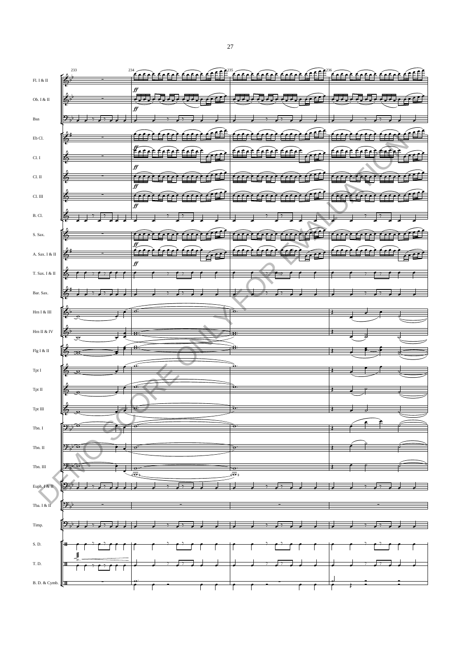| Fl. I & II                      | 233                                         | أكثث                 | <del>írr`íf</del> f | <u>Trantistri francisti Trancistri francisti </u> |    |           |                          |  |    |
|---------------------------------|---------------------------------------------|----------------------|---------------------|---------------------------------------------------|----|-----------|--------------------------|--|----|
|                                 |                                             | $\frac{f}{f}$        |                     |                                                   |    |           |                          |  |    |
| Ob. I & II                      | $\overline{\langle}$                        | "ff                  |                     |                                                   |    |           |                          |  |    |
| Bsn                             |                                             |                      |                     |                                                   |    |           |                          |  |    |
| Eb Cl.                          |                                             |                      |                     |                                                   |    |           |                          |  |    |
| $\mathop{\rm Cl}\nolimits.$ I   |                                             | <u>fre</u>           | الناعج              |                                                   |    | شام       |                          |  | ra |
| $\rm Cl.$ $\rm II$              | 6                                           | f f<br>tere ter      |                     | <u>teret teret teret</u>                          |    | أسائع وأم | <u>i tetek tetek eta</u> |  | ॻऻ |
|                                 |                                             | f f                  |                     |                                                   |    | التشخخخ   |                          |  |    |
| $\rm Cl.$ $\rm III$             |                                             | ŒÈ                   |                     |                                                   |    |           | Érf                      |  |    |
| $\, {\bf B} . \, {\bf Cl} . \,$ | 6                                           |                      |                     |                                                   |    |           |                          |  |    |
| S. Sax.                         |                                             |                      |                     |                                                   |    |           | ←⊷                       |  |    |
| A. Sax. I & II                  |                                             | $\int_{0}^{t}$<br>ff |                     |                                                   |    |           |                          |  |    |
| T. Sax. I & II                  | ၜၞ                                          |                      |                     |                                                   |    |           |                          |  |    |
| Bar. Sax.                       | €                                           |                      |                     |                                                   |    |           |                          |  |    |
| $\rm Hm$ I & III                | ∲                                           |                      |                     | ò                                                 |    |           |                          |  |    |
| Hrn II & IV                     | ∲                                           |                      |                     | B.                                                |    |           |                          |  |    |
|                                 |                                             | 8                    |                     |                                                   |    |           |                          |  |    |
| Flg I & II                      |                                             |                      |                     |                                                   |    |           |                          |  |    |
| Tpt I                           |                                             |                      |                     |                                                   |    |           |                          |  |    |
| Tpt II                          |                                             | ءَα⊤                 |                     | ò.                                                |    |           |                          |  |    |
| Tpt III                         | $\blacklozenge$<br>$\overline{\mathcal{S}}$ | $\rightarrow$ $\sim$ |                     | ক্র                                               |    |           |                          |  |    |
| Tbn. I                          |                                             | $\bullet$            |                     | ⊖                                                 |    |           |                          |  |    |
| Tbn. II                         | בקיל                                        |                      |                     | ð                                                 |    |           |                          |  |    |
|                                 |                                             |                      |                     |                                                   |    |           |                          |  |    |
| Tbn. III                        |                                             | ⊖<br>ŒΞ,             |                     | $\bullet$<br>ە <del>ت</del> ە                     |    |           |                          |  |    |
| Euph. I & $\Pi$                 |                                             |                      |                     |                                                   |    |           |                          |  |    |
| Tba. I & II                     | $\mathcal{P}$                               |                      |                     |                                                   |    |           |                          |  |    |
| Timp.                           | $9\frac{1}{2}$                              |                      |                     |                                                   | ナテ |           |                          |  |    |
| S.D.                            | ┉                                           |                      |                     |                                                   |    |           |                          |  |    |
| T. D.                           | ╨                                           |                      |                     |                                                   |    |           |                          |  |    |

 $\frac{3}{2}$   $\frac{1}{2}$ 

 $\frac{1}{2}$   $\frac{1}{2}$   $\frac{1}{2}$   $\frac{1}{2}$   $\frac{1}{2}$   $\frac{1}{2}$   $\frac{1}{2}$   $\frac{1}{2}$   $\frac{1}{2}$   $\frac{1}{2}$   $\frac{1}{2}$   $\frac{1}{2}$   $\frac{1}{2}$   $\frac{1}{2}$   $\frac{1}{2}$   $\frac{1}{2}$   $\frac{1}{2}$   $\frac{1}{2}$   $\frac{1}{2}$   $\frac{1}{2}$   $\frac{1}{2}$   $\frac{1}{2}$ 

-

B. D. & Cymb.

 $\begin{array}{ccc} \mathbf{r} & \mathbf{r} \\ \mathbf{r} & \mathbf{r} \end{array}$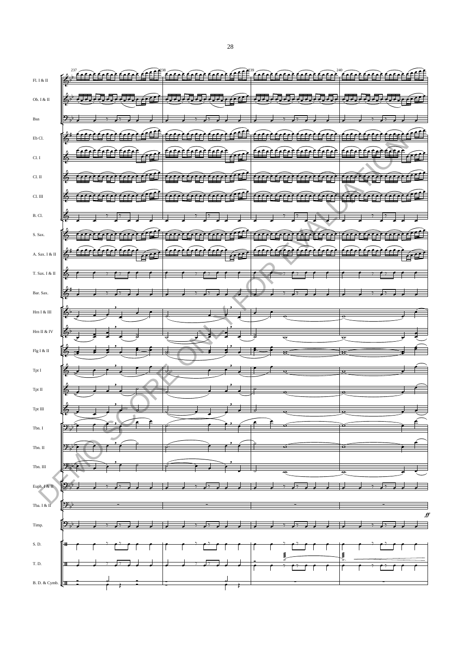| Fl. I & II                                 |                        |                                                                     | <u>יוני וליני ויוני ויוני ויוני ויוני ויוני ויוני ויוני ויוני ויוני ויוני ויוני ויוני ויוני ויוני ויוני ויוני וי</u> |                          |
|--------------------------------------------|------------------------|---------------------------------------------------------------------|----------------------------------------------------------------------------------------------------------------------|--------------------------|
| Ob. I & II                                 |                        |                                                                     |                                                                                                                      |                          |
| Bsn                                        | ツマ                     |                                                                     |                                                                                                                      |                          |
| Eb Cl.                                     |                        |                                                                     |                                                                                                                      |                          |
| CLI                                        |                        | <u>tan (CC) amperimental (CC) anno</u>                              |                                                                                                                      | 台印                       |
| $\rm Cl.$ $\rm II$                         | 6                      | an comment de comment de la comme de la comme                       |                                                                                                                      |                          |
| Cl. III                                    | 6                      | angarang tinang kalendar di anggangan                               |                                                                                                                      | <u>erriforman</u>        |
| B.Cl.                                      | 6                      |                                                                     |                                                                                                                      |                          |
| S. Sax.                                    | 6                      | <u> Fereire erreft</u>                                              | <u> tetet tetet tetet tetet tetet tetet te</u>                                                                       |                          |
| A. Sax. I & II                             |                        | <u>m, ta, margarethau an ta, an an caoinn an comhannach. Ta an </u> |                                                                                                                      |                          |
| T. Sax. I & II                             | ⊝                      | $\cdot$ $\cdot$ $\cdot$                                             |                                                                                                                      |                          |
| Bar. Sax.                                  |                        |                                                                     |                                                                                                                      |                          |
| Hrn I & III                                | 睿<br>┲                 |                                                                     | ∙                                                                                                                    |                          |
| Hrn II & IV                                | ౕ                      |                                                                     |                                                                                                                      | $\overline{\sigma}$      |
| Flg I & II                                 |                        | $\Rightarrow$                                                       |                                                                                                                      |                          |
| Tpt I                                      | 库                      | سفاركم أر<br>$\overline{\phantom{a}}$                               |                                                                                                                      | $\overline{\bullet}$     |
| Tpt II                                     | $\overline{\rho}$<br>嗓 |                                                                     |                                                                                                                      | $\overline{\phantom{0}}$ |
| Tpt III                                    | $6 \cdot 1$            |                                                                     | $\overline{\phantom{a}}$                                                                                             |                          |
| Tbn. I                                     |                        |                                                                     |                                                                                                                      |                          |
| Tbn. II                                    |                        |                                                                     |                                                                                                                      |                          |
| Tbn. III                                   |                        |                                                                     |                                                                                                                      |                          |
| Euph. I & $\Pi$                            |                        |                                                                     |                                                                                                                      |                          |
| Tba. I & $\mathbf{I}\overline{\mathbf{I}}$ |                        |                                                                     |                                                                                                                      |                          |
| Timp.                                      | ソー                     |                                                                     |                                                                                                                      | ff                       |
| S. D.                                      | ╫                      |                                                                     |                                                                                                                      | s/un                     |
| T. D.                                      | п                      |                                                                     |                                                                                                                      |                          |
| <b>B. D. &amp; Cymb.</b> THE               |                        |                                                                     |                                                                                                                      |                          |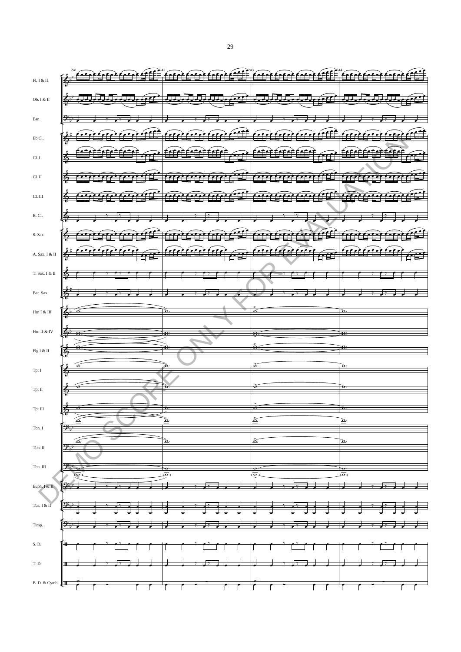| $\phi$ which a which is which in $\phi$ which $\phi$ |  |  |
|------------------------------------------------------|--|--|
|                                                      |  |  |
| $9\frac{1}{2}$ , , , ,                               |  |  |
|                                                      |  |  |
|                                                      |  |  |

Cl. II Cl. III B. Cl. S. Sax. A. Sax. I & II T. Sax. I & II Ł Ľ manini proprinti manini manini ran tara tara ta 1988, an tara tara tara ta 1988, an tara tara tara ta 1988. An tara tara tara ta 1988  $\frac{2}{3}$  .  $\overline{1}$  $\overline{1}$ ,  $\overline{1}$ ,  $\overline{1}$ ,  $\overline{1}$ ,  $\overline{1}$ TATITI.  $\overline{1}$  , *<i><u> L'ISSE CO</u>* <u> Littlett til</u> Fri Æ أناءكم 6 e e 1erege e e 1erege e Commerce e e 1erege DEMO SCORE ONLY FOR EVALUATION





| Tbn. II         | 立<br>$\Theta$ |        |   | يمت           |        |  | تعد                      |                               |   | ىغ                         |                               |  |
|-----------------|---------------|--------|---|---------------|--------|--|--------------------------|-------------------------------|---|----------------------------|-------------------------------|--|
| Tbn. III        |               |        |   | ™e∸           |        |  |                          |                               |   | ∸e                         |                               |  |
| Euph. I & $\Pi$ | டி            | $\sim$ | J | $G\mathbf{C}$ | Į<br>ł |  | $\widetilde{\mathbf{A}}$ | $\overline{\phantom{a}}$<br>t |   | $\overline{\mathfrak{so}}$ | $\overline{\phantom{a}}$<br>÷ |  |
| Tba. I & II     | $\Theta$      |        |   |               | -      |  |                          |                               |   |                            | ÷<br>-                        |  |
|                 |               |        |   |               |        |  |                          |                               | Ξ |                            |                               |  |

| Timp.                | ு   |  |  |                                   | $\overline{\phantom{a}}$ |  |  |  |  |  |
|----------------------|-----|--|--|-----------------------------------|--------------------------|--|--|--|--|--|
| S. D.                | I⊦# |  |  | <del>ؘؘ؞ڗڗ؊؊؊ڒ؊؊؊؊؊؊؊؊؊؊؊؊؊</del> |                          |  |  |  |  |  |
| T.D.                 | lπ  |  |  | $\overline{\phantom{a}}$          |                          |  |  |  |  |  |
| B. D. & Cymb. $\Box$ |     |  |  |                                   |                          |  |  |  |  |  |

Fl. I & II

Ob. I & II

Bsn

Eb Cl.

Ł

Ľ

ÍĠ

Cl. I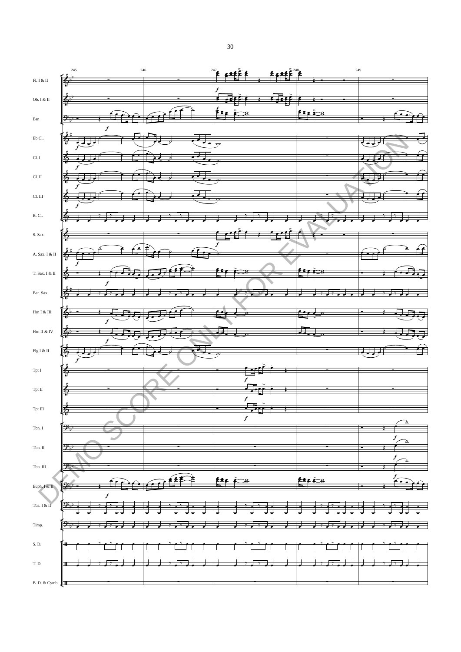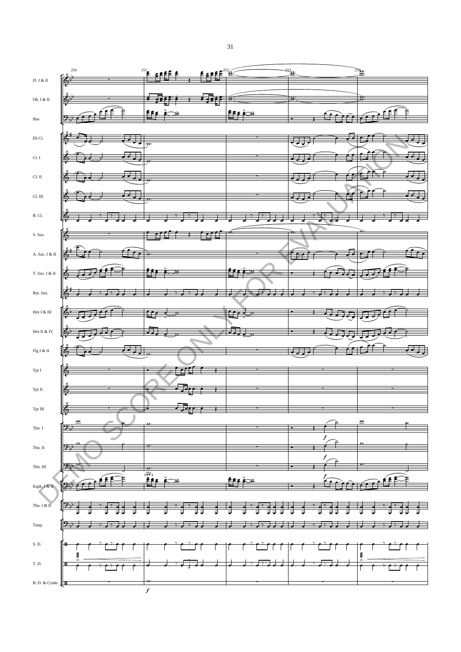| ۰,     |  |
|--------|--|
| ×<br>٧ |  |

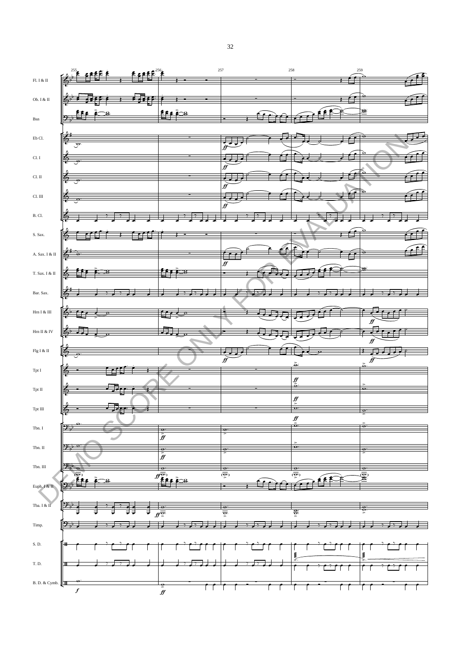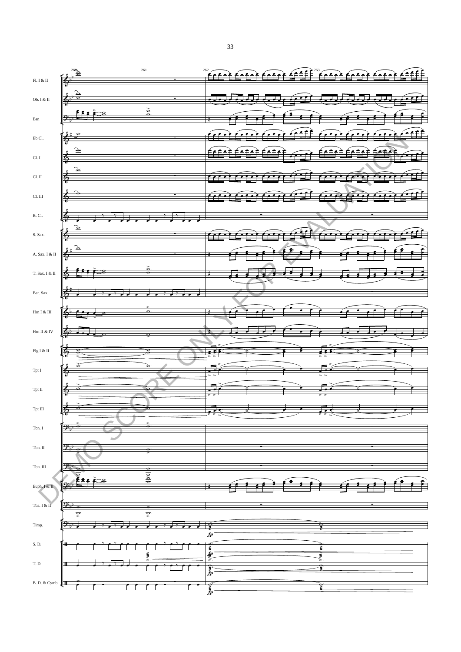